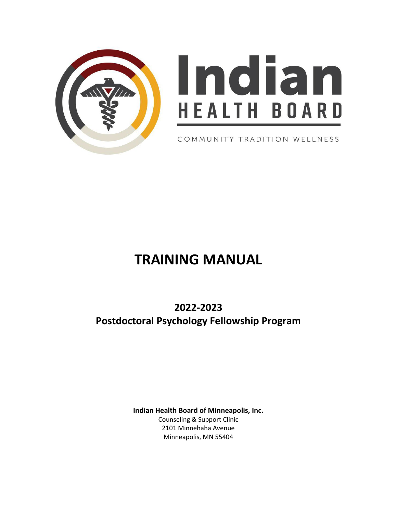

# Indian **HEALTH BOARD**

COMMUNITY TRADITION WELLNESS

# **TRAINING MANUAL**

**2022-2023 Postdoctoral Psychology Fellowship Program**

> **Indian Health Board of Minneapolis, Inc.** Counseling & Support Clinic 2101 Minnehaha Avenue Minneapolis, MN 55404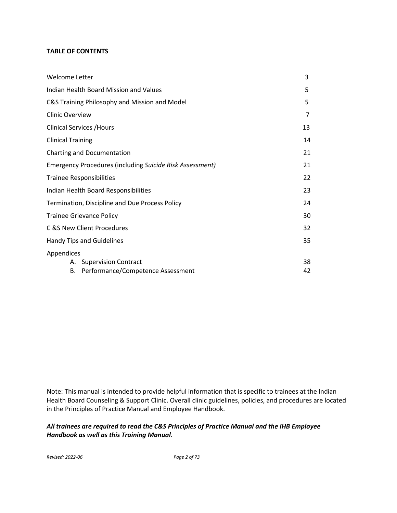# **TABLE OF CONTENTS**

| Welcome Letter                                           | 3  |
|----------------------------------------------------------|----|
| Indian Health Board Mission and Values                   | 5  |
| C&S Training Philosophy and Mission and Model            | 5  |
| <b>Clinic Overview</b>                                   | 7  |
| <b>Clinical Services / Hours</b>                         | 13 |
| <b>Clinical Training</b>                                 | 14 |
| Charting and Documentation                               | 21 |
| Emergency Procedures (including Suicide Risk Assessment) | 21 |
| <b>Trainee Responsibilities</b>                          | 22 |
| Indian Health Board Responsibilities                     | 23 |
| Termination, Discipline and Due Process Policy           | 24 |
| <b>Trainee Grievance Policy</b>                          | 30 |
| C & S New Client Procedures                              | 32 |
| Handy Tips and Guidelines                                | 35 |
| Appendices                                               |    |
| A. Supervision Contract                                  | 38 |
| Performance/Competence Assessment<br>В.                  | 42 |

Note: This manual is intended to provide helpful information that is specific to trainees at the Indian Health Board Counseling & Support Clinic. Overall clinic guidelines, policies, and procedures are located in the Principles of Practice Manual and Employee Handbook.

*All trainees are required to read the C&S Principles of Practice Manual and the IHB Employee Handbook as well as this Training Manual.*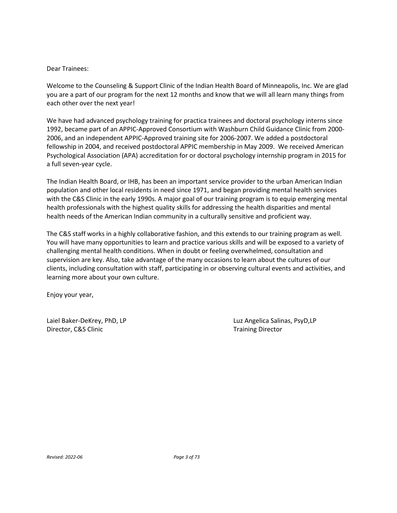#### Dear Trainees:

Welcome to the Counseling & Support Clinic of the Indian Health Board of Minneapolis, Inc. We are glad you are a part of our program for the next 12 months and know that we will all learn many things from each other over the next year!

We have had advanced psychology training for practica trainees and doctoral psychology interns since 1992, became part of an APPIC-Approved Consortium with Washburn Child Guidance Clinic from 2000- 2006, and an independent APPIC-Approved training site for 2006-2007. We added a postdoctoral fellowship in 2004, and received postdoctoral APPIC membership in May 2009. We received American Psychological Association (APA) accreditation for or doctoral psychology internship program in 2015 for a full seven-year cycle.

The Indian Health Board, or IHB, has been an important service provider to the urban American Indian population and other local residents in need since 1971, and began providing mental health services with the C&S Clinic in the early 1990s. A major goal of our training program is to equip emerging mental health professionals with the highest quality skills for addressing the health disparities and mental health needs of the American Indian community in a culturally sensitive and proficient way.

The C&S staff works in a highly collaborative fashion, and this extends to our training program as well. You will have many opportunities to learn and practice various skills and will be exposed to a variety of challenging mental health conditions. When in doubt or feeling overwhelmed, consultation and supervision are key. Also, take advantage of the many occasions to learn about the cultures of our clients, including consultation with staff, participating in or observing cultural events and activities, and learning more about your own culture.

Enjoy your year,

Director, C&S Clinic **Training Director** Training Director

Laiel Baker-DeKrey, PhD, LP Luz Angelica Salinas, PsyD,LP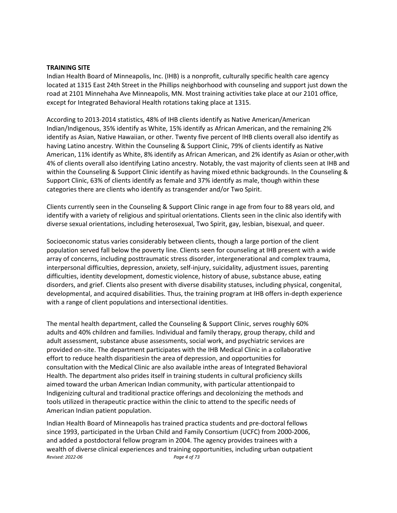#### **TRAINING SITE**

Indian Health Board of Minneapolis, Inc. (IHB) is a nonprofit, culturally specific health care agency located at 1315 East 24th Street in the Phillips neighborhood with counseling and support just down the road at 2101 Minnehaha Ave Minneapolis, MN. Most training activities take place at our 2101 office, except for Integrated Behavioral Health rotations taking place at 1315.

According to 2013-2014 statistics, 48% of IHB clients identify as Native American/American Indian/Indigenous, 35% identify as White, 15% identify as African American, and the remaining 2% identify as Asian, Native Hawaiian, or other. Twenty five percent of IHB clients overall also identify as having Latino ancestry. Within the Counseling & Support Clinic, 79% of clients identify as Native American, 11% identify as White, 8% identify as African American, and 2% identify as Asian or other,with 4% of clients overall also identifying Latino ancestry. Notably, the vast majority of clients seen at IHB and within the Counseling & Support Clinic identify as having mixed ethnic backgrounds. In the Counseling & Support Clinic, 63% of clients identify as female and 37% identify as male, though within these categories there are clients who identify as transgender and/or Two Spirit.

Clients currently seen in the Counseling & Support Clinic range in age from four to 88 years old, and identify with a variety of religious and spiritual orientations. Clients seen in the clinic also identify with diverse sexual orientations, including heterosexual, Two Spirit, gay, lesbian, bisexual, and queer.

Socioeconomic status varies considerably between clients, though a large portion of the client population served fall below the poverty line. Clients seen for counseling at IHB present with a wide array of concerns, including posttraumatic stress disorder, intergenerational and complex trauma, interpersonal difficulties, depression, anxiety, self-injury, suicidality, adjustment issues, parenting difficulties, identity development, domestic violence, history of abuse, substance abuse, eating disorders, and grief. Clients also present with diverse disability statuses, including physical, congenital, developmental, and acquired disabilities. Thus, the training program at IHB offers in-depth experience with a range of client populations and intersectional identities.

The mental health department, called the Counseling & Support Clinic, serves roughly 60% adults and 40% children and families. Individual and family therapy, group therapy, child and adult assessment, substance abuse assessments, social work, and psychiatric services are provided on-site. The department participates with the IHB Medical Clinic in a collaborative effort to reduce health disparitiesin the area of depression, and opportunities for consultation with the Medical Clinic are also available inthe areas of Integrated Behavioral Health. The department also prides itself in training students in cultural proficiency skills aimed toward the urban American Indian community, with particular attentionpaid to Indigenizing cultural and traditional practice offerings and decolonizing the methods and tools utilized in therapeutic practice within the clinic to attend to the specific needs of American Indian patient population.

*Revised: 2022-06 Page 4 of 73* Indian Health Board of Minneapolis has trained practica students and pre-doctoral fellows since 1993, participated in the Urban Child and Family Consortium (UCFC) from 2000-2006, and added a postdoctoral fellow program in 2004. The agency provides trainees with a wealth of diverse clinical experiences and training opportunities, including urban outpatient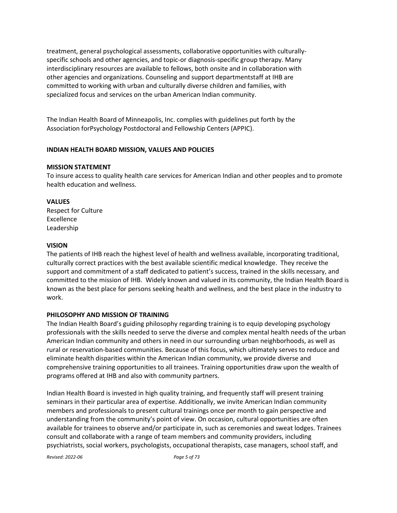treatment, general psychological assessments, collaborative opportunities with culturallyspecific schools and other agencies, and topic-or diagnosis-specific group therapy. Many interdisciplinary resources are available to fellows, both onsite and in collaboration with other agencies and organizations. Counseling and support departmentstaff at IHB are committed to working with urban and culturally diverse children and families, with specialized focus and services on the urban American Indian community.

The Indian Health Board of Minneapolis, Inc. complies with guidelines put forth by the Association forPsychology Postdoctoral and Fellowship Centers (APPIC).

# **INDIAN HEALTH BOARD MISSION, VALUES AND POLICIES**

# **MISSION STATEMENT**

To insure access to quality health care services for American Indian and other peoples and to promote health education and wellness.

# **VALUES**

Respect for Culture Excellence Leadership

# **VISION**

The patients of IHB reach the highest level of health and wellness available, incorporating traditional, culturally correct practices with the best available scientific medical knowledge. They receive the support and commitment of a staff dedicated to patient's success, trained in the skills necessary, and committed to the mission of IHB. Widely known and valued in its community, the Indian Health Board is known as the best place for persons seeking health and wellness, and the best place in the industry to work.

# **PHILOSOPHY AND MISSION OF TRAINING**

The Indian Health Board's guiding philosophy regarding training is to equip developing psychology professionals with the skills needed to serve the diverse and complex mental health needs of the urban American Indian community and others in need in our surrounding urban neighborhoods, as well as rural or reservation-based communities. Because of this focus, which ultimately serves to reduce and eliminate health disparities within the American Indian community, we provide diverse and comprehensive training opportunities to all trainees. Training opportunities draw upon the wealth of programs offered at IHB and also with community partners.

Indian Health Board is invested in high quality training, and frequently staff will present training seminars in their particular area of expertise. Additionally, we invite American Indian community members and professionals to present cultural trainings once per month to gain perspective and understanding from the community's point of view. On occasion, cultural opportunities are often available for trainees to observe and/or participate in, such as ceremonies and sweat lodges. Trainees consult and collaborate with a range of team members and community providers, including psychiatrists, social workers, psychologists, occupational therapists, case managers, school staff, and

*Revised: 2022-06 Page 5 of 73*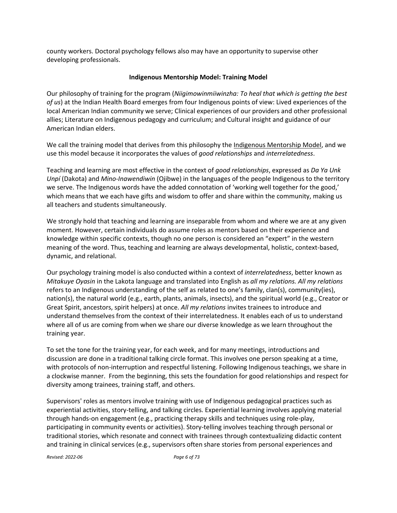county workers. Doctoral psychology fellows also may have an opportunity to supervise other developing professionals.

# **Indigenous Mentorship Model: Training Model**

Our philosophy of training for the program (*Niigimowinmiiwinzha: To heal that which is getting the best of us*) at the Indian Health Board emerges from four Indigenous points of view: Lived experiences of the local American Indian community we serve; Clinical experiences of our providers and other professional allies; Literature on Indigenous pedagogy and curriculum; and Cultural insight and guidance of our American Indian elders.

We call the training model that derives from this philosophy the Indigenous Mentorship Model, and we use this model because it incorporates the values of *good relationships* and *interrelatedness*.

Teaching and learning are most effective in the context of *good relationships*, expressed as *Da Ya Unk Unpí* (Dakota) and *Mino-Inawendiwin* (Ojibwe) in the languages of the people Indigenous to the territory we serve. The Indigenous words have the added connotation of 'working well together for the good,' which means that we each have gifts and wisdom to offer and share within the community, making us all teachers and students simultaneously.

We strongly hold that teaching and learning are inseparable from whom and where we are at any given moment. However, certain individuals do assume roles as mentors based on their experience and knowledge within specific contexts, though no one person is considered an "expert" in the western meaning of the word. Thus, teaching and learning are always developmental, holistic, context-based, dynamic, and relational.

Our psychology training model is also conducted within a context of *interrelatedness*, better known as *Mitakuye Oyasin* in the Lakota language and translated into English as *all my relations. All my relations* refers to an Indigenous understanding of the self as related to one's family, clan(s), community(ies), nation(s), the natural world (e.g., earth, plants, animals, insects), and the spiritual world (e.g., Creator or Great Spirit, ancestors, spirit helpers) at once. *All my relations* invites trainees to introduce and understand themselves from the context of their interrelatedness. It enables each of us to understand where all of us are coming from when we share our diverse knowledge as we learn throughout the training year.

To set the tone for the training year, for each week, and for many meetings, introductions and discussion are done in a traditional talking circle format. This involves one person speaking at a time, with protocols of non-interruption and respectful listening. Following Indigenous teachings, we share in a clockwise manner. From the beginning, this sets the foundation for good relationships and respect for diversity among trainees, training staff, and others.

Supervisors' roles as mentors involve training with use of Indigenous pedagogical practices such as experiential activities, story-telling, and talking circles. Experiential learning involves applying material through hands-on engagement (e.g., practicing therapy skills and techniques using role-play, participating in community events or activities). Story-telling involves teaching through personal or traditional stories, which resonate and connect with trainees through contextualizing didactic content and training in clinical services (e.g., supervisors often share stories from personal experiences and

*Revised: 2022-06 Page 6 of 73*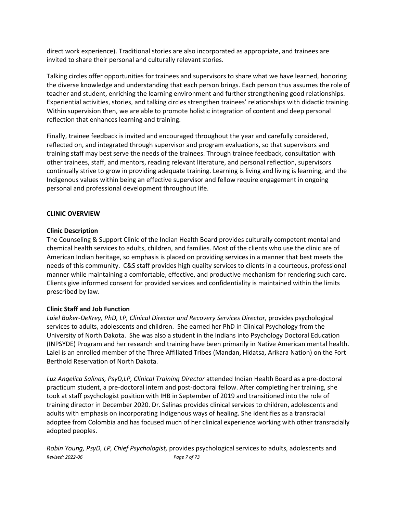direct work experience). Traditional stories are also incorporated as appropriate, and trainees are invited to share their personal and culturally relevant stories.

Talking circles offer opportunities for trainees and supervisors to share what we have learned, honoring the diverse knowledge and understanding that each person brings. Each person thus assumes the role of teacher and student, enriching the learning environment and further strengthening good relationships. Experiential activities, stories, and talking circles strengthen trainees' relationships with didactic training. Within supervision then, we are able to promote holistic integration of content and deep personal reflection that enhances learning and training.

Finally, trainee feedback is invited and encouraged throughout the year and carefully considered, reflected on, and integrated through supervisor and program evaluations, so that supervisors and training staff may best serve the needs of the trainees. Through trainee feedback, consultation with other trainees, staff, and mentors, reading relevant literature, and personal reflection, supervisors continually strive to grow in providing adequate training. Learning is living and living is learning, and the Indigenous values within being an effective supervisor and fellow require engagement in ongoing personal and professional development throughout life.

#### **CLINIC OVERVIEW**

#### **Clinic Description**

The Counseling & Support Clinic of the Indian Health Board provides culturally competent mental and chemical health services to adults, children, and families. Most of the clients who use the clinic are of American Indian heritage, so emphasis is placed on providing services in a manner that best meets the needs of this community. C&S staff provides high quality services to clients in a courteous, professional manner while maintaining a comfortable, effective, and productive mechanism for rendering such care. Clients give informed consent for provided services and confidentiality is maintained within the limits prescribed by law.

#### **Clinic Staff and Job Function**

*Laiel Baker-DeKrey, PhD, LP, Clinical Director and Recovery Services Director,* provides psychological services to adults, adolescents and children. She earned her PhD in Clinical Psychology from the University of North Dakota. She was also a student in the Indians into Psychology Doctoral Education (INPSYDE) Program and her research and training have been primarily in Native American mental health. Laiel is an enrolled member of the Three Affiliated Tribes (Mandan, Hidatsa, Arikara Nation) on the Fort Berthold Reservation of North Dakota.

*Luz Angelica Salinas, PsyD,LP, Clinical Training Director* attended Indian Health Board as a pre-doctoral practicum student, a pre-doctoral intern and post-doctoral fellow. After completing her training, she took at staff psychologist position with IHB in September of 2019 and transitioned into the role of training director in December 2020. Dr. Salinas provides clinical services to children, adolescents and adults with emphasis on incorporating Indigenous ways of healing. She identifies as a transracial adoptee from Colombia and has focused much of her clinical experience working with other transracially adopted peoples.

*Revised: 2022-06 Page 7 of 73 Robin Young, PsyD, LP, Chief Psychologist,* provides psychological services to adults, adolescents and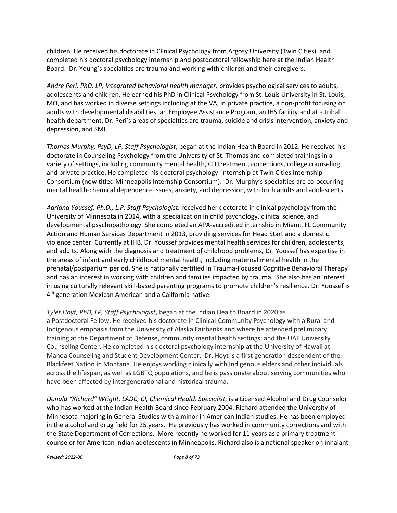children. He received his doctorate in Clinical Psychology from Argosy University (Twin Cities), and completed his doctoral psychology internship and postdoctoral fellowship here at the Indian Health Board. Dr. Young's specialties are trauma and working with children and their caregivers.

*Andre Peri, PhD, LP, Integrated behavioral health manager,* provides psychological services to adults, adolescents and children. He earned his PhD in Clinical Psychology from St. Louis University in St. Louis, MO, and has worked in diverse settings including at the VA, in private practice, a non-profit focusing on adults with developmental disabilities, an Employee Assistance Program, an IHS facility and at a tribal health department. Dr. Peri's areas of specialties are trauma, suicide and crisis intervention, anxiety and depression, and SMI.

*Thomas Murphy, PsyD, LP, Staff Psychologist*, began at the Indian Health Board in 2012. He received his doctorate in Counseling Psychology from the University of St. Thomas and completed trainings in a variety of settings, including community mental health, CD treatment, corrections, college counseling, and private practice. He completed his doctoral psychology internship at Twin Cities Internship Consortium (now titled Minneapolis Internship Consortium). Dr. Murphy's specialties are co-occurring mental health-chemical dependence issues, anxiety, and depression, with both adults and adolescents.

*Adriana Youssef, Ph.D., L.P. Staff Psychologist,* received her doctorate in clinical psychology from the University of Minnesota in 2014, with a specialization in child psychology, clinical science, and developmental psychopathology. She completed an APA-accredited internship in Miami, FL Community Action and Human Services Department in 2013, providing services for Head Start and a domestic violence center. Currently at IHB, Dr. Youssef provides mental health services for children, adolescents, and adults. Along with the diagnosis and treatment of childhood problems, Dr. Youssef has expertise in the areas of infant and early childhood mental health, including maternal mental health in the prenatal/postpartum period. She is nationally certified in Trauma-Focused Cognitive Behavioral Therapy and has an interest in working with children and families impacted by trauma. She also has an interest in using culturally relevant skill-based parenting programs to promote children's resilience. Dr. Youssef is 4<sup>th</sup> generation Mexican American and a California native.

*Tyler Hoyt, PhD, LP, Staff Psychologist*, began at the Indian Health Board in 2020 as a Postdoctoral Fellow. He received his doctorate in Clinical-Community Psychology with a Rural and Indigenous emphasis from the University of Alaska Fairbanks and where he attended preliminary training at the Department of Defense, community mental health settings, and the UAF University Counseling Center. He completed his doctoral psychology internship at the University of Hawaii at Manoa Counseling and Student Development Center. Dr. Hoyt is a first generation descendent of the Blackfeet Nation in Montana. He enjoys working clinically with Indigenous elders and other individuals across the lifespan, as well as LGBTQ populations, and he is passionate about serving communities who have been affected by intergenerational and historical trauma.

*Donald "Richard" Wright, LADC, CI, Chemical Health Specialist,* is a Licensed Alcohol and Drug Counselor who has worked at the Indian Health Board since February 2004. Richard attended the University of Minnesota majoring in General Studies with a minor in American Indian studies. He has been employed in the alcohol and drug field for 25 years. He previously has worked in community corrections and with the State Department of Corrections. More recently he worked for 11 years as a primary treatment counselor for American Indian adolescents in Minneapolis. Richard also is a national speaker on inhalant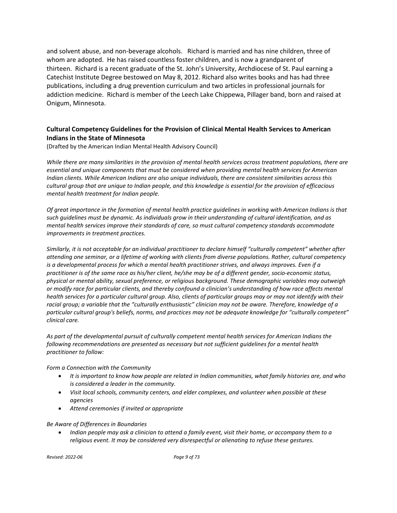and solvent abuse, and non-beverage alcohols. Richard is married and has nine children, three of whom are adopted. He has raised countless foster children, and is now a grandparent of thirteen. Richard is a recent graduate of the St. John's University, Archdiocese of St. Paul earning a Catechist Institute Degree bestowed on May 8, 2012. Richard also writes books and has had three publications, including a drug prevention curriculum and two articles in professional journals for addiction medicine. Richard is member of the Leech Lake Chippewa, Pillager band, born and raised at Onigum, Minnesota.

# **Cultural Competency Guidelines for the Provision of Clinical Mental Health Services to American Indians in the State of Minnesota**

(Drafted by the American Indian Mental Health Advisory Council)

*While there are many similarities in the provision of mental health services across treatment populations, there are essential and unique components that must be considered when providing mental health services for American Indian clients. While American Indians are also unique individuals, there are consistent similarities across this cultural group that are unique to Indian people, and this knowledge is essential for the provision of efficacious mental health treatment for Indian people.*

*Of great importance in the formation of mental health practice guidelines in working with American Indians is that such guidelines must be dynamic. As individuals grow in their understanding of cultural identification, and as mental health services improve their standards of care, so must cultural competency standards accommodate improvements in treatment practices.* 

*Similarly, it is not acceptable for an individual practitioner to declare himself "culturally competent" whether after attending one seminar, or a lifetime of working with clients from diverse populations. Rather, cultural competency is a developmental process for which a mental health practitioner strives, and always improves. Even if a practitioner is of the same race as his/her client, he/she may be of a different gender, socio-economic status, physical or mental ability, sexual preference, or religious background. These demographic variables may outweigh or modify race for particular clients, and thereby confound a clinician's understanding of how race affects mental health services for a particular cultural group. Also, clients of particular groups may or may not identify with their racial group; a variable that the "culturally enthusiastic" clinician may not be aware. Therefore, knowledge of a particular cultural group's beliefs, norms, and practices may not be adequate knowledge for "culturally competent" clinical care.*

*As part of the developmental pursuit of culturally competent mental health services for American Indians the following recommendations are presented as necessary but not sufficient guidelines for a mental health practitioner to follow:*

*Form a Connection with the Community*

- *It is important to know how people are related in Indian communities, what family histories are, and who is considered a leader in the community.*
- *Visit local schools, community centers, and elder complexes, and volunteer when possible at these agencies*
- *Attend ceremonies if invited or appropriate*

#### *Be Aware of Differences in Boundaries*

• *Indian people may ask a clinician to attend a family event, visit their home, or accompany them to a religious event. It may be considered very disrespectful or alienating to refuse these gestures.*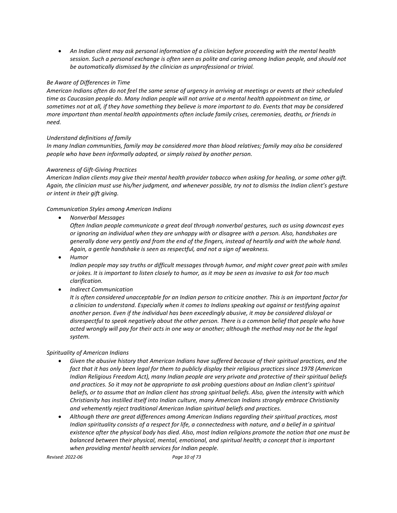• *An Indian client may ask personal information of a clinician before proceeding with the mental health session. Such a personal exchange is often seen as polite and caring among Indian people, and should not be automatically dismissed by the clinician as unprofessional or trivial.*

#### *Be Aware of Differences in Time*

*American Indians often do not feel the same sense of urgency in arriving at meetings or events at their scheduled time as Caucasian people do. Many Indian people will not arrive at a mental health appointment on time, or sometimes not at all, if they have something they believe is more important to do. Events that may be considered more important than mental health appointments often include family crises, ceremonies, deaths, or friends in need.*

#### *Understand definitions of family*

*In many Indian communities, family may be considered more than blood relatives; family may also be considered people who have been informally adopted, or simply raised by another person.*

#### *Awareness of Gift-Giving Practices*

*American Indian clients may give their mental health provider tobacco when asking for healing, or some other gift. Again, the clinician must use his/her judgment, and whenever possible, try not to dismiss the Indian client's gesture or intent in their gift giving.* 

*Communication Styles among American Indians*

• *Nonverbal Messages*

*Often Indian people communicate a great deal through nonverbal gestures, such as using downcast eyes or ignoring an individual when they are unhappy with or disagree with a person. Also, handshakes are generally done very gently and from the end of the fingers, instead of heartily and with the whole hand. Again, a gentle handshake is seen as respectful, and not a sign of weakness.*

• *Humor*

*Indian people may say truths or difficult messages through humor, and might cover great pain with smiles or jokes. It is important to listen closely to humor, as it may be seen as invasive to ask for too much clarification.*

• *Indirect Communication*

*It is often considered unacceptable for an Indian person to criticize another. This is an important factor for a clinician to understand. Especially when it comes to Indians speaking out against or testifying against another person. Even if the individual has been exceedingly abusive, it may be considered disloyal or disrespectful to speak negatively about the other person. There is a common belief that people who have acted wrongly will pay for their acts in one way or another; although the method may not be the legal system.*

#### *Spirituality of American Indians*

- *Given the abusive history that American Indians have suffered because of their spiritual practices, and the fact that it has only been legal for them to publicly display their religious practices since 1978 (American Indian Religious Freedom Act), many Indian people are very private and protective of their spiritual beliefs and practices. So it may not be appropriate to ask probing questions about an Indian client's spiritual beliefs, or to assume that an Indian client has strong spiritual beliefs. Also, given the intensity with which Christianity has instilled itself into Indian culture, many American Indians strongly embrace Christianity and vehemently reject traditional American Indian spiritual beliefs and practices.*
- *Although there are great differences among American Indians regarding their spiritual practices, most Indian spirituality consists of a respect for life, a connectedness with nature, and a belief in a spiritual existence after the physical body has died. Also, most Indian religions promote the notion that one must be balanced between their physical, mental, emotional, and spiritual health; a concept that is important when providing mental health services for Indian people.*

*Revised: 2022-06 Page 10 of 73*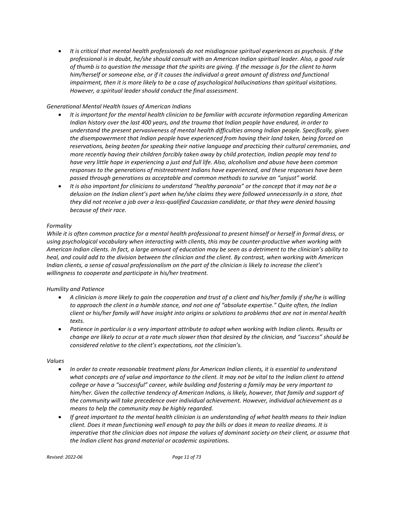• *It is critical that mental health professionals do not misdiagnose spiritual experiences as psychosis. If the professional is in doubt, he/she should consult with an American Indian spiritual leader. Also, a good rule of thumb is to question the message that the spirits are giving. If the message is for the client to harm him/herself or someone else, or if it causes the individual a great amount of distress and functional impairment, then it is more likely to be a case of psychological hallucinations than spiritual visitations. However, a spiritual leader should conduct the final assessment.*

#### *Generational Mental Health Issues of American Indians*

- *It is important for the mental health clinician to be familiar with accurate information regarding American Indian history over the last 400 years, and the trauma that Indian people have endured, in order to understand the present pervasiveness of mental health difficulties among Indian people. Specifically, given the disempowerment that Indian people have experienced from having their land taken, being forced on reservations, being beaten for speaking their native language and practicing their cultural ceremonies, and more recently having their children forcibly taken away by child protection, Indian people may tend to have very little hope in experiencing a just and full life. Also, alcoholism and abuse have been common responses to the generations of mistreatment Indians have experienced, and these responses have been passed through generations as acceptable and common methods to survive an "unjust" world.*
- *It is also important for clinicians to understand "healthy paranoia" or the concept that it may not be a delusion on the Indian client's part when he/she claims they were followed unnecessarily in a store, that they did not receive a job over a less-qualified Caucasian candidate, or that they were denied housing because of their race.*

#### *Formality*

*While it is often common practice for a mental health professional to present himself or herself in formal dress, or using psychological vocabulary when interacting with clients, this may be counter-productive when working with American Indian clients. In fact, a large amount of education may be seen as a detriment to the clinician's ability to heal, and could add to the division between the clinician and the client. By contrast, when working with American Indian clients, a sense of casual professionalism on the part of the clinician is likely to increase the client's willingness to cooperate and participate in his/her treatment.*

# *Humility and Patience*

- *A clinician is more likely to gain the cooperation and trust of a client and his/her family if she/he is willing to approach the client in a humble stance, and not one of "absolute expertise." Quite often, the Indian client or his/her family will have insight into origins or solutions to problems that are not in mental health texts.*
- *Patience in particular is a very important attribute to adopt when working with Indian clients. Results or change are likely to occur at a rate much slower than that desired by the clinician, and "success" should be considered relative to the client's expectations, not the clinician's.*

#### *Values*

- *In order to create reasonable treatment plans for American Indian clients, it is essential to understand what concepts are of value and importance to the client. It may not be vital to the Indian client to attend college or have a "successful" career, while building and fostering a family may be very important to him/her. Given the collective tendency of American Indians, is likely, however, that family and support of the community will take precedence over individual achievement. However, individual achievement as a means to help the community may be highly regarded.*
- *If great important to the mental health clinician is an understanding of what health means to their Indian client. Does it mean functioning well enough to pay the bills or does it mean to realize dreams. It is imperative that the clinician does not impose the values of dominant society on their client, or assume that the Indian client has grand material or academic aspirations.*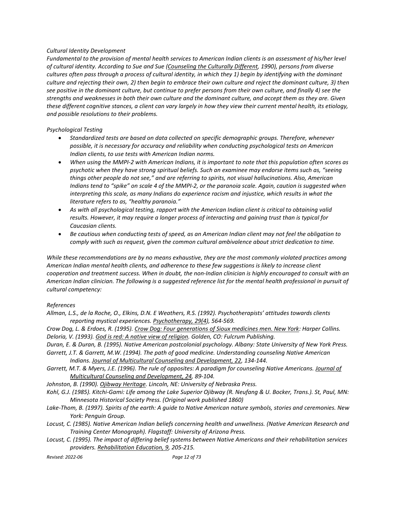#### *Cultural Identity Development*

*Fundamental to the provision of mental health services to American Indian clients is an assessment of his/her level of cultural identity. According to Sue and Sue (Counseling the Culturally Different, 1990), persons from diverse cultures often pass through a process of cultural identity, in which they 1) begin by identifying with the dominant culture and rejecting their own, 2) then begin to embrace their own culture and reject the dominant culture, 3) then see positive in the dominant culture, but continue to prefer persons from their own culture, and finally 4) see the strengths and weaknesses in both their own culture and the dominant culture, and accept them as they are. Given these different cognitive stances, a client can vary largely in how they view their current mental health, its etiology, and possible resolutions to their problems.*

#### *Psychological Testing*

- *Standardized tests are based on data collected on specific demographic groups. Therefore, whenever possible, it is necessary for accuracy and reliability when conducting psychological tests on American Indian clients, to use tests with American Indian norms.*
- *When using the MMPI-2 with American Indians, it is important to note that this population often scores as psychotic when they have strong spiritual beliefs. Such an examinee may endorse items such as, "seeing things other people do not see," and are referring to spirits, not visual hallucinations. Also, American Indians tend to "spike" on scale 4 of the MMPI-2, or the paranoia scale. Again, caution is suggested when interpreting this scale, as many Indians do experience racism and injustice, which results in what the literature refers to as, "healthy paranoia."*
- *As with all psychological testing, rapport with the American Indian client is critical to obtaining valid results. However, it may require a longer process of interacting and gaining trust than is typical for Caucasian clients.*
- *Be cautious when conducting tests of speed, as an American Indian client may not feel the obligation to comply with such as request, given the common cultural ambivalence about strict dedication to time.*

*While these recommendations are by no means exhaustive, they are the most commonly violated practices among American Indian mental health clients, and adherence to these few suggestions is likely to increase client cooperation and treatment success. When in doubt, the non-Indian clinician is highly encouraged to consult with an American Indian clinician. The following is a suggested reference list for the mental health professional in pursuit of cultural competency:*

#### *References*

*Allman, L.S., de la Roche, O., Elkins, D.N. E Weathers, R.S. (1992). Psychotherapists' attitudes towards clients reporting mystical experiences. Psychotherapy, 29(4), 564-569.*

*Crow Dog, L. & Erdoes, R. (1995). Crow Dog: Four generations of Sioux medicines men. New York: Harper Collins. Deloria, V. (1993). God is red: A native view of religion. Golden, CO: Fulcrum Publishing.*

*Duran, E. & Duran, B. (1995). Native American postcolonial psychology. Albany: State University of New York Press.*

*Garrett, J.T. & Garrett, M.W. (1994). The path of good medicine. Understanding counseling Native American Indians. Journal of Multicultural Counseling and Development, 22, 134-144.*

Garrett, M.T. & Myers, J.E. (1996). The rule of opposites: A paradigm for counseling Native Americans. Journal of *Multicultural Counseling and Development, 24, 89-104.*

*Johnston, B. (1990). Ojibway Heritage. Lincoln, NE: University of Nebraska Press.*

- *Kohl, G.J. (1985). Kitchi-Gami: Life among the Lake Superior Ojibway (R. Neufang & U. Bocker, Trans.). St, Paul, MN: Minnesota Historical Society Press. (Original work published 1860)*
- *Lake-Thom, B. (1997). Spirits of the earth: A guide to Native American nature symbols, stories and ceremonies. New York: Penguin Group.*
- *Locust, C. (1985). Native American Indian beliefs concerning health and unwellness. (Native American Research and Training Center Monograph). Flagstaff: University of Arizona Press.*
- *Locust, C. (1995). The impact of differing belief systems between Native Americans and their rehabilitation services providers. Rehabilitation Education, 9, 205-215.*

*Revised: 2022-06 Page 12 of 73*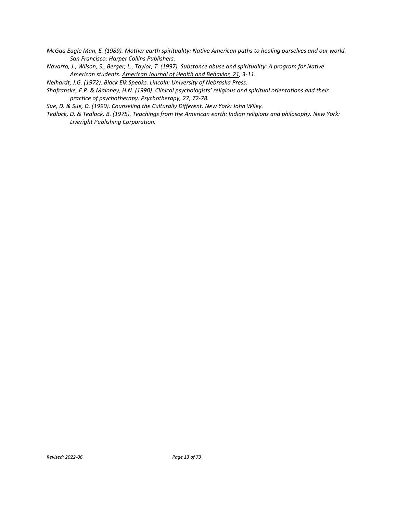- *McGaa Eagle Man, E. (1989). Mother earth spirituality: Native American paths to healing ourselves and our world. San Francisco: Harper Collins Publishers.*
- *Navarro, J., Wilson, S., Berger, L., Taylor, T. (1997). Substance abuse and spirituality: A program for Native American students. American Journal of Health and Behavior, 21, 3-11.*

*Neihardt, J.G. (1972). Black Elk Speaks. Lincoln: University of Nebraska Press.*

*Shafranske, E.P. & Maloney, H.N. (1990). Clinical psychologists' religious and spiritual orientations and their practice of psychotherapy. Psychotherapy, 27, 72-78.*

*Sue, D. & Sue, D. (1990). Counseling the Culturally Different. New York: John Wiley.*

*Tedlock, D. & Tedlock, B. (1975). Teachings from the American earth: Indian religions and philosophy. New York: Liveright Publishing Corporation.*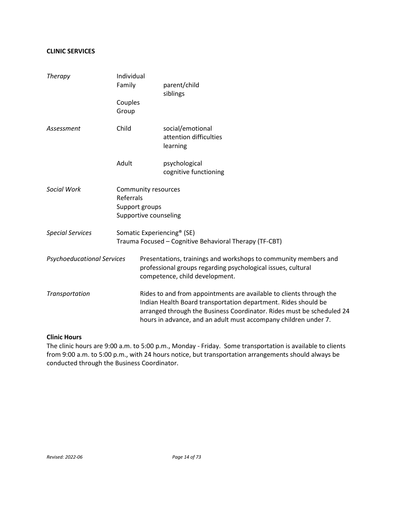# **CLINIC SERVICES**

| Therapy                           | Individual<br>Family                                                        | parent/child<br>siblings                                                                                                                                                                                                                                                          |  |  |  |  |
|-----------------------------------|-----------------------------------------------------------------------------|-----------------------------------------------------------------------------------------------------------------------------------------------------------------------------------------------------------------------------------------------------------------------------------|--|--|--|--|
|                                   | Couples<br>Group                                                            |                                                                                                                                                                                                                                                                                   |  |  |  |  |
| Assessment                        | Child                                                                       | social/emotional<br>attention difficulties<br>learning                                                                                                                                                                                                                            |  |  |  |  |
|                                   | Adult                                                                       | psychological<br>cognitive functioning                                                                                                                                                                                                                                            |  |  |  |  |
| Social Work                       | Community resources<br>Referrals<br>Support groups<br>Supportive counseling |                                                                                                                                                                                                                                                                                   |  |  |  |  |
| <b>Special Services</b>           |                                                                             | Somatic Experiencing <sup>®</sup> (SE)<br>Trauma Focused - Cognitive Behavioral Therapy (TF-CBT)                                                                                                                                                                                  |  |  |  |  |
| <b>Psychoeducational Services</b> |                                                                             | Presentations, trainings and workshops to community members and<br>professional groups regarding psychological issues, cultural<br>competence, child development.                                                                                                                 |  |  |  |  |
| Transportation                    |                                                                             | Rides to and from appointments are available to clients through the<br>Indian Health Board transportation department. Rides should be<br>arranged through the Business Coordinator. Rides must be scheduled 24<br>hours in advance, and an adult must accompany children under 7. |  |  |  |  |

#### **Clinic Hours**

The clinic hours are 9:00 a.m. to 5:00 p.m., Monday - Friday. Some transportation is available to clients from 9:00 a.m. to 5:00 p.m., with 24 hours notice, but transportation arrangements should always be conducted through the Business Coordinator.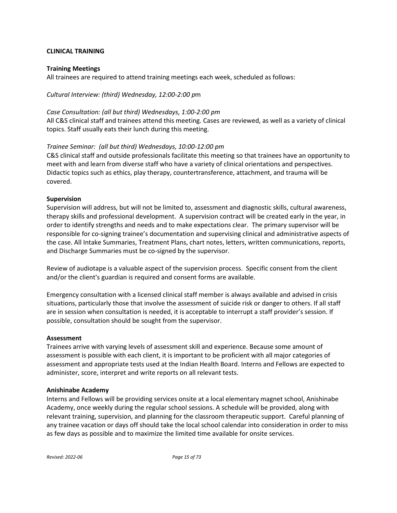# **CLINICAL TRAINING**

# **Training Meetings**

All trainees are required to attend training meetings each week, scheduled as follows:

# *Cultural Interview: (third) Wednesday, 12:00-2:00 p*m

# *Case Consultation: (all but third) Wednesdays, 1:00-2:00 pm*

All C&S clinical staff and trainees attend this meeting. Cases are reviewed, as well as a variety of clinical topics. Staff usually eats their lunch during this meeting.

# *Trainee Seminar: (all but third) Wednesdays, 10:00-12:00 pm*

C&S clinical staff and outside professionals facilitate this meeting so that trainees have an opportunity to meet with and learn from diverse staff who have a variety of clinical orientations and perspectives. Didactic topics such as ethics, play therapy, countertransference, attachment, and trauma will be covered.

# **Supervision**

Supervision will address, but will not be limited to, assessment and diagnostic skills, cultural awareness, therapy skills and professional development. A supervision contract will be created early in the year, in order to identify strengths and needs and to make expectations clear. The primary supervisor will be responsible for co-signing trainee's documentation and supervising clinical and administrative aspects of the case. All Intake Summaries, Treatment Plans, chart notes, letters, written communications, reports, and Discharge Summaries must be co-signed by the supervisor.

Review of audiotape is a valuable aspect of the supervision process. Specific consent from the client and/or the client's guardian is required and consent forms are available.

Emergency consultation with a licensed clinical staff member is always available and advised in crisis situations, particularly those that involve the assessment of suicide risk or danger to others. If all staff are in session when consultation is needed, it is acceptable to interrupt a staff provider's session. If possible, consultation should be sought from the supervisor.

# **Assessment**

Trainees arrive with varying levels of assessment skill and experience. Because some amount of assessment is possible with each client, it is important to be proficient with all major categories of assessment and appropriate tests used at the Indian Health Board. Interns and Fellows are expected to administer, score, interpret and write reports on all relevant tests.

# **Anishinabe Academy**

Interns and Fellows will be providing services onsite at a local elementary magnet school, Anishinabe Academy, once weekly during the regular school sessions. A schedule will be provided, along with relevant training, supervision, and planning for the classroom therapeutic support. Careful planning of any trainee vacation or days off should take the local school calendar into consideration in order to miss as few days as possible and to maximize the limited time available for onsite services.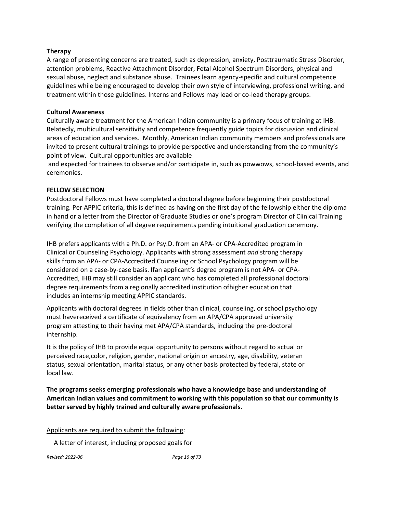#### **Therapy**

A range of presenting concerns are treated, such as depression, anxiety, Posttraumatic Stress Disorder, attention problems, Reactive Attachment Disorder, Fetal Alcohol Spectrum Disorders, physical and sexual abuse, neglect and substance abuse. Trainees learn agency-specific and cultural competence guidelines while being encouraged to develop their own style of interviewing, professional writing, and treatment within those guidelines. Interns and Fellows may lead or co-lead therapy groups.

#### **Cultural Awareness**

Culturally aware treatment for the American Indian community is a primary focus of training at IHB. Relatedly, multicultural sensitivity and competence frequently guide topics for discussion and clinical areas of education and services. Monthly, American Indian community members and professionals are invited to present cultural trainings to provide perspective and understanding from the community's point of view. Cultural opportunities are available

and expected for trainees to observe and/or participate in, such as powwows, school-based events, and ceremonies.

# **FELLOW SELECTION**

Postdoctoral Fellows must have completed a doctoral degree before beginning their postdoctoral training. Per APPIC criteria, this is defined as having on the first day of the fellowship either the diploma in hand or a letter from the Director of Graduate Studies or one's program Director of Clinical Training verifying the completion of all degree requirements pending intuitional graduation ceremony.

IHB prefers applicants with a Ph.D. or Psy.D. from an APA- or CPA-Accredited program in Clinical or Counseling Psychology. Applicants with strong assessment *and* strong therapy skills from an APA- or CPA-Accredited Counseling or School Psychology program will be considered on a case-by-case basis. Ifan applicant's degree program is not APA- or CPA-Accredited, IHB may still consider an applicant who has completed all professional doctoral degree requirements from a regionally accredited institution ofhigher education that includes an internship meeting APPIC standards.

Applicants with doctoral degrees in fields other than clinical, counseling, or school psychology must havereceived a certificate of equivalency from an APA/CPA approved university program attesting to their having met APA/CPA standards, including the pre-doctoral internship.

It is the policy of IHB to provide equal opportunity to persons without regard to actual or perceived race,color, religion, gender, national origin or ancestry, age, disability, veteran status, sexual orientation, marital status, or any other basis protected by federal, state or local law.

**The programs seeks emerging professionals who have a knowledge base and understanding of American Indian values and commitment to working with this population so that our community is better served by highly trained and culturally aware professionals.**

Applicants are required to submit the following:

A letter of interest, including proposed goals for

*Revised: 2022-06 Page 16 of 73*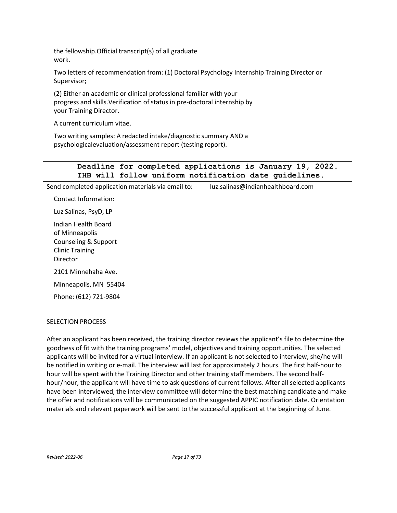the fellowship.Official transcript(s) of all graduate work.

Two letters of recommendation from: (1) Doctoral Psychology Internship Training Director or Supervisor;

(2) Either an academic or clinical professional familiar with your progress and skills.Verification of status in pre-doctoral internship by your Training Director.

A current curriculum vitae.

Two writing samples: A redacted intake/diagnostic summary AND a psychologicalevaluation/assessment report (testing report).

# **Deadline for completed applications is January 19, 2022. IHB will follow uniform notification date guidelines.**

Send completed application materials via email to: [luz.salinas@indianhealthboard.com](mailto:luz.salinas@indianhealthboard.com)

Contact Information:

Luz Salinas, PsyD, LP

Indian Health Board of Minneapolis Counseling & Support Clinic Training Director

2101 Minnehaha Ave.

Minneapolis, MN 55404

Phone: (612) 721-9804

# SELECTION PROCESS

After an applicant has been received, the training director reviews the applicant's file to determine the goodness of fit with the training programs' model, objectives and training opportunities. The selected applicants will be invited for a virtual interview. If an applicant is not selected to interview, she/he will be notified in writing or e-mail. The interview will last for approximately 2 hours. The first half-hour to hour will be spent with the Training Director and other training staff members. The second halfhour/hour, the applicant will have time to ask questions of current fellows. After all selected applicants have been interviewed, the interview committee will determine the best matching candidate and make the offer and notifications will be communicated on the suggested APPIC notification date. Orientation materials and relevant paperwork will be sent to the successful applicant at the beginning of June.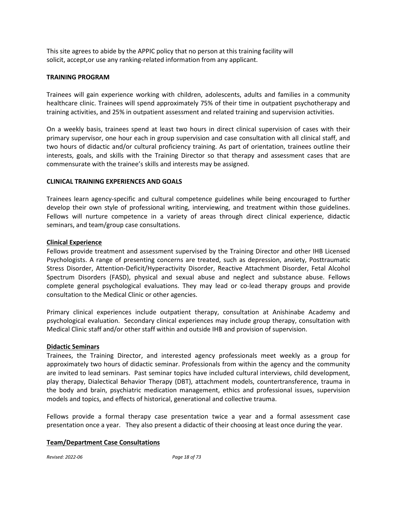This site agrees to abide by the APPIC policy that no person at this training facility will solicit, accept,or use any ranking-related information from any applicant.

# **TRAINING PROGRAM**

Trainees will gain experience working with children, adolescents, adults and families in a community healthcare clinic. Trainees will spend approximately 75% of their time in outpatient psychotherapy and training activities, and 25% in outpatient assessment and related training and supervision activities.

On a weekly basis, trainees spend at least two hours in direct clinical supervision of cases with their primary supervisor, one hour each in group supervision and case consultation with all clinical staff, and two hours of didactic and/or cultural proficiency training. As part of orientation, trainees outline their interests, goals, and skills with the Training Director so that therapy and assessment cases that are commensurate with the trainee's skills and interests may be assigned.

# **CLINICAL TRAINING EXPERIENCES AND GOALS**

Trainees learn agency-specific and cultural competence guidelines while being encouraged to further develop their own style of professional writing, interviewing, and treatment within those guidelines. Fellows will nurture competence in a variety of areas through direct clinical experience, didactic seminars, and team/group case consultations.

#### **Clinical Experience**

Fellows provide treatment and assessment supervised by the Training Director and other IHB Licensed Psychologists. A range of presenting concerns are treated, such as depression, anxiety, Posttraumatic Stress Disorder, Attention-Deficit/Hyperactivity Disorder, Reactive Attachment Disorder, Fetal Alcohol Spectrum Disorders (FASD), physical and sexual abuse and neglect and substance abuse. Fellows complete general psychological evaluations. They may lead or co-lead therapy groups and provide consultation to the Medical Clinic or other agencies.

Primary clinical experiences include outpatient therapy, consultation at Anishinabe Academy and psychological evaluation. Secondary clinical experiences may include group therapy, consultation with Medical Clinic staff and/or other staff within and outside IHB and provision of supervision.

#### **Didactic Seminars**

Trainees, the Training Director, and interested agency professionals meet weekly as a group for approximately two hours of didactic seminar. Professionals from within the agency and the community are invited to lead seminars. Past seminar topics have included cultural interviews, child development, play therapy, Dialectical Behavior Therapy (DBT), attachment models, countertransference, trauma in the body and brain, psychiatric medication management, ethics and professional issues, supervision models and topics, and effects of historical, generational and collective trauma.

Fellows provide a formal therapy case presentation twice a year and a formal assessment case presentation once a year. They also present a didactic of their choosing at least once during the year.

# **Team/Department Case Consultations**

*Revised: 2022-06 Page 18 of 73*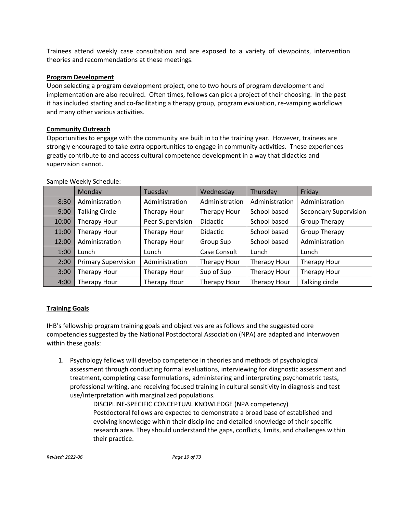Trainees attend weekly case consultation and are exposed to a variety of viewpoints, intervention theories and recommendations at these meetings.

# **Program Development**

Upon selecting a program development project, one to two hours of program development and implementation are also required. Often times, fellows can pick a project of their choosing. In the past it has included starting and co-facilitating a therapy group, program evaluation, re-vamping workflows and many other various activities.

# **Community Outreach**

Opportunities to engage with the community are built in to the training year. However, trainees are strongly encouraged to take extra opportunities to engage in community activities. These experiences greatly contribute to and access cultural competence development in a way that didactics and supervision cannot.

|       | Monday                     | Tuesday             | Wednesday       | Thursday       | Friday                       |
|-------|----------------------------|---------------------|-----------------|----------------|------------------------------|
| 8:30  | Administration             | Administration      | Administration  | Administration | Administration               |
| 9:00  | <b>Talking Circle</b>      | <b>Therapy Hour</b> | Therapy Hour    | School based   | <b>Secondary Supervision</b> |
| 10:00 | Therapy Hour               | Peer Supervision    | <b>Didactic</b> | School based   | Group Therapy                |
| 11:00 | Therapy Hour               | Therapy Hour        | <b>Didactic</b> | School based   | Group Therapy                |
| 12:00 | Administration             | Therapy Hour        | Group Sup       | School based   | Administration               |
| 1:00  | Lunch                      | Lunch               | Case Consult    | Lunch          | Lunch                        |
| 2:00  | <b>Primary Supervision</b> | Administration      | Therapy Hour    | Therapy Hour   | Therapy Hour                 |
| 3:00  | Therapy Hour               | <b>Therapy Hour</b> | Sup of Sup      | Therapy Hour   | Therapy Hour                 |
| 4:00  | Therapy Hour               | Therapy Hour        | Therapy Hour    | Therapy Hour   | Talking circle               |

Sample Weekly Schedule:

# **Training Goals**

IHB's fellowship program training goals and objectives are as follows and the suggested core competencies suggested by the National Postdoctoral Association (NPA) are adapted and interwoven within these goals:

1. Psychology fellows will develop competence in theories and methods of psychological assessment through conducting formal evaluations, interviewing for diagnostic assessment and treatment, completing case formulations, administering and interpreting psychometric tests, professional writing, and receiving focused training in cultural sensitivity in diagnosis and test use/interpretation with marginalized populations.

> DISCIPLINE-SPECIFIC CONCEPTUAL KNOWLEDGE (NPA competency) Postdoctoral fellows are expected to demonstrate a broad base of established and evolving knowledge within their discipline and detailed knowledge of their specific research area. They should understand the gaps, conflicts, limits, and challenges within their practice.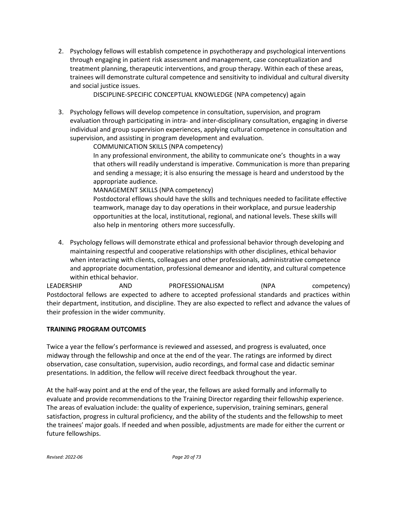2. Psychology fellows will establish competence in psychotherapy and psychological interventions through engaging in patient risk assessment and management, case conceptualization and treatment planning, therapeutic interventions, and group therapy. Within each of these areas, trainees will demonstrate cultural competence and sensitivity to individual and cultural diversity and social justice issues.

DISCIPLINE-SPECIFIC CONCEPTUAL KNOWLEDGE (NPA competency) again

3. Psychology fellows will develop competence in consultation, supervision, and program evaluation through participating in intra- and inter-disciplinary consultation, engaging in diverse individual and group supervision experiences, applying cultural competence in consultation and supervision, and assisting in program development and evaluation.

COMMUNICATION SKILLS (NPA competency)

In any professional environment, the ability to communicate one's thoughts in a way that others will readily understand is imperative. Communication is more than preparing and sending a message; it is also ensuring the message is heard and understood by the appropriate audience.

MANAGEMENT SKILLS (NPA competency)

Postdoctoral efllows should have the skills and techniques needed to facilitate effective teamwork, manage day to day operations in their workplace, and pursue leadership opportunities at the local, institutional, regional, and national levels. These skills will also help in mentoring others more successfully.

4. Psychology fellows will demonstrate ethical and professional behavior through developing and maintaining respectful and cooperative relationships with other disciplines, ethical behavior when interacting with clients, colleagues and other professionals, administrative competence and appropriate documentation, professional demeanor and identity, and cultural competence within ethical behavior.

LEADERSHIP AND PROFESSIONALISM (NPA competency) Postdoctoral fellows are expected to adhere to accepted professional standards and practices within their department, institution, and discipline. They are also expected to reflect and advance the values of their profession in the wider community.

# **TRAINING PROGRAM OUTCOMES**

Twice a year the fellow's performance is reviewed and assessed, and progress is evaluated, once midway through the fellowship and once at the end of the year. The ratings are informed by direct observation, case consultation, supervision, audio recordings, and formal case and didactic seminar presentations. In addition, the fellow will receive direct feedback throughout the year.

At the half-way point and at the end of the year, the fellows are asked formally and informally to evaluate and provide recommendations to the Training Director regarding their fellowship experience. The areas of evaluation include: the quality of experience, supervision, training seminars, general satisfaction, progress in cultural proficiency, and the ability of the students and the fellowship to meet the trainees' major goals. If needed and when possible, adjustments are made for either the current or future fellowships.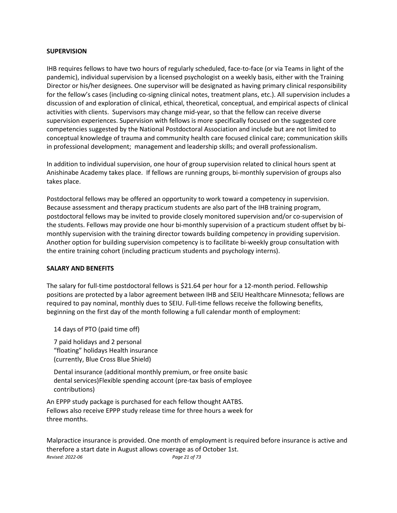#### **SUPERVISION**

IHB requires fellows to have two hours of regularly scheduled, face-to-face (or via Teams in light of the pandemic), individual supervision by a licensed psychologist on a weekly basis, either with the Training Director or his/her designees. One supervisor will be designated as having primary clinical responsibility for the fellow's cases (including co-signing clinical notes, treatment plans, etc.). All supervision includes a discussion of and exploration of clinical, ethical, theoretical, conceptual, and empirical aspects of clinical activities with clients. Supervisors may change mid-year, so that the fellow can receive diverse supervision experiences. Supervision with fellows is more specifically focused on the suggested core competencies suggested by the National Postdoctoral Association and include but are not limited to conceptual knowledge of trauma and community health care focused clinical care; communication skills in professional development; management and leadership skills; and overall professionalism.

In addition to individual supervision, one hour of group supervision related to clinical hours spent at Anishinabe Academy takes place. If fellows are running groups, bi-monthly supervision of groups also takes place.

Postdoctoral fellows may be offered an opportunity to work toward a competency in supervision. Because assessment and therapy practicum students are also part of the IHB training program, postdoctoral fellows may be invited to provide closely monitored supervision and/or co-supervision of the students. Fellows may provide one hour bi-monthly supervision of a practicum student offset by bimonthly supervision with the training director towards building competency in providing supervision. Another option for building supervision competency is to facilitate bi-weekly group consultation with the entire training cohort (including practicum students and psychology interns).

# **SALARY AND BENEFITS**

The salary for full-time postdoctoral fellows is \$21.64 per hour for a 12-month period. Fellowship positions are protected by a labor agreement between IHB and SEIU Healthcare Minnesota; fellows are required to pay nominal, monthly dues to SEIU. Full-time fellows receive the following benefits, beginning on the first day of the month following a full calendar month of employment:

14 days of PTO (paid time off)

7 paid holidays and 2 personal "floating" holidays Health insurance (currently, Blue Cross Blue Shield)

Dental insurance (additional monthly premium, or free onsite basic dental services)Flexible spending account (pre-tax basis of employee contributions)

An EPPP study package is purchased for each fellow thought AATBS. Fellows also receive EPPP study release time for three hours a week for three months.

*Revised: 2022-06 Page 21 of 73* Malpractice insurance is provided. One month of employment is required before insurance is active and therefore a start date in August allows coverage as of October 1st.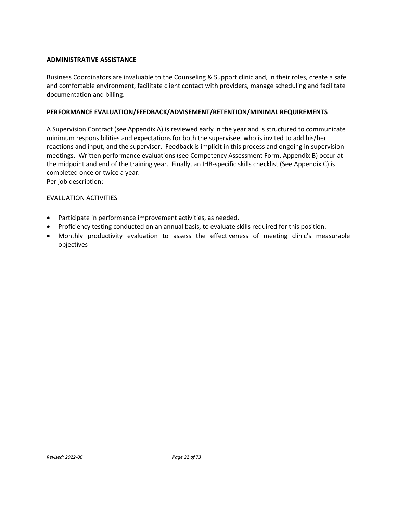# **ADMINISTRATIVE ASSISTANCE**

Business Coordinators are invaluable to the Counseling & Support clinic and, in their roles, create a safe and comfortable environment, facilitate client contact with providers, manage scheduling and facilitate documentation and billing.

#### **PERFORMANCE EVALUATION/FEEDBACK/ADVISEMENT/RETENTION/MINIMAL REQUIREMENTS**

A Supervision Contract (see Appendix A) is reviewed early in the year and is structured to communicate minimum responsibilities and expectations for both the supervisee, who is invited to add his/her reactions and input, and the supervisor. Feedback is implicit in this process and ongoing in supervision meetings. Written performance evaluations (see Competency Assessment Form, Appendix B) occur at the midpoint and end of the training year. Finally, an IHB-specific skills checklist (See Appendix C) is completed once or twice a year.

Per job description:

#### EVALUATION ACTIVITIES

- Participate in performance improvement activities, as needed.
- Proficiency testing conducted on an annual basis, to evaluate skills required for this position.
- Monthly productivity evaluation to assess the effectiveness of meeting clinic's measurable objectives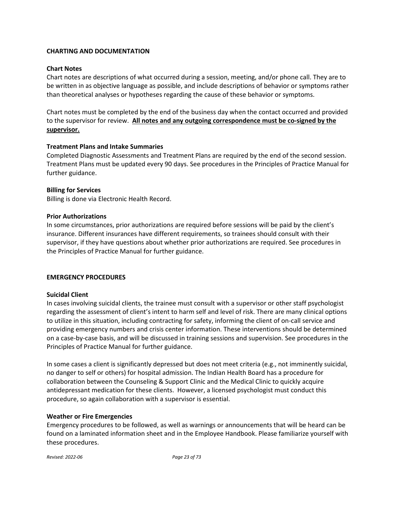# **CHARTING AND DOCUMENTATION**

# **Chart Notes**

Chart notes are descriptions of what occurred during a session, meeting, and/or phone call. They are to be written in as objective language as possible, and include descriptions of behavior or symptoms rather than theoretical analyses or hypotheses regarding the cause of these behavior or symptoms.

Chart notes must be completed by the end of the business day when the contact occurred and provided to the supervisor for review. **All notes and any outgoing correspondence must be co-signed by the supervisor.**

# **Treatment Plans and Intake Summaries**

Completed Diagnostic Assessments and Treatment Plans are required by the end of the second session. Treatment Plans must be updated every 90 days. See procedures in the Principles of Practice Manual for further guidance.

# **Billing for Services**

Billing is done via Electronic Health Record.

# **Prior Authorizations**

In some circumstances, prior authorizations are required before sessions will be paid by the client's insurance. Different insurances have different requirements, so trainees should consult with their supervisor, if they have questions about whether prior authorizations are required. See procedures in the Principles of Practice Manual for further guidance.

# **EMERGENCY PROCEDURES**

# **Suicidal Client**

In cases involving suicidal clients, the trainee must consult with a supervisor or other staff psychologist regarding the assessment of client's intent to harm self and level of risk. There are many clinical options to utilize in this situation, including contracting for safety, informing the client of on-call service and providing emergency numbers and crisis center information. These interventions should be determined on a case-by-case basis, and will be discussed in training sessions and supervision. See procedures in the Principles of Practice Manual for further guidance.

In some cases a client is significantly depressed but does not meet criteria (e.g., not imminently suicidal, no danger to self or others) for hospital admission. The Indian Health Board has a procedure for collaboration between the Counseling & Support Clinic and the Medical Clinic to quickly acquire antidepressant medication for these clients. However, a licensed psychologist must conduct this procedure, so again collaboration with a supervisor is essential.

# **Weather or Fire Emergencies**

Emergency procedures to be followed, as well as warnings or announcements that will be heard can be found on a laminated information sheet and in the Employee Handbook. Please familiarize yourself with these procedures.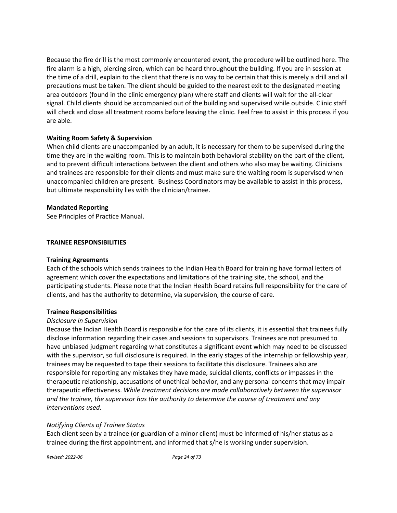Because the fire drill is the most commonly encountered event, the procedure will be outlined here. The fire alarm is a high, piercing siren, which can be heard throughout the building. If you are in session at the time of a drill, explain to the client that there is no way to be certain that this is merely a drill and all precautions must be taken. The client should be guided to the nearest exit to the designated meeting area outdoors (found in the clinic emergency plan) where staff and clients will wait for the all-clear signal. Child clients should be accompanied out of the building and supervised while outside. Clinic staff will check and close all treatment rooms before leaving the clinic. Feel free to assist in this process if you are able.

# **Waiting Room Safety & Supervision**

When child clients are unaccompanied by an adult, it is necessary for them to be supervised during the time they are in the waiting room. This is to maintain both behavioral stability on the part of the client, and to prevent difficult interactions between the client and others who also may be waiting. Clinicians and trainees are responsible for their clients and must make sure the waiting room is supervised when unaccompanied children are present. Business Coordinators may be available to assist in this process, but ultimate responsibility lies with the clinician/trainee.

#### **Mandated Reporting**

See Principles of Practice Manual.

#### **TRAINEE RESPONSIBILITIES**

#### **Training Agreements**

Each of the schools which sends trainees to the Indian Health Board for training have formal letters of agreement which cover the expectations and limitations of the training site, the school, and the participating students. Please note that the Indian Health Board retains full responsibility for the care of clients, and has the authority to determine, via supervision, the course of care.

#### **Trainee Responsibilities**

#### *Disclosure in Supervision*

Because the Indian Health Board is responsible for the care of its clients, it is essential that trainees fully disclose information regarding their cases and sessions to supervisors. Trainees are not presumed to have unbiased judgment regarding what constitutes a significant event which may need to be discussed with the supervisor, so full disclosure is required. In the early stages of the internship or fellowship year, trainees may be requested to tape their sessions to facilitate this disclosure. Trainees also are responsible for reporting any mistakes they have made, suicidal clients, conflicts or impasses in the therapeutic relationship, accusations of unethical behavior, and any personal concerns that may impair therapeutic effectiveness. *While treatment decisions are made collaboratively between the supervisor and the trainee, the supervisor has the authority to determine the course of treatment and any interventions used.*

# *Notifying Clients of Trainee Status*

Each client seen by a trainee (or guardian of a minor client) must be informed of his/her status as a trainee during the first appointment, and informed that s/he is working under supervision.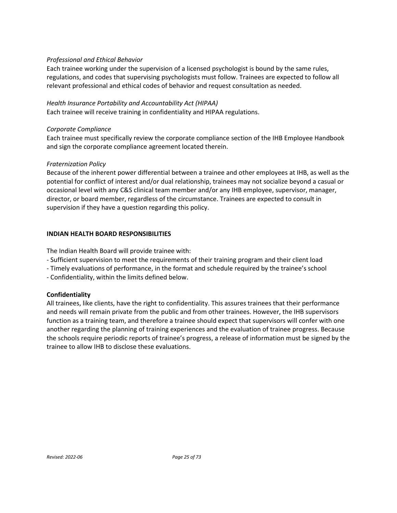# *Professional and Ethical Behavior*

Each trainee working under the supervision of a licensed psychologist is bound by the same rules, regulations, and codes that supervising psychologists must follow. Trainees are expected to follow all relevant professional and ethical codes of behavior and request consultation as needed.

# *Health Insurance Portability and Accountability Act (HIPAA)*

Each trainee will receive training in confidentiality and HIPAA regulations.

# *Corporate Compliance*

Each trainee must specifically review the corporate compliance section of the IHB Employee Handbook and sign the corporate compliance agreement located therein.

# *Fraternization Policy*

Because of the inherent power differential between a trainee and other employees at IHB, as well as the potential for conflict of interest and/or dual relationship, trainees may not socialize beyond a casual or occasional level with any C&S clinical team member and/or any IHB employee, supervisor, manager, director, or board member, regardless of the circumstance. Trainees are expected to consult in supervision if they have a question regarding this policy.

# **INDIAN HEALTH BOARD RESPONSIBILITIES**

The Indian Health Board will provide trainee with:

- Sufficient supervision to meet the requirements of their training program and their client load
- Timely evaluations of performance, in the format and schedule required by the trainee's school
- Confidentiality, within the limits defined below.

# **Confidentiality**

All trainees, like clients, have the right to confidentiality. This assures trainees that their performance and needs will remain private from the public and from other trainees. However, the IHB supervisors function as a training team, and therefore a trainee should expect that supervisors will confer with one another regarding the planning of training experiences and the evaluation of trainee progress. Because the schools require periodic reports of trainee's progress, a release of information must be signed by the trainee to allow IHB to disclose these evaluations.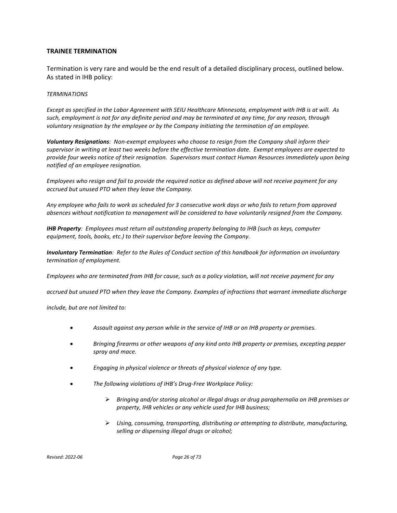#### **TRAINEE TERMINATION**

Termination is very rare and would be the end result of a detailed disciplinary process, outlined below. As stated in IHB policy:

#### *TERMINATIONS*

*Except as specified in the Labor Agreement with SEIU Healthcare Minnesota, employment with IHB is at will. As such, employment is not for any definite period and may be terminated at any time, for any reason, through voluntary resignation by the employee or by the Company initiating the termination of an employee.*

*Voluntary Resignations: Non-exempt employees who choose to resign from the Company shall inform their supervisor in writing at least two weeks before the effective termination date. Exempt employees are expected to provide four weeks notice of their resignation. Supervisors must contact Human Resources immediately upon being notified of an employee resignation.*

*Employees who resign and fail to provide the required notice as defined above will not receive payment for any accrued but unused PTO when they leave the Company.*

*Any employee who fails to work as scheduled for 3 consecutive work days or who fails to return from approved absences without notification to management will be considered to have voluntarily resigned from the Company.*

*IHB Property: Employees must return all outstanding property belonging to IHB (such as keys, computer equipment, tools, books, etc.) to their supervisor before leaving the Company.*

*Involuntary Termination: Refer to the Rules of Conduct section of this handbook for information on involuntary termination of employment.*

*Employees who are terminated from IHB for cause, such as a policy violation, will not receive payment for any* 

*accrued but unused PTO when they leave the Company. Examples of infractions that warrant immediate discharge* 

*include, but are not limited to:*

- *Assault against any person while in the service of IHB or on IHB property or premises.*
- *Bringing firearms or other weapons of any kind onto IHB property or premises, excepting pepper spray and mace.*
- *Engaging in physical violence or threats of physical violence of any type.*
- *The following violations of IHB's Drug-Free Workplace Policy:*
	- *Bringing and/or storing alcohol or illegal drugs or drug paraphernalia on IHB premises or property, IHB vehicles or any vehicle used for IHB business;*
	- *Using, consuming, transporting, distributing or attempting to distribute, manufacturing, selling or dispensing illegal drugs or alcohol;*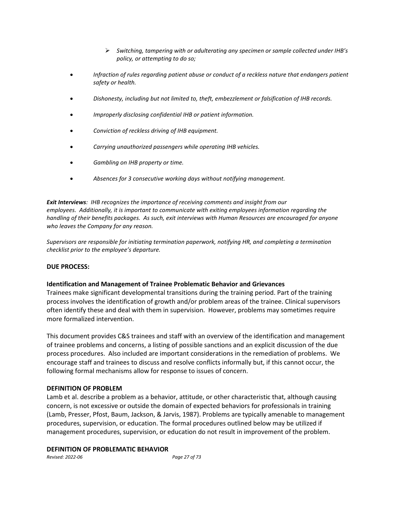- *Switching, tampering with or adulterating any specimen or sample collected under IHB's policy, or attempting to do so;*
- *Infraction of rules regarding patient abuse or conduct of a reckless nature that endangers patient safety or health.*
- *Dishonesty, including but not limited to, theft, embezzlement or falsification of IHB records.*
- *Improperly disclosing confidential IHB or patient information.*
- *Conviction of reckless driving of IHB equipment.*
- *Carrying unauthorized passengers while operating IHB vehicles.*
- *Gambling on IHB property or time.*
- *Absences for 3 consecutive working days without notifying management.*

*Exit Interviews: IHB recognizes the importance of receiving comments and insight from our employees. Additionally, it is important to communicate with exiting employees information regarding the handling of their benefits packages. As such, exit interviews with Human Resources are encouraged for anyone who leaves the Company for any reason.*

*Supervisors are responsible for initiating termination paperwork, notifying HR, and completing a termination checklist prior to the employee's departure.*

#### **DUE PROCESS:**

#### **Identification and Management of Trainee Problematic Behavior and Grievances**

Trainees make significant developmental transitions during the training period. Part of the training process involves the identification of growth and/or problem areas of the trainee. Clinical supervisors often identify these and deal with them in supervision. However, problems may sometimes require more formalized intervention.

This document provides C&S trainees and staff with an overview of the identification and management of trainee problems and concerns, a listing of possible sanctions and an explicit discussion of the due process procedures. Also included are important considerations in the remediation of problems. We encourage staff and trainees to discuss and resolve conflicts informally but, if this cannot occur, the following formal mechanisms allow for response to issues of concern.

#### **DEFINITION OF PROBLEM**

Lamb et al. describe a problem as a behavior, attitude, or other characteristic that, although causing concern, is not excessive or outside the domain of expected behaviors for professionals in training (Lamb, Presser, Pfost, Baum, Jackson, & Jarvis, 1987). Problems are typically amenable to management procedures, supervision, or education. The formal procedures outlined below may be utilized if management procedures, supervision, or education do not result in improvement of the problem.

#### **DEFINITION OF PROBLEMATIC BEHAVIOR**

*Revised: 2022-06 Page 27 of 73*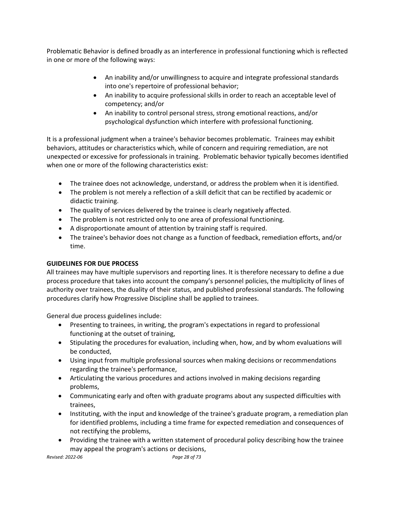Problematic Behavior is defined broadly as an interference in professional functioning which is reflected in one or more of the following ways:

- An inability and/or unwillingness to acquire and integrate professional standards into one's repertoire of professional behavior;
- An inability to acquire professional skills in order to reach an acceptable level of competency; and/or
- An inability to control personal stress, strong emotional reactions, and/or psychological dysfunction which interfere with professional functioning.

It is a professional judgment when a trainee's behavior becomes problematic. Trainees may exhibit behaviors, attitudes or characteristics which, while of concern and requiring remediation, are not unexpected or excessive for professionals in training. Problematic behavior typically becomes identified when one or more of the following characteristics exist:

- The trainee does not acknowledge, understand, or address the problem when it is identified.
- The problem is not merely a reflection of a skill deficit that can be rectified by academic or didactic training.
- The quality of services delivered by the trainee is clearly negatively affected.
- The problem is not restricted only to one area of professional functioning.
- A disproportionate amount of attention by training staff is required.
- The trainee's behavior does not change as a function of feedback, remediation efforts, and/or time.

# **GUIDELINES FOR DUE PROCESS**

All trainees may have multiple supervisors and reporting lines. It is therefore necessary to define a due process procedure that takes into account the company's personnel policies, the multiplicity of lines of authority over trainees, the duality of their status, and published professional standards. The following procedures clarify how Progressive Discipline shall be applied to trainees.

General due process guidelines include:

- Presenting to trainees, in writing, the program's expectations in regard to professional functioning at the outset of training,
- Stipulating the procedures for evaluation, including when, how, and by whom evaluations will be conducted,
- Using input from multiple professional sources when making decisions or recommendations regarding the trainee's performance,
- Articulating the various procedures and actions involved in making decisions regarding problems,
- Communicating early and often with graduate programs about any suspected difficulties with trainees,
- Instituting, with the input and knowledge of the trainee's graduate program, a remediation plan for identified problems, including a time frame for expected remediation and consequences of not rectifying the problems,
- Providing the trainee with a written statement of procedural policy describing how the trainee may appeal the program's actions or decisions,

*Revised: 2022-06 Page 28 of 73*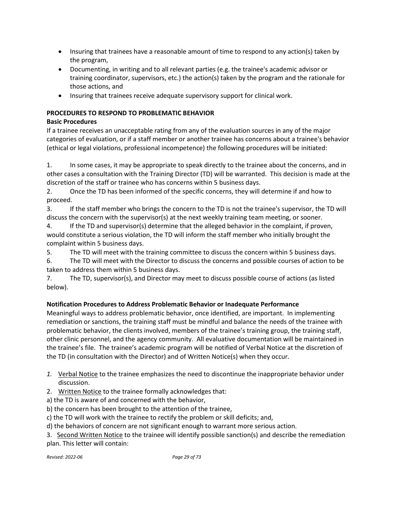- Insuring that trainees have a reasonable amount of time to respond to any action(s) taken by the program,
- Documenting, in writing and to all relevant parties (e.g. the trainee's academic advisor or training coordinator, supervisors, etc.) the action(s) taken by the program and the rationale for those actions, and
- Insuring that trainees receive adequate supervisory support for clinical work.

# **PROCEDURES TO RESPOND TO PROBLEMATIC BEHAVIOR**

# **Basic Procedures**

If a trainee receives an unacceptable rating from any of the evaluation sources in any of the major categories of evaluation, or if a staff member or another trainee has concerns about a trainee's behavior (ethical or legal violations, professional incompetence) the following procedures will be initiated:

1. In some cases, it may be appropriate to speak directly to the trainee about the concerns, and in other cases a consultation with the Training Director (TD) will be warranted. This decision is made at the discretion of the staff or trainee who has concerns within 5 business days.

2. Once the TD has been informed of the specific concerns, they will determine if and how to proceed.

3. If the staff member who brings the concern to the TD is not the trainee's supervisor, the TD will discuss the concern with the supervisor(s) at the next weekly training team meeting, or sooner.

4. If the TD and supervisor(s) determine that the alleged behavior in the complaint, if proven, would constitute a serious violation, the TD will inform the staff member who initially brought the complaint within 5 business days.

5. The TD will meet with the training committee to discuss the concern within 5 business days.

6. The TD will meet with the Director to discuss the concerns and possible courses of action to be taken to address them within 5 business days.

7. The TD, supervisor(s), and Director may meet to discuss possible course of actions (as listed below).

# **Notification Procedures to Address Problematic Behavior or Inadequate Performance**

Meaningful ways to address problematic behavior, once identified, are important. In implementing remediation or sanctions, the training staff must be mindful and balance the needs of the trainee with problematic behavior, the clients involved, members of the trainee's training group, the training staff, other clinic personnel, and the agency community. All evaluative documentation will be maintained in the trainee's file. The trainee's academic program will be notified of Verbal Notice at the discretion of the TD (in consultation with the Director) and of Written Notice(s) when they occur.

- *1.* Verbal Notice to the trainee emphasizes the need to discontinue the inappropriate behavior under discussion.
- 2. Written Notice to the trainee formally acknowledges that:
- a) the TD is aware of and concerned with the behavior,
- b) the concern has been brought to the attention of the trainee,
- c) the TD will work with the trainee to rectify the problem or skill deficits; and,
- d) the behaviors of concern are not significant enough to warrant more serious action.

3. Second Written Notice to the trainee will identify possible sanction(s) and describe the remediation plan. This letter will contain: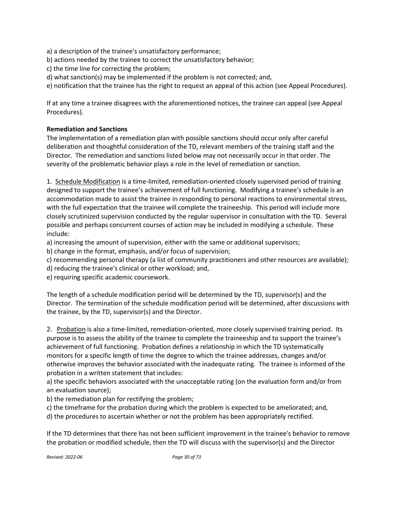a) a description of the trainee's unsatisfactory performance;

- b) actions needed by the trainee to correct the unsatisfactory behavior;
- c) the time line for correcting the problem;
- d) what sanction(s) may be implemented if the problem is not corrected; and,

e) notification that the trainee has the right to request an appeal of this action (see Appeal Procedures).

If at any time a trainee disagrees with the aforementioned notices, the trainee can appeal (see Appeal Procedures).

# **Remediation and Sanctions**

The implementation of a remediation plan with possible sanctions should occur only after careful deliberation and thoughtful consideration of the TD, relevant members of the training staff and the Director. The remediation and sanctions listed below may not necessarily occur in that order. The severity of the problematic behavior plays a role in the level of remediation or sanction.

1. Schedule Modification is a time-limited, remediation-oriented closely supervised period of training designed to support the trainee's achievement of full functioning. Modifying a trainee's schedule is an accommodation made to assist the trainee in responding to personal reactions to environmental stress, with the full expectation that the trainee will complete the traineeship. This period will include more closely scrutinized supervision conducted by the regular supervisor in consultation with the TD. Several possible and perhaps concurrent courses of action may be included in modifying a schedule. These include:

a) increasing the amount of supervision, either with the same or additional supervisors;

b) change in the format, emphasis, and/or focus of supervision;

c) recommending personal therapy (a list of community practitioners and other resources are available);

d) reducing the trainee's clinical or other workload; and,

e) requiring specific academic coursework.

The length of a schedule modification period will be determined by the TD, supervisor(s) and the Director. The termination of the schedule modification period will be determined, after discussions with the trainee, by the TD, supervisor(s) and the Director.

2. Probation is also a time-limited, remediation-oriented, more closely supervised training period. Its purpose is to assess the ability of the trainee to complete the traineeship and to support the trainee's achievement of full functioning. Probation defines a relationship in which the TD systematically monitors for a specific length of time the degree to which the trainee addresses, changes and/or otherwise improves the behavior associated with the inadequate rating. The trainee is informed of the probation in a written statement that includes:

a) the specific behaviors associated with the unacceptable rating (on the evaluation form and/or from an evaluation source);

b) the remediation plan for rectifying the problem;

c) the timeframe for the probation during which the problem is expected to be ameliorated; and,

d) the procedures to ascertain whether or not the problem has been appropriately rectified.

If the TD determines that there has not been sufficient improvement in the trainee's behavior to remove the probation or modified schedule, then the TD will discuss with the supervisor(s) and the Director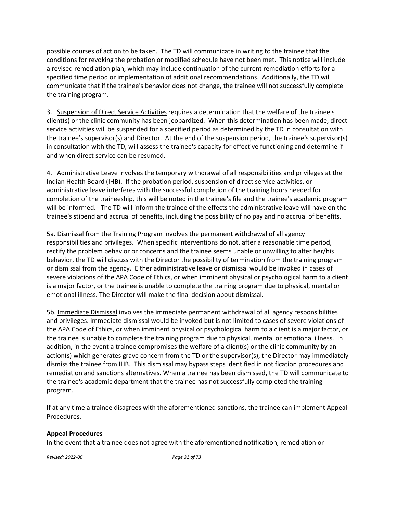possible courses of action to be taken. The TD will communicate in writing to the trainee that the conditions for revoking the probation or modified schedule have not been met. This notice will include a revised remediation plan, which may include continuation of the current remediation efforts for a specified time period or implementation of additional recommendations. Additionally, the TD will communicate that if the trainee's behavior does not change, the trainee will not successfully complete the training program.

3. Suspension of Direct Service Activities requires a determination that the welfare of the trainee's client(s) or the clinic community has been jeopardized. When this determination has been made, direct service activities will be suspended for a specified period as determined by the TD in consultation with the trainee's supervisor(s) and Director. At the end of the suspension period, the trainee's supervisor(s) in consultation with the TD, will assess the trainee's capacity for effective functioning and determine if and when direct service can be resumed.

4. Administrative Leave involves the temporary withdrawal of all responsibilities and privileges at the Indian Health Board (IHB). If the probation period, suspension of direct service activities, or administrative leave interferes with the successful completion of the training hours needed for completion of the traineeship, this will be noted in the trainee's file and the trainee's academic program will be informed. The TD will inform the trainee of the effects the administrative leave will have on the trainee's stipend and accrual of benefits, including the possibility of no pay and no accrual of benefits.

5a. Dismissal from the Training Program involves the permanent withdrawal of all agency responsibilities and privileges. When specific interventions do not, after a reasonable time period, rectify the problem behavior or concerns and the trainee seems unable or unwilling to alter her/his behavior, the TD will discuss with the Director the possibility of termination from the training program or dismissal from the agency. Either administrative leave or dismissal would be invoked in cases of severe violations of the APA Code of Ethics, or when imminent physical or psychological harm to a client is a major factor, or the trainee is unable to complete the training program due to physical, mental or emotional illness. The Director will make the final decision about dismissal.

5b. Immediate Dismissal involves the immediate permanent withdrawal of all agency responsibilities and privileges. Immediate dismissal would be invoked but is not limited to cases of severe violations of the APA Code of Ethics, or when imminent physical or psychological harm to a client is a major factor, or the trainee is unable to complete the training program due to physical, mental or emotional illness. In addition, in the event a trainee compromises the welfare of a client(s) or the clinic community by an action(s) which generates grave concern from the TD or the supervisor(s), the Director may immediately dismiss the trainee from IHB. This dismissal may bypass steps identified in notification procedures and remediation and sanctions alternatives. When a trainee has been dismissed, the TD will communicate to the trainee's academic department that the trainee has not successfully completed the training program.

If at any time a trainee disagrees with the aforementioned sanctions, the trainee can implement Appeal Procedures.

#### **Appeal Procedures**

In the event that a trainee does not agree with the aforementioned notification, remediation or

*Revised: 2022-06 Page 31 of 73*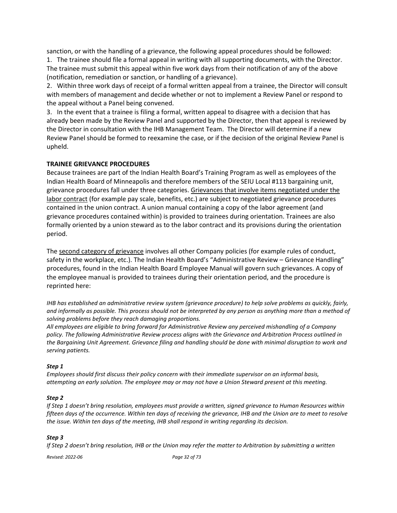sanction, or with the handling of a grievance, the following appeal procedures should be followed:

1. The trainee should file a formal appeal in writing with all supporting documents, with the Director. The trainee must submit this appeal within five work days from their notification of any of the above (notification, remediation or sanction, or handling of a grievance).

2. Within three work days of receipt of a formal written appeal from a trainee, the Director will consult with members of management and decide whether or not to implement a Review Panel or respond to the appeal without a Panel being convened.

3. In the event that a trainee is filing a formal, written appeal to disagree with a decision that has already been made by the Review Panel and supported by the Director, then that appeal is reviewed by the Director in consultation with the IHB Management Team. The Director will determine if a new Review Panel should be formed to reexamine the case, or if the decision of the original Review Panel is upheld.

# **TRAINEE GRIEVANCE PROCEDURES**

Because trainees are part of the Indian Health Board's Training Program as well as employees of the Indian Health Board of Minneapolis and therefore members of the SEIU Local #113 bargaining unit, grievance procedures fall under three categories. Grievances that involve items negotiated under the labor contract (for example pay scale, benefits, etc.) are subject to negotiated grievance procedures contained in the union contract. A union manual containing a copy of the labor agreement (and grievance procedures contained within) is provided to trainees during orientation. Trainees are also formally oriented by a union steward as to the labor contract and its provisions during the orientation period.

The second category of grievance involves all other Company policies (for example rules of conduct, safety in the workplace, etc.). The Indian Health Board's "Administrative Review – Grievance Handling" procedures, found in the Indian Health Board Employee Manual will govern such grievances. A copy of the employee manual is provided to trainees during their orientation period, and the procedure is reprinted here:

*IHB has established an administrative review system (grievance procedure) to help solve problems as quickly, fairly, and informally as possible. This process should not be interpreted by any person as anything more than a method of solving problems before they reach damaging proportions.*

*All employees are eligible to bring forward for Administrative Review any perceived mishandling of a Company policy. The following Administrative Review process aligns with the Grievance and Arbitration Process outlined in the Bargaining Unit Agreement. Grievance filing and handling should be done with minimal disruption to work and serving patients.*

# *Step 1*

*Employees should first discuss their policy concern with their immediate supervisor on an informal basis, attempting an early solution. The employee may or may not have a Union Steward present at this meeting.*

#### *Step 2*

*If Step 1 doesn't bring resolution, employees must provide a written, signed grievance to Human Resources within fifteen days of the occurrence. Within ten days of receiving the grievance, IHB and the Union are to meet to resolve the issue. Within ten days of the meeting, IHB shall respond in writing regarding its decision.*

# *Step 3*

*If Step 2 doesn't bring resolution, IHB or the Union may refer the matter to Arbitration by submitting a written* 

*Revised: 2022-06 Page 32 of 73*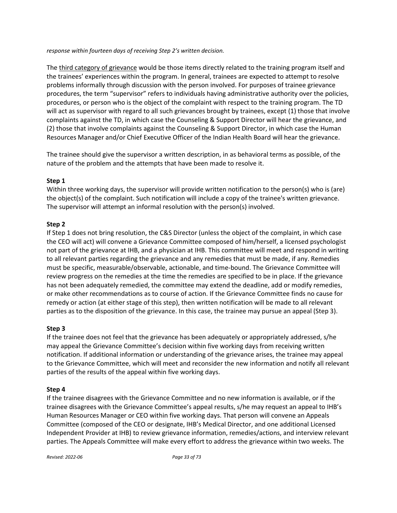*response within fourteen days of receiving Step 2's written decision.*

The third category of grievance would be those items directly related to the training program itself and the trainees' experiences within the program. In general, trainees are expected to attempt to resolve problems informally through discussion with the person involved. For purposes of trainee grievance procedures, the term "supervisor" refers to individuals having administrative authority over the policies, procedures, or person who is the object of the complaint with respect to the training program. The TD will act as supervisor with regard to all such grievances brought by trainees, except (1) those that involve complaints against the TD, in which case the Counseling & Support Director will hear the grievance, and (2) those that involve complaints against the Counseling & Support Director, in which case the Human Resources Manager and/or Chief Executive Officer of the Indian Health Board will hear the grievance.

The trainee should give the supervisor a written description, in as behavioral terms as possible, of the nature of the problem and the attempts that have been made to resolve it.

# **Step 1**

Within three working days, the supervisor will provide written notification to the person(s) who is (are) the object(s) of the complaint. Such notification will include a copy of the trainee's written grievance. The supervisor will attempt an informal resolution with the person(s) involved.

# **Step 2**

If Step 1 does not bring resolution, the C&S Director (unless the object of the complaint, in which case the CEO will act) will convene a Grievance Committee composed of him/herself, a licensed psychologist not part of the grievance at IHB, and a physician at IHB. This committee will meet and respond in writing to all relevant parties regarding the grievance and any remedies that must be made, if any. Remedies must be specific, measurable/observable, actionable, and time-bound. The Grievance Committee will review progress on the remedies at the time the remedies are specified to be in place. If the grievance has not been adequately remedied, the committee may extend the deadline, add or modify remedies, or make other recommendations as to course of action. If the Grievance Committee finds no cause for remedy or action (at either stage of this step), then written notification will be made to all relevant parties as to the disposition of the grievance. In this case, the trainee may pursue an appeal (Step 3).

# **Step 3**

If the trainee does not feel that the grievance has been adequately or appropriately addressed, s/he may appeal the Grievance Committee's decision within five working days from receiving written notification. If additional information or understanding of the grievance arises, the trainee may appeal to the Grievance Committee, which will meet and reconsider the new information and notify all relevant parties of the results of the appeal within five working days.

# **Step 4**

If the trainee disagrees with the Grievance Committee and no new information is available, or if the trainee disagrees with the Grievance Committee's appeal results, s/he may request an appeal to IHB's Human Resources Manager or CEO within five working days. That person will convene an Appeals Committee (composed of the CEO or designate, IHB's Medical Director, and one additional Licensed Independent Provider at IHB) to review grievance information, remedies/actions, and interview relevant parties. The Appeals Committee will make every effort to address the grievance within two weeks. The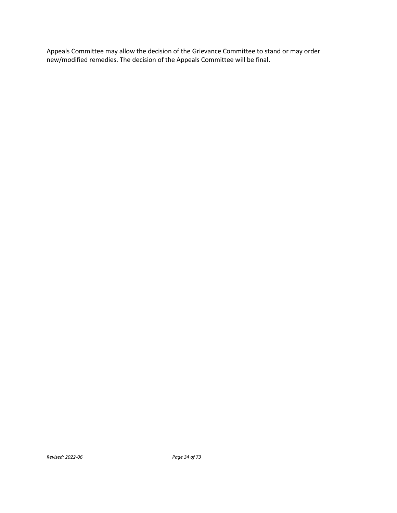Appeals Committee may allow the decision of the Grievance Committee to stand or may order new/modified remedies. The decision of the Appeals Committee will be final.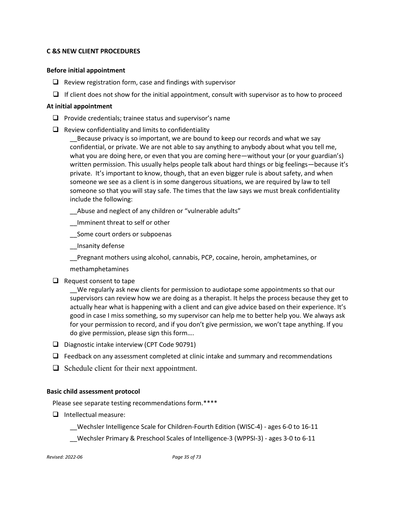# **C &S NEW CLIENT PROCEDURES**

#### **Before initial appointment**

- $\Box$  Review registration form, case and findings with supervisor
- $\Box$  If client does not show for the initial appointment, consult with supervisor as to how to proceed

#### **At initial appointment**

- $\Box$  Provide credentials; trainee status and supervisor's name
- $\Box$  Review confidentiality and limits to confidentiality

\_\_Because privacy is so important, we are bound to keep our records and what we say confidential, or private. We are not able to say anything to anybody about what you tell me, what you are doing here, or even that you are coming here—without your (or your guardian's) written permission. This usually helps people talk about hard things or big feelings—because it's private. It's important to know, though, that an even bigger rule is about safety, and when someone we see as a client is in some dangerous situations, we are required by law to tell someone so that you will stay safe. The times that the law says we must break confidentiality include the following:

- Abuse and neglect of any children or "vulnerable adults"
- \_\_Imminent threat to self or other
- \_\_Some court orders or subpoenas
- \_\_Insanity defense

\_\_Pregnant mothers using alcohol, cannabis, PCP, cocaine, heroin, amphetamines, or

methamphetamines

 $\Box$  Request consent to tape

\_\_We regularly ask new clients for permission to audiotape some appointments so that our supervisors can review how we are doing as a therapist. It helps the process because they get to actually hear what is happening with a client and can give advice based on their experience. It's good in case I miss something, so my supervisor can help me to better help you. We always ask for your permission to record, and if you don't give permission, we won't tape anything. If you do give permission, please sign this form….

- D Diagnostic intake interview (CPT Code 90791)
- $\Box$  Feedback on any assessment completed at clinic intake and summary and recommendations
- $\Box$  Schedule client for their next appointment.

#### **Basic child assessment protocol**

Please see separate testing recommendations form.\*\*\*\*

 $\Box$  Intellectual measure:

\_\_Wechsler Intelligence Scale for Children-Fourth Edition (WISC-4) - ages 6-0 to 16-11

\_\_Wechsler Primary & Preschool Scales of Intelligence-3 (WPPSI-3) - ages 3-0 to 6-11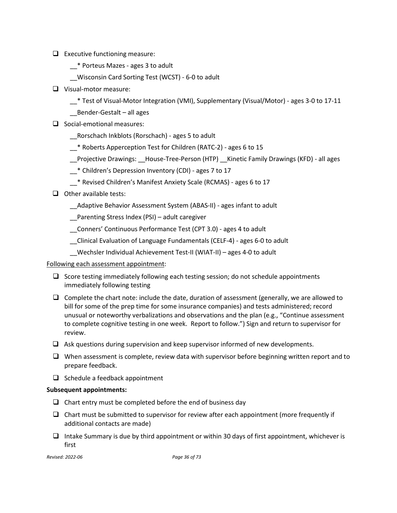- $\Box$  Executive functioning measure:
	- \_\_\* Porteus Mazes ages 3 to adult
	- \_\_Wisconsin Card Sorting Test (WCST) 6-0 to adult
- Visual-motor measure:
	- \_\_\* Test of Visual-Motor Integration (VMI), Supplementary (Visual/Motor) ages 3-0 to 17-11
	- \_\_Bender-Gestalt all ages
- $\Box$  Social-emotional measures:
	- \_\_Rorschach Inkblots (Rorschach) ages 5 to adult
	- \_\_\* Roberts Apperception Test for Children (RATC-2) ages 6 to 15
	- \_\_Projective Drawings: \_\_House-Tree-Person (HTP) \_\_Kinetic Family Drawings (KFD) all ages
	- \_\_\* Children's Depression Inventory (CDI) ages 7 to 17
	- \_\_\* Revised Children's Manifest Anxiety Scale (RCMAS) ages 6 to 17
- $\Box$  Other available tests:
	- \_\_Adaptive Behavior Assessment System (ABAS-II) ages infant to adult

\_\_Parenting Stress Index (PSI) – adult caregiver

\_\_Conners' Continuous Performance Test (CPT 3.0) - ages 4 to adult

\_\_Clinical Evaluation of Language Fundamentals (CELF-4) - ages 6-0 to adult

\_\_Wechsler Individual Achievement Test-II (WIAT-II) – ages 4-0 to adult

# Following each assessment appointment:

- $\Box$  Score testing immediately following each testing session; do not schedule appointments immediately following testing
- $\Box$  Complete the chart note: include the date, duration of assessment (generally, we are allowed to bill for some of the prep time for some insurance companies) and tests administered; record unusual or noteworthy verbalizations and observations and the plan (e.g., "Continue assessment to complete cognitive testing in one week. Report to follow.") Sign and return to supervisor for review.
- $\Box$  Ask questions during supervision and keep supervisor informed of new developments.
- $\Box$  When assessment is complete, review data with supervisor before beginning written report and to prepare feedback.
- $\Box$  Schedule a feedback appointment

# **Subsequent appointments:**

- $\Box$  Chart entry must be completed before the end of business day
- $\Box$  Chart must be submitted to supervisor for review after each appointment (more frequently if additional contacts are made)
- $\Box$  Intake Summary is due by third appointment or within 30 days of first appointment, whichever is first

*Revised: 2022-06 Page 36 of 73*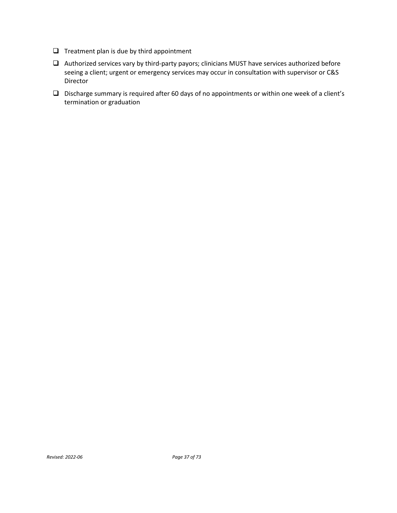- $\Box$  Treatment plan is due by third appointment
- Authorized services vary by third-party payors; clinicians MUST have services authorized before seeing a client; urgent or emergency services may occur in consultation with supervisor or C&S Director
- Discharge summary is required after 60 days of no appointments or within one week of a client's termination or graduation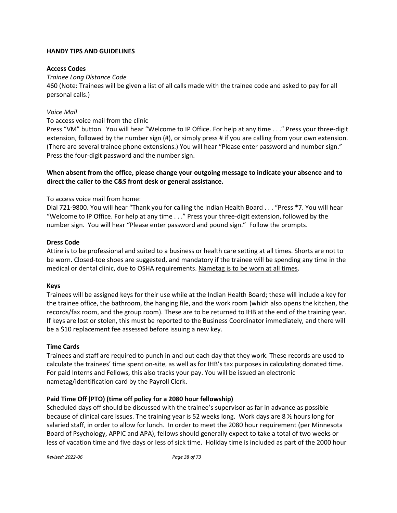# **HANDY TIPS AND GUIDELINES**

### **Access Codes**

## *Trainee Long Distance Code*

460 (Note: Trainees will be given a list of all calls made with the trainee code and asked to pay for all personal calls.)

### *Voice Mail*

## To access voice mail from the clinic

Press "VM" button. You will hear "Welcome to IP Office. For help at any time . . ." Press your three-digit extension, followed by the number sign (#), or simply press # if you are calling from your own extension. (There are several trainee phone extensions.) You will hear "Please enter password and number sign." Press the four-digit password and the number sign.

# **When absent from the office, please change your outgoing message to indicate your absence and to direct the caller to the C&S front desk or general assistance.**

# To access voice mail from home:

Dial 721-9800. You will hear "Thank you for calling the Indian Health Board . . . "Press \*7. You will hear "Welcome to IP Office. For help at any time . . ." Press your three-digit extension, followed by the number sign. You will hear "Please enter password and pound sign." Follow the prompts.

### **Dress Code**

Attire is to be professional and suited to a business or health care setting at all times. Shorts are not to be worn. Closed-toe shoes are suggested, and mandatory if the trainee will be spending any time in the medical or dental clinic, due to OSHA requirements. Nametag is to be worn at all times.

#### **Keys**

Trainees will be assigned keys for their use while at the Indian Health Board; these will include a key for the trainee office, the bathroom, the hanging file, and the work room (which also opens the kitchen, the records/fax room, and the group room). These are to be returned to IHB at the end of the training year. If keys are lost or stolen, this must be reported to the Business Coordinator immediately, and there will be a \$10 replacement fee assessed before issuing a new key.

#### **Time Cards**

Trainees and staff are required to punch in and out each day that they work. These records are used to calculate the trainees' time spent on-site, as well as for IHB's tax purposes in calculating donated time. For paid Interns and Fellows, this also tracks your pay. You will be issued an electronic nametag/identification card by the Payroll Clerk.

# **Paid Time Off (PTO) (time off policy for a 2080 hour fellowship)**

Scheduled days off should be discussed with the trainee's supervisor as far in advance as possible because of clinical care issues. The training year is 52 weeks long. Work days are 8 ½ hours long for salaried staff, in order to allow for lunch. In order to meet the 2080 hour requirement (per Minnesota Board of Psychology, APPIC and APA), fellows should generally expect to take a total of two weeks or less of vacation time and five days or less of sick time. Holiday time is included as part of the 2000 hour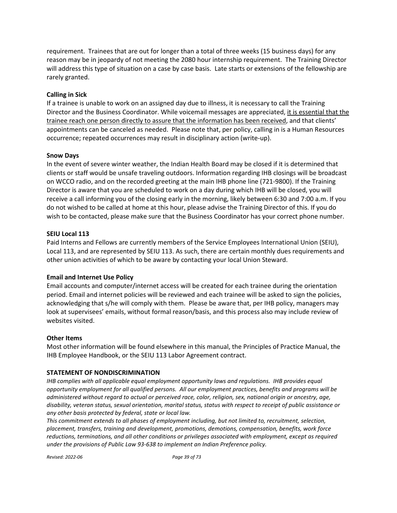requirement. Trainees that are out for longer than a total of three weeks (15 business days) for any reason may be in jeopardy of not meeting the 2080 hour internship requirement. The Training Director will address this type of situation on a case by case basis. Late starts or extensions of the fellowship are rarely granted.

### **Calling in Sick**

If a trainee is unable to work on an assigned day due to illness, it is necessary to call the Training Director and the Business Coordinator. While voicemail messages are appreciated, it is essential that the trainee reach one person directly to assure that the information has been received, and that clients' appointments can be canceled as needed. Please note that, per policy, calling in is a Human Resources occurrence; repeated occurrences may result in disciplinary action (write-up).

#### **Snow Days**

In the event of severe winter weather, the Indian Health Board may be closed if it is determined that clients or staff would be unsafe traveling outdoors. Information regarding IHB closings will be broadcast on WCCO radio, and on the recorded greeting at the main IHB phone line (721-9800). If the Training Director is aware that you are scheduled to work on a day during which IHB will be closed, you will receive a call informing you of the closing early in the morning, likely between 6:30 and 7:00 a.m. If you do not wished to be called at home at this hour, please advise the Training Director of this. If you do wish to be contacted, please make sure that the Business Coordinator has your correct phone number.

#### **SEIU Local 113**

Paid Interns and Fellows are currently members of the Service Employees International Union (SEIU), Local 113, and are represented by SEIU 113. As such, there are certain monthly dues requirements and other union activities of which to be aware by contacting your local Union Steward.

#### **Email and Internet Use Policy**

Email accounts and computer/internet access will be created for each trainee during the orientation period. Email and internet policies will be reviewed and each trainee will be asked to sign the policies, acknowledging that s/he will comply with them. Please be aware that, per IHB policy, managers may look at supervisees' emails, without formal reason/basis, and this process also may include review of websites visited.

#### **Other Items**

Most other information will be found elsewhere in this manual, the Principles of Practice Manual, the IHB Employee Handbook, or the SEIU 113 Labor Agreement contract.

#### **STATEMENT OF NONDISCRIMINATION**

*IHB complies with all applicable equal employment opportunity laws and regulations. IHB provides equal opportunity employment for all qualified persons. All our employment practices, benefits and programs will be administered without regard to actual or perceived race, color, religion, sex, national origin or ancestry, age, disability, veteran status, sexual orientation, marital status, status with respect to receipt of public assistance or any other basis protected by federal, state or local law.* 

*This commitment extends to all phases of employment including, but not limited to, recruitment, selection, placement, transfers, training and development, promotions, demotions, compensation, benefits, work force reductions, terminations, and all other conditions or privileges associated with employment, except as required under the provisions of Public Law 93-638 to implement an Indian Preference policy.*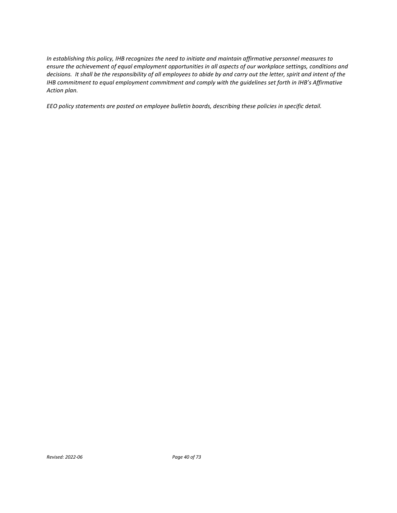*In establishing this policy, IHB recognizes the need to initiate and maintain affirmative personnel measures to ensure the achievement of equal employment opportunities in all aspects of our workplace settings, conditions and decisions. It shall be the responsibility of all employees to abide by and carry out the letter, spirit and intent of the IHB commitment to equal employment commitment and comply with the guidelines set forth in IHB's Affirmative Action plan.*

*EEO policy statements are posted on employee bulletin boards, describing these policies in specific detail.*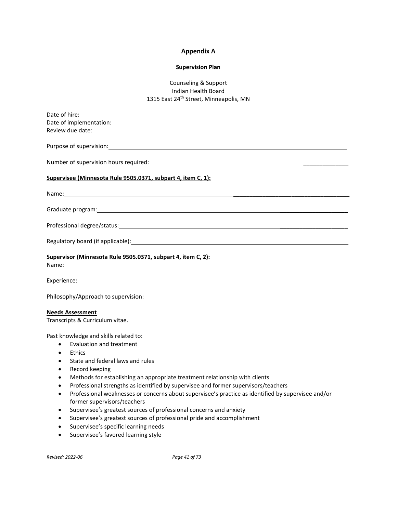#### **Appendix A**

#### **Supervision Plan**

# Counseling & Support Indian Health Board 1315 East 24<sup>th</sup> Street, Minneapolis, MN

| Date of hire:                                                                                                                                                                                                                 |
|-------------------------------------------------------------------------------------------------------------------------------------------------------------------------------------------------------------------------------|
| Date of implementation:                                                                                                                                                                                                       |
| Review due date:                                                                                                                                                                                                              |
|                                                                                                                                                                                                                               |
| Number of supervision hours required:<br>Number of supervision hours required:                                                                                                                                                |
| Supervisee (Minnesota Rule 9505.0371, subpart 4, item C, 1):                                                                                                                                                                  |
| Name: Name and the second contract of the second contract of the second contract of the second contract of the second contract of the second contract of the second contract of the second contract of the second contract of |
|                                                                                                                                                                                                                               |
|                                                                                                                                                                                                                               |
| Regulatory board (if applicable): example and a series of the series of the series of the series of the series                                                                                                                |
| Supervisor (Minnesota Rule 9505.0371, subpart 4, item C, 2):                                                                                                                                                                  |

Name:

Experience:

Philosophy/Approach to supervision:

#### **Needs Assessment**

Transcripts & Curriculum vitae.

Past knowledge and skills related to:

- Evaluation and treatment
- Ethics
- State and federal laws and rules
- Record keeping
- Methods for establishing an appropriate treatment relationship with clients
- Professional strengths as identified by supervisee and former supervisors/teachers
- Professional weaknesses or concerns about supervisee's practice as identified by supervisee and/or former supervisors/teachers
- Supervisee's greatest sources of professional concerns and anxiety
- Supervisee's greatest sources of professional pride and accomplishment
- Supervisee's specific learning needs
- Supervisee's favored learning style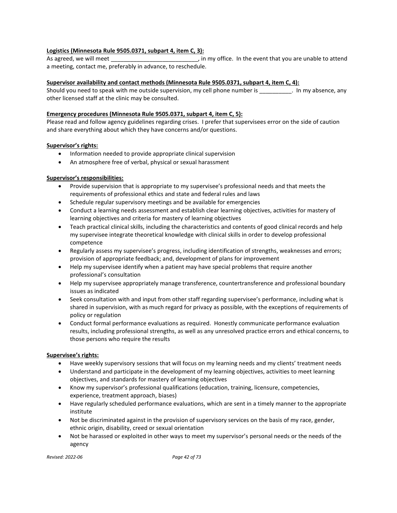#### **Logistics (Minnesota Rule 9505.0371, subpart 4, item C, 3):**

As agreed, we will meet example that you are unable to attend the are unable to attend a meeting, contact me, preferably in advance, to reschedule.

#### **Supervisor availability and contact methods (Minnesota Rule 9505.0371, subpart 4, item C, 4):**

Should you need to speak with me outside supervision, my cell phone number is equal to my absence, any other licensed staff at the clinic may be consulted.

#### **Emergency procedures (Minnesota Rule 9505.0371, subpart 4, item C, 5):**

Please read and follow agency guidelines regarding crises. I prefer that supervisees error on the side of caution and share everything about which they have concerns and/or questions.

### **Supervisor's rights:**

- Information needed to provide appropriate clinical supervision
- An atmosphere free of verbal, physical or sexual harassment

### **Supervisor's responsibilities:**

- Provide supervision that is appropriate to my supervisee's professional needs and that meets the requirements of professional ethics and state and federal rules and laws
- Schedule regular supervisory meetings and be available for emergencies
- Conduct a learning needs assessment and establish clear learning objectives, activities for mastery of learning objectives and criteria for mastery of learning objectives
- Teach practical clinical skills, including the characteristics and contents of good clinical records and help my supervisee integrate theoretical knowledge with clinical skills in order to develop professional competence
- Regularly assess my supervisee's progress, including identification of strengths, weaknesses and errors; provision of appropriate feedback; and, development of plans for improvement
- Help my supervisee identify when a patient may have special problems that require another professional's consultation
- Help my supervisee appropriately manage transference, countertransference and professional boundary issues as indicated
- Seek consultation with and input from other staff regarding supervisee's performance, including what is shared in supervision, with as much regard for privacy as possible, with the exceptions of requirements of policy or regulation
- Conduct formal performance evaluations as required. Honestly communicate performance evaluation results, including professional strengths, as well as any unresolved practice errors and ethical concerns, to those persons who require the results

#### **Supervisee's rights:**

- Have weekly supervisory sessions that will focus on my learning needs and my clients' treatment needs
- Understand and participate in the development of my learning objectives, activities to meet learning objectives, and standards for mastery of learning objectives
- Know my supervisor's professional qualifications (education, training, licensure, competencies, experience, treatment approach, biases)
- Have regularly scheduled performance evaluations, which are sent in a timely manner to the appropriate institute
- Not be discriminated against in the provision of supervisory services on the basis of my race, gender, ethnic origin, disability, creed or sexual orientation
- Not be harassed or exploited in other ways to meet my supervisor's personal needs or the needs of the agency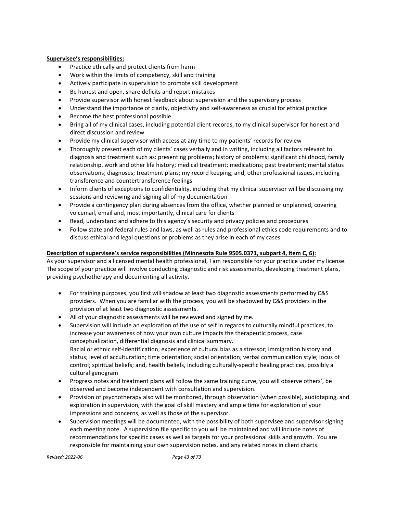#### **Supervisee's responsibilities:**

- Practice ethically and protect clients from harm
- Work within the limits of competency, skill and training
- Actively participate in supervision to promote skill development
- Be honest and open, share deficits and report mistakes
- Provide supervisor with honest feedback about supervision and the supervisory process
- Understand the importance of clarity, objectivity and self-awareness as crucial for ethical practice
- Become the best professional possible
- Bring all of my clinical cases, including potential client records, to my clinical supervisor for honest and direct discussion and review
- Provide my clinical supervisor with access at any time to my patients' records for review
- Thoroughly present each of my clients' cases verbally and in writing, including all factors relevant to diagnosis and treatment such as: presenting problems; history of problems; significant childhood, family relationship, work and other life history; medical treatment; medications; past treatment; mental status observations; diagnoses; treatment plans; my record keeping; and, other professional issues, including transference and countertransference feelings
- Inform clients of exceptions to confidentiality, including that my clinical supervisor will be discussing my sessions and reviewing and signing all of my documentation
- Provide a contingency plan during absences from the office, whether planned or unplanned, covering voicemail, email and, most importantly, clinical care for clients
- Read, understand and adhere to this agency's security and privacy policies and procedures
- Follow state and federal rules and laws, as well as rules and professional ethics code requirements and to discuss ethical and legal questions or problems as they arise in each of my cases

#### **Description of supervisee's service responsibilities (Minnesota Rule 9505.0371, subpart 4, item C, 6):**

As your supervisor and a licensed mental health professional, I am responsible for your practice under my license. The scope of your practice will involve conducting diagnostic and risk assessments, developing treatment plans, providing psychotherapy and documenting all activity.

- For training purposes, you first will shadow at least two diagnostic assessments performed by C&S providers. When you are familiar with the process, you will be shadowed by C&S providers in the provision of at least two diagnostic assessments.
- All of your diagnostic assessments will be reviewed and signed by me.
- Supervision will include an exploration of the use of self in regards to culturally mindful practices, to increase your awareness of how your own culture impacts the therapeutic process, case conceptualization, differential diagnosis and clinical summary. Racial or ethnic self-identification; experience of cultural bias as a stressor; immigration history and status; level of acculturation; time orientation; social orientation; verbal communication style; locus of control; spiritual beliefs; and, health beliefs, including culturally-specific healing practices, possibly a cultural genogram
- Progress notes and treatment plans will follow the same training curve; you will observe others', be observed and become independent with consultation and supervision.
- Provision of psychotherapy also will be monitored, through observation (when possible), audiotaping, and exploration in supervision, with the goal of skill mastery and ample time for exploration of your impressions and concerns, as well as those of the supervisor.
- Supervision meetings will be documented, with the possibility of both supervisee and supervisor signing each meeting note. A supervision file specific to you will be maintained and will include notes of recommendations for specific cases as well as targets for your professional skills and growth. You are responsible for maintaining your own supervision notes, and any related notes in client charts.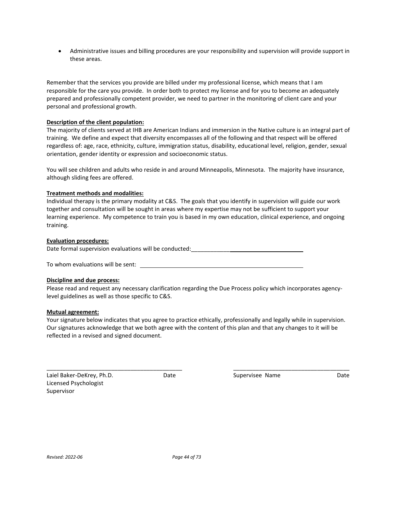• Administrative issues and billing procedures are your responsibility and supervision will provide support in these areas.

Remember that the services you provide are billed under my professional license, which means that I am responsible for the care you provide. In order both to protect my license and for you to become an adequately prepared and professionally competent provider, we need to partner in the monitoring of client care and your personal and professional growth.

#### **Description of the client population:**

The majority of clients served at IHB are American Indians and immersion in the Native culture is an integral part of training. We define and expect that diversity encompasses all of the following and that respect will be offered regardless of: age, race, ethnicity, culture, immigration status, disability, educational level, religion, gender, sexual orientation, gender identity or expression and socioeconomic status.

You will see children and adults who reside in and around Minneapolis, Minnesota. The majority have insurance, although sliding fees are offered.

#### **Treatment methods and modalities:**

Individual therapy is the primary modality at C&S. The goals that you identify in supervision will guide our work together and consultation will be sought in areas where my expertise may not be sufficient to support your learning experience. My competence to train you is based in my own education, clinical experience, and ongoing training.

#### **Evaluation procedures:**

Date formal supervision evaluations will be conducted:  $\qquad \qquad \qquad$ 

To whom evaluations will be sent:

#### **Discipline and due process:**

Please read and request any necessary clarification regarding the Due Process policy which incorporates agencylevel guidelines as well as those specific to C&S.

#### **Mutual agreement:**

Your signature below indicates that you agree to practice ethically, professionally and legally while in supervision. Our signatures acknowledge that we both agree with the content of this plan and that any changes to it will be reflected in a revised and signed document.

\_\_\_\_\_\_\_\_\_\_\_\_\_\_\_\_\_\_\_\_\_\_\_\_\_\_\_\_\_\_\_\_\_\_\_\_\_\_\_\_\_\_ \_\_\_\_\_\_\_\_\_\_\_\_\_\_\_\_\_\_\_\_\_\_\_\_\_\_\_\_\_\_\_\_\_\_\_\_

Laiel Baker-DeKrey, Ph.D. **Supervisee In the Supervisee Name** Date Supervisee Name Licensed Psychologist Supervisor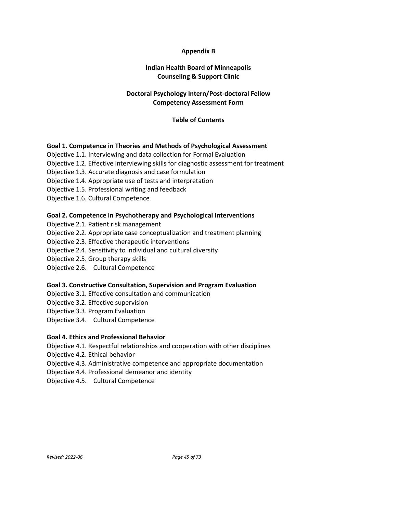# **Appendix B**

# **Indian Health Board of Minneapolis Counseling & Support Clinic**

# **Doctoral Psychology Intern/Post-doctoral Fellow Competency Assessment Form**

# **Table of Contents**

# **Goal 1. Competence in Theories and Methods of Psychological Assessment**

- Objective 1.1. Interviewing and data collection for Formal Evaluation
- Objective 1.2. Effective interviewing skills for diagnostic assessment for treatment
- Objective 1.3. Accurate diagnosis and case formulation
- Objective 1.4. Appropriate use of tests and interpretation
- Objective 1.5. Professional writing and feedback
- Objective 1.6. Cultural Competence

# **Goal 2. Competence in Psychotherapy and Psychological Interventions**

- Objective 2.1. Patient risk management
- Objective 2.2. Appropriate case conceptualization and treatment planning
- Objective 2.3. Effective therapeutic interventions
- Objective 2.4. Sensitivity to individual and cultural diversity
- Objective 2.5. Group therapy skills
- Objective 2.6. Cultural Competence

# **Goal 3. Constructive Consultation, Supervision and Program Evaluation**

- Objective 3.1. Effective consultation and communication
- Objective 3.2. Effective supervision
- Objective 3.3. Program Evaluation
- Objective 3.4. Cultural Competence

# **Goal 4. Ethics and Professional Behavior**

- Objective 4.1. Respectful relationships and cooperation with other disciplines
- Objective 4.2. Ethical behavior
- Objective 4.3. Administrative competence and appropriate documentation
- Objective 4.4. Professional demeanor and identity
- Objective 4.5. Cultural Competence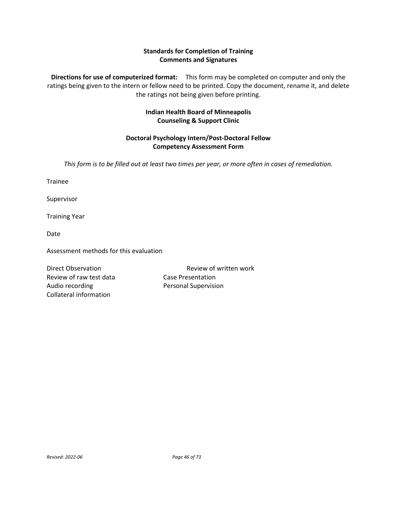# **Standards for Completion of Training Comments and Signatures**

**Directions for use of computerized format:** This form may be completed on computer and only the ratings being given to the intern or fellow need to be printed. Copy the document, rename it, and delete the ratings not being given before printing.

# **Indian Health Board of Minneapolis Counseling & Support Clinic**

# **Doctoral Psychology Intern/Post-Doctoral Fellow Competency Assessment Form**

*This form is to be filled out at least two times per year, or more often in cases of remediation.*

Trainee

Supervisor

Training Year

Date

Assessment methods for this evaluation

Review of raw test data Case Presentation Audio recording **Personal Supervision** Collateral information

Direct Observation **Review of written work**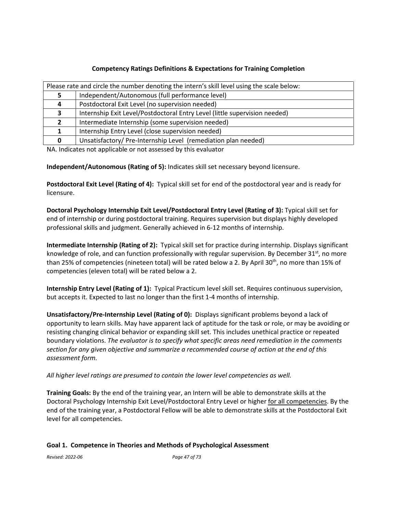# **Competency Ratings Definitions & Expectations for Training Completion**

|    | Please rate and circle the number denoting the intern's skill level using the scale below: |  |  |
|----|--------------------------------------------------------------------------------------------|--|--|
|    | Independent/Autonomous (full performance level)                                            |  |  |
| 4  | Postdoctoral Exit Level (no supervision needed)                                            |  |  |
| З. | Internship Exit Level/Postdoctoral Entry Level (little supervision needed)                 |  |  |
|    | Intermediate Internship (some supervision needed)                                          |  |  |
|    | Internship Entry Level (close supervision needed)                                          |  |  |
|    | Unsatisfactory/ Pre-Internship Level (remediation plan needed)                             |  |  |

NA. Indicates not applicable or not assessed by this evaluator

**Independent/Autonomous (Rating of 5):** Indicates skill set necessary beyond licensure.

**Postdoctoral Exit Level (Rating of 4):** Typical skill set for end of the postdoctoral year and is ready for licensure.

**Doctoral Psychology Internship Exit Level/Postdoctoral Entry Level (Rating of 3):** Typical skill set for end of internship or during postdoctoral training. Requires supervision but displays highly developed professional skills and judgment. Generally achieved in 6-12 months of internship.

**Intermediate Internship (Rating of 2):** Typical skill set for practice during internship. Displays significant knowledge of role, and can function professionally with regular supervision. By December  $31<sup>st</sup>$ , no more than 25% of competencies (nineteen total) will be rated below a 2. By April 30<sup>th</sup>, no more than 15% of competencies (eleven total) will be rated below a 2.

**Internship Entry Level (Rating of 1):** Typical Practicum level skill set. Requires continuous supervision, but accepts it. Expected to last no longer than the first 1-4 months of internship.

**Unsatisfactory/Pre-Internship Level (Rating of 0):** Displays significant problems beyond a lack of opportunity to learn skills. May have apparent lack of aptitude for the task or role, or may be avoiding or resisting changing clinical behavior or expanding skill set. This includes unethical practice or repeated boundary violations. *The evaluator is to specify what specific areas need remediation in the comments section for any given objective and summarize a recommended course of action at the end of this assessment form.* 

*All higher level ratings are presumed to contain the lower level competencies as well.*

**Training Goals:** By the end of the training year, an Intern will be able to demonstrate skills at the Doctoral Psychology Internship Exit Level/Postdoctoral Entry Level or higher for all competencies. By the end of the training year, a Postdoctoral Fellow will be able to demonstrate skills at the Postdoctoral Exit level for all competencies.

# **Goal 1. Competence in Theories and Methods of Psychological Assessment**

*Revised: 2022-06 Page 47 of 73*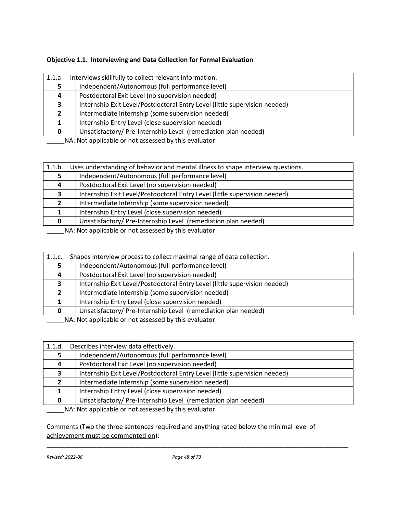| 1.1.a | Interviews skillfully to collect relevant information.                     |
|-------|----------------------------------------------------------------------------|
|       | Independent/Autonomous (full performance level)                            |
| 4     | Postdoctoral Exit Level (no supervision needed)                            |
|       | Internship Exit Level/Postdoctoral Entry Level (little supervision needed) |
|       | Intermediate Internship (some supervision needed)                          |
|       | Internship Entry Level (close supervision needed)                          |
|       | Unsatisfactory/Pre-Internship Level (remediation plan needed)              |
|       | <b>ALA</b> ALOR COMPONED CONTROL CONTROL AND INTERFERING THE CHANGE        |

| 1.1.b                                                | Uses understanding of behavior and mental illness to shape interview questions. |  |
|------------------------------------------------------|---------------------------------------------------------------------------------|--|
|                                                      | Independent/Autonomous (full performance level)                                 |  |
| 4                                                    | Postdoctoral Exit Level (no supervision needed)                                 |  |
| э.                                                   | Internship Exit Level/Postdoctoral Entry Level (little supervision needed)      |  |
|                                                      | Intermediate Internship (some supervision needed)                               |  |
|                                                      | Internship Entry Level (close supervision needed)                               |  |
| <sup>0</sup>                                         | Unsatisfactory/ Pre-Internship Level (remediation plan needed)                  |  |
| NA: Not applicable or not assessed by this evaluator |                                                                                 |  |

| 1.1.c. | Shapes interview process to collect maximal range of data collection.                                                                                                                                                                                                                                                                                                                                                                                                                 |  |
|--------|---------------------------------------------------------------------------------------------------------------------------------------------------------------------------------------------------------------------------------------------------------------------------------------------------------------------------------------------------------------------------------------------------------------------------------------------------------------------------------------|--|
|        | Independent/Autonomous (full performance level)                                                                                                                                                                                                                                                                                                                                                                                                                                       |  |
| 4      | Postdoctoral Exit Level (no supervision needed)                                                                                                                                                                                                                                                                                                                                                                                                                                       |  |
|        | Internship Exit Level/Postdoctoral Entry Level (little supervision needed)                                                                                                                                                                                                                                                                                                                                                                                                            |  |
|        | Intermediate Internship (some supervision needed)                                                                                                                                                                                                                                                                                                                                                                                                                                     |  |
|        | Internship Entry Level (close supervision needed)                                                                                                                                                                                                                                                                                                                                                                                                                                     |  |
| n.     | Unsatisfactory/Pre-Internship Level (remediation plan needed)                                                                                                                                                                                                                                                                                                                                                                                                                         |  |
|        | $\mathbf{A} \cdot \mathbf{A} \cdot \mathbf{A} \cdot \mathbf{A} \cdot \mathbf{A} \cdot \mathbf{A} \cdot \mathbf{A} \cdot \mathbf{A} \cdot \mathbf{A} \cdot \mathbf{A} \cdot \mathbf{A} \cdot \mathbf{A} \cdot \mathbf{A} \cdot \mathbf{A} \cdot \mathbf{A} \cdot \mathbf{A} \cdot \mathbf{A} \cdot \mathbf{A} \cdot \mathbf{A} \cdot \mathbf{A} \cdot \mathbf{A} \cdot \mathbf{A} \cdot \mathbf{A} \cdot \mathbf{A} \cdot \mathbf{A} \cdot \mathbf{A} \cdot \mathbf{A} \cdot \mathbf{$ |  |

\_\_\_\_\_NA: Not applicable or not assessed by this evaluator

| 1.1.d. | Describes interview data effectively.                                      |
|--------|----------------------------------------------------------------------------|
|        | Independent/Autonomous (full performance level)                            |
| 4      | Postdoctoral Exit Level (no supervision needed)                            |
| 3      | Internship Exit Level/Postdoctoral Entry Level (little supervision needed) |
|        | Intermediate Internship (some supervision needed)                          |
|        | Internship Entry Level (close supervision needed)                          |
|        | Unsatisfactory/Pre-Internship Level (remediation plan needed)              |
|        | NA Not applicable or not accorded by this qualupter                        |

\_\_\_\_\_NA: Not applicable or not assessed by this evaluator

Comments (Two the three sentences required and anything rated below the minimal level of achievement must be commented on):

\_\_\_\_\_\_\_\_\_\_\_\_\_\_\_\_\_\_\_\_\_\_\_\_\_\_\_\_\_\_\_\_\_\_\_\_\_\_\_\_\_\_\_\_\_\_\_\_\_\_\_\_\_\_\_\_\_\_\_\_\_\_\_\_\_\_\_\_\_\_\_\_\_\_\_\_\_\_\_\_\_\_\_\_\_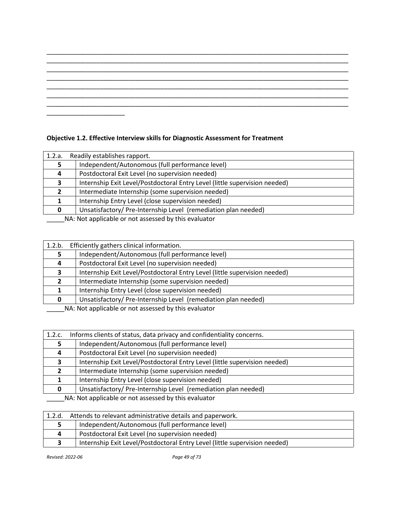\_\_\_\_\_\_\_\_\_\_\_\_\_\_\_\_\_\_\_\_\_\_\_\_\_\_\_\_\_\_\_\_\_\_\_\_\_\_\_\_\_\_\_\_\_\_\_\_\_\_\_\_\_\_\_\_\_\_\_\_\_\_\_\_\_\_\_\_\_\_\_\_\_\_\_\_\_\_\_\_\_\_\_\_\_

# **Objective 1.2. Effective Interview skills for Diagnostic Assessment for Treatment**

| 1.2.a. | Readily establishes rapport.                                                          |  |
|--------|---------------------------------------------------------------------------------------|--|
|        | Independent/Autonomous (full performance level)                                       |  |
| 4      | Postdoctoral Exit Level (no supervision needed)                                       |  |
| 3      | Internship Exit Level/Postdoctoral Entry Level (little supervision needed)            |  |
|        | Intermediate Internship (some supervision needed)                                     |  |
|        | Internship Entry Level (close supervision needed)                                     |  |
|        | Unsatisfactory/Pre-Internship Level (remediation plan needed)                         |  |
|        | <b>ALA</b> ALAB and the distribution of the second and the distribution of the second |  |

\_\_\_\_\_\_NA: Not applicable or not assessed by this evaluator

| 1.2.b. | Efficiently gathers clinical information.                                  |  |
|--------|----------------------------------------------------------------------------|--|
|        | Independent/Autonomous (full performance level)                            |  |
|        | Postdoctoral Exit Level (no supervision needed)                            |  |
| э.     | Internship Exit Level/Postdoctoral Entry Level (little supervision needed) |  |
|        | Intermediate Internship (some supervision needed)                          |  |
|        | Internship Entry Level (close supervision needed)                          |  |
|        | Unsatisfactory/Pre-Internship Level (remediation plan needed)              |  |
|        | NA . Net enable ble en net essessed buthis suppreten                       |  |

\_\_\_\_\_NA: Not applicable or not assessed by this evaluator

| 1.2.c.   | Informs clients of status, data privacy and confidentiality concerns.      |  |
|----------|----------------------------------------------------------------------------|--|
|          | Independent/Autonomous (full performance level)                            |  |
| $\Delta$ | Postdoctoral Exit Level (no supervision needed)                            |  |
|          | Internship Exit Level/Postdoctoral Entry Level (little supervision needed) |  |
| 2        | Intermediate Internship (some supervision needed)                          |  |
|          | Internship Entry Level (close supervision needed)                          |  |
|          | Unsatisfactory/Pre-Internship Level (remediation plan needed)              |  |
|          | NA: Not applicable or not assessed by this evaluator                       |  |

| 1.2.d. | Attends to relevant administrative details and paperwork.                  |  |
|--------|----------------------------------------------------------------------------|--|
|        | Independent/Autonomous (full performance level)                            |  |
| Д      | Postdoctoral Exit Level (no supervision needed)                            |  |
|        | Internship Exit Level/Postdoctoral Entry Level (little supervision needed) |  |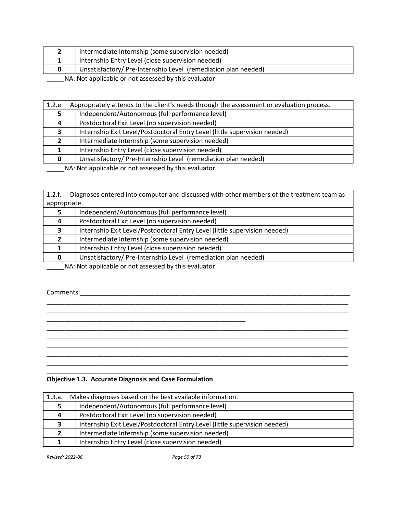|                                                                                                                                                                                                                                     | Intermediate Internship (some supervision needed)             |
|-------------------------------------------------------------------------------------------------------------------------------------------------------------------------------------------------------------------------------------|---------------------------------------------------------------|
|                                                                                                                                                                                                                                     | Internship Entry Level (close supervision needed)             |
|                                                                                                                                                                                                                                     | Unsatisfactory/Pre-Internship Level (remediation plan needed) |
| <b>ALA ALA A</b> Card Hard List and a constructed in the basic of the construction of the construction of the construction of the construction of the construction of the construction of the construction of the construction of t |                                                               |

| 1.2.e. | Appropriately attends to the client's needs through the assessment or evaluation process. |
|--------|-------------------------------------------------------------------------------------------|
|        | Independent/Autonomous (full performance level)                                           |
| 4      | Postdoctoral Exit Level (no supervision needed)                                           |
| З.     | Internship Exit Level/Postdoctoral Entry Level (little supervision needed)                |
|        | Intermediate Internship (some supervision needed)                                         |
|        | Internship Entry Level (close supervision needed)                                         |
| 0      | Unsatisfactory/Pre-Internship Level (remediation plan needed)                             |

\_\_\_\_\_NA: Not applicable or not assessed by this evaluator

1.2.f. Diagnoses entered into computer and discussed with other members of the treatment team as appropriate.

|   | Independent/Autonomous (full performance level)                                                                                                                                                                                  |
|---|----------------------------------------------------------------------------------------------------------------------------------------------------------------------------------------------------------------------------------|
| 4 | Postdoctoral Exit Level (no supervision needed)                                                                                                                                                                                  |
| 3 | Internship Exit Level/Postdoctoral Entry Level (little supervision needed)                                                                                                                                                       |
|   | Intermediate Internship (some supervision needed)                                                                                                                                                                                |
|   | Internship Entry Level (close supervision needed)                                                                                                                                                                                |
| 0 | Unsatisfactory/Pre-Internship Level (remediation plan needed)                                                                                                                                                                    |
|   | $\frac{1}{2}$ , and the state of the state of the state of the state of the state of the state of the state of the state of the state of the state of the state of the state of the state of the state of the state of the state |

\_\_\_\_\_NA: Not applicable or not assessed by this evaluator

Comments:\_\_\_\_\_\_\_\_\_\_\_\_\_\_\_\_\_\_\_\_\_\_\_\_\_\_\_\_\_\_\_\_\_\_\_\_\_\_\_\_\_\_\_\_\_\_\_\_\_\_\_\_\_\_\_\_\_\_\_\_\_\_\_\_\_\_\_\_\_\_\_\_\_\_\_\_

# \_\_\_\_\_\_\_\_\_\_\_\_\_\_\_\_\_\_\_\_\_\_\_\_\_\_\_\_\_\_\_\_\_\_\_\_\_\_\_\_\_\_\_\_\_\_\_\_\_\_\_\_\_\_\_\_\_\_\_\_\_\_\_\_\_\_\_\_\_\_\_\_\_\_\_\_\_\_\_\_\_\_\_\_\_ \_\_\_\_\_\_\_\_\_\_\_\_\_\_\_\_\_\_\_\_\_\_\_\_\_\_\_\_\_\_\_\_\_\_\_\_\_\_\_\_\_\_\_\_\_\_\_\_\_\_\_\_\_\_\_\_\_\_\_\_\_\_\_\_\_\_\_\_\_\_\_\_\_\_\_\_\_\_\_\_\_\_\_\_\_ \_\_\_\_\_\_\_\_\_\_\_\_\_\_\_\_\_\_\_\_\_\_\_\_\_\_\_\_\_\_\_\_\_\_\_\_\_\_\_\_\_\_\_\_\_\_\_\_\_\_\_\_\_\_\_\_ \_\_\_\_\_\_\_\_\_\_\_\_\_\_\_\_\_\_\_\_\_\_\_\_\_\_\_\_\_\_\_\_\_\_\_\_\_\_\_\_\_\_\_\_\_\_\_\_\_\_\_\_\_\_\_\_\_\_\_\_\_\_\_\_\_\_\_\_\_\_\_\_\_\_\_\_\_\_\_\_\_\_\_\_\_ \_\_\_\_\_\_\_\_\_\_\_\_\_\_\_\_\_\_\_\_\_\_\_\_\_\_\_\_\_\_\_\_\_\_\_\_\_\_\_\_\_\_\_\_\_\_\_\_\_\_\_\_\_\_\_\_\_\_\_\_\_\_\_\_\_\_\_\_\_\_\_\_\_\_\_\_\_\_\_\_\_\_\_\_\_ \_\_\_\_\_\_\_\_\_\_\_\_\_\_\_\_\_\_\_\_\_\_\_\_\_\_\_\_\_\_\_\_\_\_\_\_\_\_\_\_\_\_\_\_\_\_\_\_\_\_\_\_\_\_\_\_\_\_\_\_\_\_\_\_\_\_\_\_\_\_\_\_\_\_\_\_\_\_\_\_\_\_\_\_\_ \_\_\_\_\_\_\_\_\_\_\_\_\_\_\_\_\_\_\_\_\_\_\_\_\_\_\_\_\_\_\_\_\_\_\_\_\_\_\_\_\_\_\_\_\_\_\_\_\_\_\_\_\_\_\_\_\_\_\_\_\_\_\_\_\_\_\_\_\_\_\_\_\_\_\_\_\_\_\_\_\_\_\_\_\_ \_\_\_\_\_\_\_\_\_\_\_\_\_\_\_\_\_\_\_\_\_\_\_\_\_\_\_\_\_\_\_\_\_\_\_\_\_\_\_\_\_\_\_\_\_\_\_\_\_\_\_\_\_\_\_\_\_\_\_\_\_\_\_\_\_\_\_\_\_\_\_\_\_\_\_\_\_\_\_\_\_\_\_\_\_ \_\_\_\_\_\_\_\_\_\_\_\_\_\_\_\_\_\_\_\_\_\_\_\_\_\_\_\_\_\_\_\_\_\_\_\_\_\_\_\_\_\_\_

# **Objective 1.3. Accurate Diagnosis and Case Formulation**

| 1.3.a. | Makes diagnoses based on the best available information.                   |
|--------|----------------------------------------------------------------------------|
| 5.     | Independent/Autonomous (full performance level)                            |
| 4      | Postdoctoral Exit Level (no supervision needed)                            |
| З.     | Internship Exit Level/Postdoctoral Entry Level (little supervision needed) |
|        | Intermediate Internship (some supervision needed)                          |
|        | Internship Entry Level (close supervision needed)                          |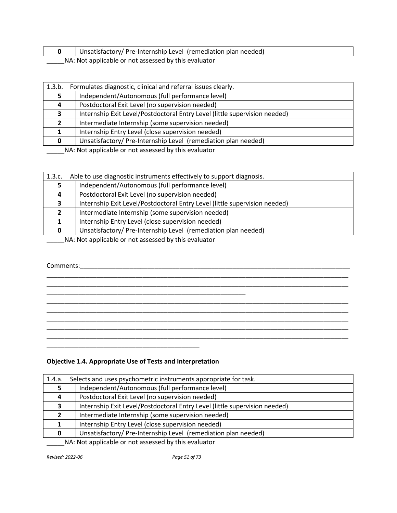**0** Unsatisfactory/ Pre-Internship Level (remediation plan needed) \_\_\_\_\_NA: Not applicable or not assessed by this evaluator

| 1.3.b.       | Formulates diagnostic, clinical and referral issues clearly.               |
|--------------|----------------------------------------------------------------------------|
|              | Independent/Autonomous (full performance level)                            |
|              | Postdoctoral Exit Level (no supervision needed)                            |
| 3            | Internship Exit Level/Postdoctoral Entry Level (little supervision needed) |
|              | Intermediate Internship (some supervision needed)                          |
|              | Internship Entry Level (close supervision needed)                          |
| <sup>0</sup> | Unsatisfactory/Pre-Internship Level (remediation plan needed)              |
|              | NA: Not applicable or not accossed by this ovaluator                       |

\_\_\_\_\_NA: Not applicable or not assessed by this evaluator

| 1.3.c. | Able to use diagnostic instruments effectively to support diagnosis.       |
|--------|----------------------------------------------------------------------------|
|        | Independent/Autonomous (full performance level)                            |
| 4      | Postdoctoral Exit Level (no supervision needed)                            |
| 3      | Internship Exit Level/Postdoctoral Entry Level (little supervision needed) |
|        | Intermediate Internship (some supervision needed)                          |
|        | Internship Entry Level (close supervision needed)                          |
|        | Unsatisfactory/Pre-Internship Level (remediation plan needed)              |
|        | NA Not applicable as not assessed by this qualupter                        |

\_\_\_\_\_\_\_\_\_\_\_\_\_\_\_\_\_\_\_\_\_\_\_\_\_\_\_\_\_\_\_\_\_\_\_\_\_\_\_\_\_\_\_\_\_\_\_\_\_\_\_\_\_\_\_\_\_\_\_\_\_\_\_\_\_\_\_\_\_\_\_\_\_\_\_\_\_\_\_\_\_\_\_\_\_ \_\_\_\_\_\_\_\_\_\_\_\_\_\_\_\_\_\_\_\_\_\_\_\_\_\_\_\_\_\_\_\_\_\_\_\_\_\_\_\_\_\_\_\_\_\_\_\_\_\_\_\_\_\_\_\_\_\_\_\_\_\_\_\_\_\_\_\_\_\_\_\_\_\_\_\_\_\_\_\_\_\_\_\_\_

\_\_\_\_\_\_\_\_\_\_\_\_\_\_\_\_\_\_\_\_\_\_\_\_\_\_\_\_\_\_\_\_\_\_\_\_\_\_\_\_\_\_\_\_\_\_\_\_\_\_\_\_\_\_\_\_\_\_\_\_\_\_\_\_\_\_\_\_\_\_\_\_\_\_\_\_\_\_\_\_\_\_\_\_\_ \_\_\_\_\_\_\_\_\_\_\_\_\_\_\_\_\_\_\_\_\_\_\_\_\_\_\_\_\_\_\_\_\_\_\_\_\_\_\_\_\_\_\_\_\_\_\_\_\_\_\_\_\_\_\_\_\_\_\_\_\_\_\_\_\_\_\_\_\_\_\_\_\_\_\_\_\_\_\_\_\_\_\_\_\_ \_\_\_\_\_\_\_\_\_\_\_\_\_\_\_\_\_\_\_\_\_\_\_\_\_\_\_\_\_\_\_\_\_\_\_\_\_\_\_\_\_\_\_\_\_\_\_\_\_\_\_\_\_\_\_\_\_\_\_\_\_\_\_\_\_\_\_\_\_\_\_\_\_\_\_\_\_\_\_\_\_\_\_\_\_ \_\_\_\_\_\_\_\_\_\_\_\_\_\_\_\_\_\_\_\_\_\_\_\_\_\_\_\_\_\_\_\_\_\_\_\_\_\_\_\_\_\_\_\_\_\_\_\_\_\_\_\_\_\_\_\_\_\_\_\_\_\_\_\_\_\_\_\_\_\_\_\_\_\_\_\_\_\_\_\_\_\_\_\_\_ \_\_\_\_\_\_\_\_\_\_\_\_\_\_\_\_\_\_\_\_\_\_\_\_\_\_\_\_\_\_\_\_\_\_\_\_\_\_\_\_\_\_\_\_\_\_\_\_\_\_\_\_\_\_\_\_\_\_\_\_\_\_\_\_\_\_\_\_\_\_\_\_\_\_\_\_\_\_\_\_\_\_\_\_\_

\_\_\_\_\_NA: Not applicable or not assessed by this evaluator

# Comments:\_\_\_\_\_\_\_\_\_\_\_\_\_\_\_\_\_\_\_\_\_\_\_\_\_\_\_\_\_\_\_\_\_\_\_\_\_\_\_\_\_\_\_\_\_\_\_\_\_\_\_\_\_\_\_\_\_\_\_\_\_\_\_\_\_\_\_\_\_\_\_\_\_\_\_\_

\_\_\_\_\_\_\_\_\_\_\_\_\_\_\_\_\_\_\_\_\_\_\_\_\_\_\_\_\_\_\_\_\_\_\_\_\_\_\_\_\_\_\_ **Objective 1.4. Appropriate Use of Tests and Interpretation**

\_\_\_\_\_\_\_\_\_\_\_\_\_\_\_\_\_\_\_\_\_\_\_\_\_\_\_\_\_\_\_\_\_\_\_\_\_\_\_\_\_\_\_\_\_\_\_\_\_\_\_\_\_\_\_\_

| 1.4.a. | Selects and uses psychometric instruments appropriate for task.            |
|--------|----------------------------------------------------------------------------|
|        | Independent/Autonomous (full performance level)                            |
| 4      | Postdoctoral Exit Level (no supervision needed)                            |
| 3      | Internship Exit Level/Postdoctoral Entry Level (little supervision needed) |
|        | Intermediate Internship (some supervision needed)                          |
|        | Internship Entry Level (close supervision needed)                          |
|        | Unsatisfactory/ Pre-Internship Level (remediation plan needed)             |

\_\_\_\_\_NA: Not applicable or not assessed by this evaluator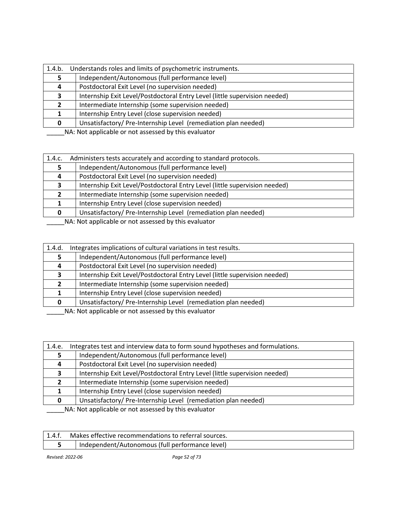| 1.4.b. | Understands roles and limits of psychometric instruments.                                                                                                                                                                        |  |
|--------|----------------------------------------------------------------------------------------------------------------------------------------------------------------------------------------------------------------------------------|--|
|        | Independent/Autonomous (full performance level)                                                                                                                                                                                  |  |
| 4      | Postdoctoral Exit Level (no supervision needed)                                                                                                                                                                                  |  |
| З.     | Internship Exit Level/Postdoctoral Entry Level (little supervision needed)                                                                                                                                                       |  |
|        | Intermediate Internship (some supervision needed)                                                                                                                                                                                |  |
|        | Internship Entry Level (close supervision needed)                                                                                                                                                                                |  |
| 0      | Unsatisfactory/Pre-Internship Level (remediation plan needed)                                                                                                                                                                    |  |
|        | $\frac{1}{2}$ . The set of the set of the set of the set of the set of the set of the set of the set of the set of the set of the set of the set of the set of the set of the set of the set of the set of the set of the set of |  |

| 1.4.c. | Administers tests accurately and according to standard protocols.          |
|--------|----------------------------------------------------------------------------|
|        | Independent/Autonomous (full performance level)                            |
|        | Postdoctoral Exit Level (no supervision needed)                            |
|        | Internship Exit Level/Postdoctoral Entry Level (little supervision needed) |
|        | Intermediate Internship (some supervision needed)                          |
|        | Internship Entry Level (close supervision needed)                          |
|        | Unsatisfactory/Pre-Internship Level (remediation plan needed)              |
|        | NA . Net enable ble en net essessed buthis suppreten                       |

\_\_\_\_\_NA: Not applicable or not assessed by this evaluator

| 1.4.d.       | Integrates implications of cultural variations in test results.            |
|--------------|----------------------------------------------------------------------------|
|              | Independent/Autonomous (full performance level)                            |
| 4            | Postdoctoral Exit Level (no supervision needed)                            |
| 3            | Internship Exit Level/Postdoctoral Entry Level (little supervision needed) |
| $\mathbf{2}$ | Intermediate Internship (some supervision needed)                          |
|              | Internship Entry Level (close supervision needed)                          |
| <sup>0</sup> | Unsatisfactory/Pre-Internship Level (remediation plan needed)              |
|              | NA Not applicable as not assessed by this qualupter                        |

\_\_\_\_\_\_NA: Not applicable or not assessed by this evaluator

| 1.4.e. | Integrates test and interview data to form sound hypotheses and formulations. |  |
|--------|-------------------------------------------------------------------------------|--|
|        | Independent/Autonomous (full performance level)                               |  |
|        | Postdoctoral Exit Level (no supervision needed)                               |  |
| 3      | Internship Exit Level/Postdoctoral Entry Level (little supervision needed)    |  |
|        | Intermediate Internship (some supervision needed)                             |  |
|        | Internship Entry Level (close supervision needed)                             |  |
|        | Unsatisfactory/Pre-Internship Level (remediation plan needed)                 |  |
|        | NA: Not applicable or not assessed by this evaluator                          |  |

| Makes effective recommendations to referral sources. |
|------------------------------------------------------|
| Independent/Autonomous (full performance level)      |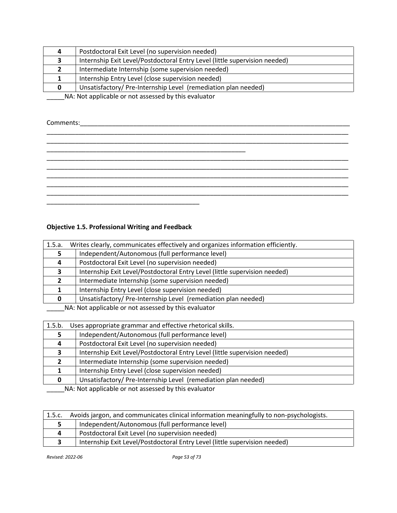|  | Postdoctoral Exit Level (no supervision needed)                            |  |
|--|----------------------------------------------------------------------------|--|
|  | Internship Exit Level/Postdoctoral Entry Level (little supervision needed) |  |
|  | Intermediate Internship (some supervision needed)                          |  |
|  | Internship Entry Level (close supervision needed)                          |  |
|  | Unsatisfactory/Pre-Internship Level (remediation plan needed)              |  |
|  |                                                                            |  |

Comments:\_\_\_\_\_\_\_\_\_\_\_\_\_\_\_\_\_\_\_\_\_\_\_\_\_\_\_\_\_\_\_\_\_\_\_\_\_\_\_\_\_\_\_\_\_\_\_\_\_\_\_\_\_\_\_\_\_\_\_\_\_\_\_\_\_\_\_\_\_\_\_\_\_\_\_\_

# **Objective 1.5. Professional Writing and Feedback**

| 1.5.a.                                               | Writes clearly, communicates effectively and organizes information efficiently. |  |
|------------------------------------------------------|---------------------------------------------------------------------------------|--|
|                                                      | Independent/Autonomous (full performance level)                                 |  |
|                                                      | Postdoctoral Exit Level (no supervision needed)                                 |  |
| 3                                                    | Internship Exit Level/Postdoctoral Entry Level (little supervision needed)      |  |
|                                                      | Intermediate Internship (some supervision needed)                               |  |
|                                                      | Internship Entry Level (close supervision needed)                               |  |
|                                                      | Unsatisfactory/Pre-Internship Level (remediation plan needed)                   |  |
| NA: Not applicable or not assessed by this evaluator |                                                                                 |  |

| 1.5.b.                                                                                                                                                                                                                                                                                | Uses appropriate grammar and effective rhetorical skills.                  |  |
|---------------------------------------------------------------------------------------------------------------------------------------------------------------------------------------------------------------------------------------------------------------------------------------|----------------------------------------------------------------------------|--|
| 5                                                                                                                                                                                                                                                                                     | Independent/Autonomous (full performance level)                            |  |
| 4                                                                                                                                                                                                                                                                                     | Postdoctoral Exit Level (no supervision needed)                            |  |
| 3                                                                                                                                                                                                                                                                                     | Internship Exit Level/Postdoctoral Entry Level (little supervision needed) |  |
|                                                                                                                                                                                                                                                                                       | Intermediate Internship (some supervision needed)                          |  |
|                                                                                                                                                                                                                                                                                       | Internship Entry Level (close supervision needed)                          |  |
| 0                                                                                                                                                                                                                                                                                     | Unsatisfactory/Pre-Internship Level (remediation plan needed)              |  |
| $\frac{1}{2}$ , and $\frac{1}{2}$ , and $\frac{1}{2}$ , and $\frac{1}{2}$ , and $\frac{1}{2}$ , and $\frac{1}{2}$ , and $\frac{1}{2}$ , and $\frac{1}{2}$ , and $\frac{1}{2}$ , and $\frac{1}{2}$ , and $\frac{1}{2}$ , and $\frac{1}{2}$ , and $\frac{1}{2}$ , and $\frac{1}{2}$ , a |                                                                            |  |

\_\_\_\_\_NA: Not applicable or not assessed by this evaluator

| 1.5.c. | Avoids jargon, and communicates clinical information meaningfully to non-psychologists. |
|--------|-----------------------------------------------------------------------------------------|
|        | Independent/Autonomous (full performance level)                                         |
| 4      | Postdoctoral Exit Level (no supervision needed)                                         |
|        | Internship Exit Level/Postdoctoral Entry Level (little supervision needed)              |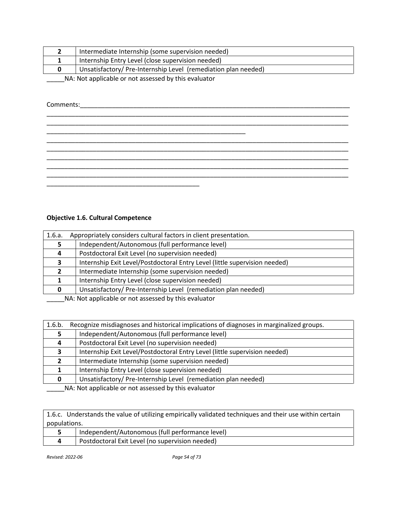|  | Intermediate Internship (some supervision needed)             |  |
|--|---------------------------------------------------------------|--|
|  | Internship Entry Level (close supervision needed)             |  |
|  | Unsatisfactory/Pre-Internship Level (remediation plan needed) |  |
|  |                                                               |  |

Comments:\_\_\_\_\_\_\_\_\_\_\_\_\_\_\_\_\_\_\_\_\_\_\_\_\_\_\_\_\_\_\_\_\_\_\_\_\_\_\_\_\_\_\_\_\_\_\_\_\_\_\_\_\_\_\_\_\_\_\_\_\_\_\_\_\_\_\_\_\_\_\_\_\_\_\_\_

\_\_\_\_\_\_\_\_\_\_\_\_\_\_\_\_\_\_\_\_\_\_\_\_\_\_\_\_\_\_\_\_\_\_\_\_\_\_\_\_\_\_\_\_\_\_\_\_\_\_\_\_\_\_\_\_\_\_\_\_\_\_\_\_\_\_\_\_\_\_\_\_\_\_\_\_\_\_\_\_\_\_\_\_\_ \_\_\_\_\_\_\_\_\_\_\_\_\_\_\_\_\_\_\_\_\_\_\_\_\_\_\_\_\_\_\_\_\_\_\_\_\_\_\_\_\_\_\_\_\_\_\_\_\_\_\_\_\_\_\_\_\_\_\_\_\_\_\_\_\_\_\_\_\_\_\_\_\_\_\_\_\_\_\_\_\_\_\_\_\_ \_\_\_\_\_\_\_\_\_\_\_\_\_\_\_\_\_\_\_\_\_\_\_\_\_\_\_\_\_\_\_\_\_\_\_\_\_\_\_\_\_\_\_\_\_\_\_\_\_\_\_\_\_\_\_\_ \_\_\_\_\_\_\_\_\_\_\_\_\_\_\_\_\_\_\_\_\_\_\_\_\_\_\_\_\_\_\_\_\_\_\_\_\_\_\_\_\_\_\_\_\_\_\_\_\_\_\_\_\_\_\_\_\_\_\_\_\_\_\_\_\_\_\_\_\_\_\_\_\_\_\_\_\_\_\_\_\_\_\_\_\_ \_\_\_\_\_\_\_\_\_\_\_\_\_\_\_\_\_\_\_\_\_\_\_\_\_\_\_\_\_\_\_\_\_\_\_\_\_\_\_\_\_\_\_\_\_\_\_\_\_\_\_\_\_\_\_\_\_\_\_\_\_\_\_\_\_\_\_\_\_\_\_\_\_\_\_\_\_\_\_\_\_\_\_\_\_ \_\_\_\_\_\_\_\_\_\_\_\_\_\_\_\_\_\_\_\_\_\_\_\_\_\_\_\_\_\_\_\_\_\_\_\_\_\_\_\_\_\_\_\_\_\_\_\_\_\_\_\_\_\_\_\_\_\_\_\_\_\_\_\_\_\_\_\_\_\_\_\_\_\_\_\_\_\_\_\_\_\_\_\_\_ \_\_\_\_\_\_\_\_\_\_\_\_\_\_\_\_\_\_\_\_\_\_\_\_\_\_\_\_\_\_\_\_\_\_\_\_\_\_\_\_\_\_\_\_\_\_\_\_\_\_\_\_\_\_\_\_\_\_\_\_\_\_\_\_\_\_\_\_\_\_\_\_\_\_\_\_\_\_\_\_\_\_\_\_\_ \_\_\_\_\_\_\_\_\_\_\_\_\_\_\_\_\_\_\_\_\_\_\_\_\_\_\_\_\_\_\_\_\_\_\_\_\_\_\_\_\_\_\_\_\_\_\_\_\_\_\_\_\_\_\_\_\_\_\_\_\_\_\_\_\_\_\_\_\_\_\_\_\_\_\_\_\_\_\_\_\_\_\_\_\_ \_\_\_\_\_\_\_\_\_\_\_\_\_\_\_\_\_\_\_\_\_\_\_\_\_\_\_\_\_\_\_\_\_\_\_\_\_\_\_\_\_\_\_

# **Objective 1.6. Cultural Competence**

| 1.6.a. | Appropriately considers cultural factors in client presentation.           |
|--------|----------------------------------------------------------------------------|
|        | Independent/Autonomous (full performance level)                            |
| Д      | Postdoctoral Exit Level (no supervision needed)                            |
|        | Internship Exit Level/Postdoctoral Entry Level (little supervision needed) |
|        | Intermediate Internship (some supervision needed)                          |
|        | Internship Entry Level (close supervision needed)                          |
|        | Unsatisfactory/Pre-Internship Level (remediation plan needed)              |

\_\_\_\_\_NA: Not applicable or not assessed by this evaluator

| 1.6.b.                                                                                                                                                                                                                           | Recognize misdiagnoses and historical implications of diagnoses in marginalized groups. |  |
|----------------------------------------------------------------------------------------------------------------------------------------------------------------------------------------------------------------------------------|-----------------------------------------------------------------------------------------|--|
|                                                                                                                                                                                                                                  | Independent/Autonomous (full performance level)                                         |  |
| 4                                                                                                                                                                                                                                | Postdoctoral Exit Level (no supervision needed)                                         |  |
| 3                                                                                                                                                                                                                                | Internship Exit Level/Postdoctoral Entry Level (little supervision needed)              |  |
|                                                                                                                                                                                                                                  | Intermediate Internship (some supervision needed)                                       |  |
|                                                                                                                                                                                                                                  | Internship Entry Level (close supervision needed)                                       |  |
| 0                                                                                                                                                                                                                                | Unsatisfactory/Pre-Internship Level (remediation plan needed)                           |  |
| $\frac{1}{2}$ . The set of the set of the set of the set of the set of the set of the set of the set of the set of the set of the set of the set of the set of the set of the set of the set of the set of the set of the set of |                                                                                         |  |

\_\_\_\_\_NA: Not applicable or not assessed by this evaluator

1.6.c. Understands the value of utilizing empirically validated techniques and their use within certain populations.

| Independent/Autonomous (full performance level) |
|-------------------------------------------------|
| Postdoctoral Exit Level (no supervision needed) |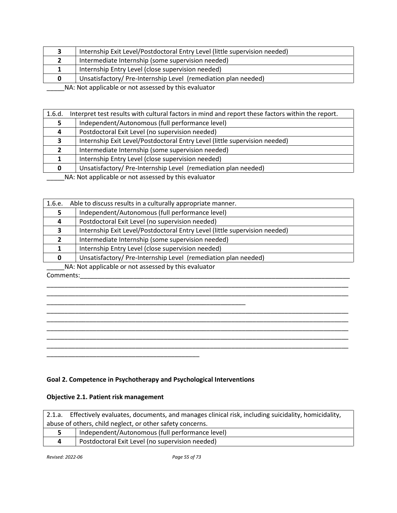|                                                      | Internship Exit Level/Postdoctoral Entry Level (little supervision needed) |
|------------------------------------------------------|----------------------------------------------------------------------------|
|                                                      | Intermediate Internship (some supervision needed)                          |
|                                                      | Internship Entry Level (close supervision needed)                          |
|                                                      | Unsatisfactory/ Pre-Internship Level (remediation plan needed)             |
| NA: Not applicable or not assessed by this evaluator |                                                                            |

| 1.6.d. | Interpret test results with cultural factors in mind and report these factors within the report.                                                                                                                                 |  |  |
|--------|----------------------------------------------------------------------------------------------------------------------------------------------------------------------------------------------------------------------------------|--|--|
| 5      | Independent/Autonomous (full performance level)                                                                                                                                                                                  |  |  |
| 4      | Postdoctoral Exit Level (no supervision needed)                                                                                                                                                                                  |  |  |
| З.     | Internship Exit Level/Postdoctoral Entry Level (little supervision needed)                                                                                                                                                       |  |  |
| 2      | Intermediate Internship (some supervision needed)                                                                                                                                                                                |  |  |
|        | Internship Entry Level (close supervision needed)                                                                                                                                                                                |  |  |
| 0      | Unsatisfactory/Pre-Internship Level (remediation plan needed)                                                                                                                                                                    |  |  |
|        | $\frac{1}{2}$ . The set of the set of the set of the set of the set of the set of the set of the set of the set of the set of the set of the set of the set of the set of the set of the set of the set of the set of the set of |  |  |

| 1.6.e. | Able to discuss results in a culturally appropriate manner. |                                                                            |  |
|--------|-------------------------------------------------------------|----------------------------------------------------------------------------|--|
|        |                                                             | Independent/Autonomous (full performance level)                            |  |
| 4      |                                                             | Postdoctoral Exit Level (no supervision needed)                            |  |
| 3      |                                                             | Internship Exit Level/Postdoctoral Entry Level (little supervision needed) |  |
|        |                                                             | Intermediate Internship (some supervision needed)                          |  |
|        |                                                             | Internship Entry Level (close supervision needed)                          |  |
| 0      |                                                             | Unsatisfactory/Pre-Internship Level (remediation plan needed)              |  |

\_\_\_\_\_NA: Not applicable or not assessed by this evaluator Comments:\_\_\_\_\_\_\_\_\_\_\_\_\_\_\_\_\_\_\_\_\_\_\_\_\_\_\_\_\_\_\_\_\_\_\_\_\_\_\_\_\_\_\_\_\_\_\_\_\_\_\_\_\_\_\_\_\_\_\_\_\_\_\_\_\_\_\_\_\_\_\_\_\_\_\_\_



# **Goal 2. Competence in Psychotherapy and Psychological Interventions**

# **Objective 2.1. Patient risk management**

| 2.1.a. Effectively evaluates, documents, and manages clinical risk, including suicidality, homicidality, |
|----------------------------------------------------------------------------------------------------------|
| abuse of others, child neglect, or other safety concerns.                                                |
| Independent/Autonomous (full performance level)                                                          |
| Postdoctoral Exit Level (no supervision needed)                                                          |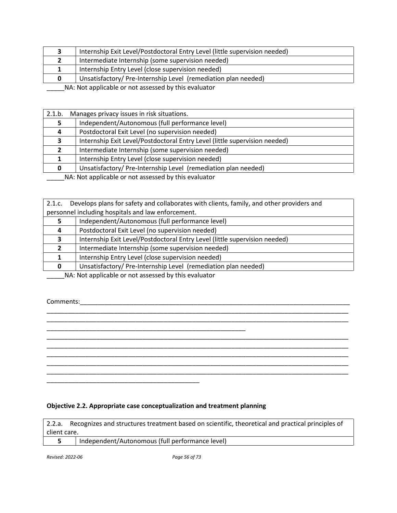|                                                      | Internship Exit Level/Postdoctoral Entry Level (little supervision needed) |
|------------------------------------------------------|----------------------------------------------------------------------------|
|                                                      | Intermediate Internship (some supervision needed)                          |
|                                                      | Internship Entry Level (close supervision needed)                          |
| 0                                                    | Unsatisfactory/Pre-Internship Level (remediation plan needed)              |
| NA: Not applicable or not assessed by this evaluator |                                                                            |

| 2.1.b.                                              | Manages privacy issues in risk situations.                                 |
|-----------------------------------------------------|----------------------------------------------------------------------------|
|                                                     | Independent/Autonomous (full performance level)                            |
| 4                                                   | Postdoctoral Exit Level (no supervision needed)                            |
| 3                                                   | Internship Exit Level/Postdoctoral Entry Level (little supervision needed) |
|                                                     | Intermediate Internship (some supervision needed)                          |
|                                                     | Internship Entry Level (close supervision needed)                          |
|                                                     | Unsatisfactory/Pre-Internship Level (remediation plan needed)              |
| NA Not applicable as not assessed by this qualupter |                                                                            |

| 2.1.c.       | Develops plans for safety and collaborates with clients, family, and other providers and |  |
|--------------|------------------------------------------------------------------------------------------|--|
|              | personnel including hospitals and law enforcement.                                       |  |
|              | Independent/Autonomous (full performance level)                                          |  |
| 4            | Postdoctoral Exit Level (no supervision needed)                                          |  |
|              | Internship Exit Level/Postdoctoral Entry Level (little supervision needed)               |  |
|              | Intermediate Internship (some supervision needed)                                        |  |
|              | Internship Entry Level (close supervision needed)                                        |  |
| <sup>0</sup> | Unsatisfactory/Pre-Internship Level (remediation plan needed)                            |  |

\_\_\_\_\_\_\_\_\_\_\_\_\_\_\_\_\_\_\_\_\_\_\_\_\_\_\_\_\_\_\_\_\_\_\_\_\_\_\_\_\_\_\_\_\_\_\_\_\_\_\_\_\_\_\_\_\_\_\_\_\_\_\_\_\_\_\_\_\_\_\_\_\_\_\_\_\_\_\_\_\_\_\_\_\_ \_\_\_\_\_\_\_\_\_\_\_\_\_\_\_\_\_\_\_\_\_\_\_\_\_\_\_\_\_\_\_\_\_\_\_\_\_\_\_\_\_\_\_\_\_\_\_\_\_\_\_\_\_\_\_\_\_\_\_\_\_\_\_\_\_\_\_\_\_\_\_\_\_\_\_\_\_\_\_\_\_\_\_\_\_

\_\_\_\_\_\_\_\_\_\_\_\_\_\_\_\_\_\_\_\_\_\_\_\_\_\_\_\_\_\_\_\_\_\_\_\_\_\_\_\_\_\_\_\_\_\_\_\_\_\_\_\_\_\_\_\_\_\_\_\_\_\_\_\_\_\_\_\_\_\_\_\_\_\_\_\_\_\_\_\_\_\_\_\_\_ \_\_\_\_\_\_\_\_\_\_\_\_\_\_\_\_\_\_\_\_\_\_\_\_\_\_\_\_\_\_\_\_\_\_\_\_\_\_\_\_\_\_\_\_\_\_\_\_\_\_\_\_\_\_\_\_\_\_\_\_\_\_\_\_\_\_\_\_\_\_\_\_\_\_\_\_\_\_\_\_\_\_\_\_\_ \_\_\_\_\_\_\_\_\_\_\_\_\_\_\_\_\_\_\_\_\_\_\_\_\_\_\_\_\_\_\_\_\_\_\_\_\_\_\_\_\_\_\_\_\_\_\_\_\_\_\_\_\_\_\_\_\_\_\_\_\_\_\_\_\_\_\_\_\_\_\_\_\_\_\_\_\_\_\_\_\_\_\_\_\_ \_\_\_\_\_\_\_\_\_\_\_\_\_\_\_\_\_\_\_\_\_\_\_\_\_\_\_\_\_\_\_\_\_\_\_\_\_\_\_\_\_\_\_\_\_\_\_\_\_\_\_\_\_\_\_\_\_\_\_\_\_\_\_\_\_\_\_\_\_\_\_\_\_\_\_\_\_\_\_\_\_\_\_\_\_ \_\_\_\_\_\_\_\_\_\_\_\_\_\_\_\_\_\_\_\_\_\_\_\_\_\_\_\_\_\_\_\_\_\_\_\_\_\_\_\_\_\_\_\_\_\_\_\_\_\_\_\_\_\_\_\_\_\_\_\_\_\_\_\_\_\_\_\_\_\_\_\_\_\_\_\_\_\_\_\_\_\_\_\_\_

\_\_\_\_\_NA: Not applicable or not assessed by this evaluator

\_\_\_\_\_\_\_\_\_\_\_\_\_\_\_\_\_\_\_\_\_\_\_\_\_\_\_\_\_\_\_\_\_\_\_\_\_\_\_\_\_\_\_

\_\_\_\_\_\_\_\_\_\_\_\_\_\_\_\_\_\_\_\_\_\_\_\_\_\_\_\_\_\_\_\_\_\_\_\_\_\_\_\_\_\_\_\_\_\_\_\_\_\_\_\_\_\_\_\_

Comments:\_\_\_\_\_\_\_\_\_\_\_\_\_\_\_\_\_\_\_\_\_\_\_\_\_\_\_\_\_\_\_\_\_\_\_\_\_\_\_\_\_\_\_\_\_\_\_\_\_\_\_\_\_\_\_\_\_\_\_\_\_\_\_\_\_\_\_\_\_\_\_\_\_\_\_\_

# **Objective 2.2. Appropriate case conceptualization and treatment planning**

2.2.a. Recognizes and structures treatment based on scientific, theoretical and practical principles of client care.

| Independent/Autonomous (full performance level) |  |
|-------------------------------------------------|--|
|                                                 |  |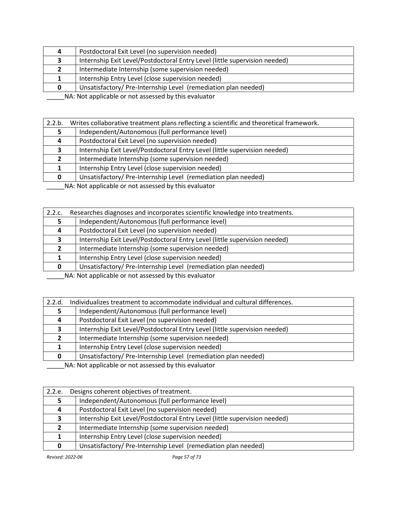| 4                                                    | Postdoctoral Exit Level (no supervision needed)                            |
|------------------------------------------------------|----------------------------------------------------------------------------|
|                                                      | Internship Exit Level/Postdoctoral Entry Level (little supervision needed) |
|                                                      | Intermediate Internship (some supervision needed)                          |
|                                                      | Internship Entry Level (close supervision needed)                          |
|                                                      | Unsatisfactory/Pre-Internship Level (remediation plan needed)              |
| NA: Not applicable or not assessed by this ovaluator |                                                                            |

| 2.2.b. | Writes collaborative treatment plans reflecting a scientific and theoretical framework. |
|--------|-----------------------------------------------------------------------------------------|
|        | Independent/Autonomous (full performance level)                                         |
| 4      | Postdoctoral Exit Level (no supervision needed)                                         |
|        | Internship Exit Level/Postdoctoral Entry Level (little supervision needed)              |
|        | Intermediate Internship (some supervision needed)                                       |
|        | Internship Entry Level (close supervision needed)                                       |
|        | Unsatisfactory/Pre-Internship Level (remediation plan needed)                           |
|        |                                                                                         |

\_\_\_\_\_NA: Not applicable or not assessed by this evaluator

| 2.2.c. | Researches diagnoses and incorporates scientific knowledge into treatments. |
|--------|-----------------------------------------------------------------------------|
|        | Independent/Autonomous (full performance level)                             |
| 4      | Postdoctoral Exit Level (no supervision needed)                             |
|        | Internship Exit Level/Postdoctoral Entry Level (little supervision needed)  |
|        | Intermediate Internship (some supervision needed)                           |
|        | Internship Entry Level (close supervision needed)                           |
|        | Unsatisfactory/Pre-Internship Level (remediation plan needed)               |

\_\_\_\_\_NA: Not applicable or not assessed by this evaluator

| 2.2.d.                                               | Individualizes treatment to accommodate individual and cultural differences. |
|------------------------------------------------------|------------------------------------------------------------------------------|
|                                                      | Independent/Autonomous (full performance level)                              |
| 4                                                    | Postdoctoral Exit Level (no supervision needed)                              |
|                                                      | Internship Exit Level/Postdoctoral Entry Level (little supervision needed)   |
| $\mathbf{2}$                                         | Intermediate Internship (some supervision needed)                            |
|                                                      | Internship Entry Level (close supervision needed)                            |
|                                                      | Unsatisfactory/Pre-Internship Level (remediation plan needed)                |
| NA: Not applicable or not assessed by this evaluator |                                                                              |

2.2.e. Designs coherent objectives of treatment. Independent/Autonomous (full performance level) Postdoctoral Exit Level (no supervision needed) Internship Exit Level/Postdoctoral Entry Level (little supervision needed) Intermediate Internship (some supervision needed) Internship Entry Level (close supervision needed) Unsatisfactory/ Pre-Internship Level (remediation plan needed)

*Revised: 2022-06 Page 57 of 73*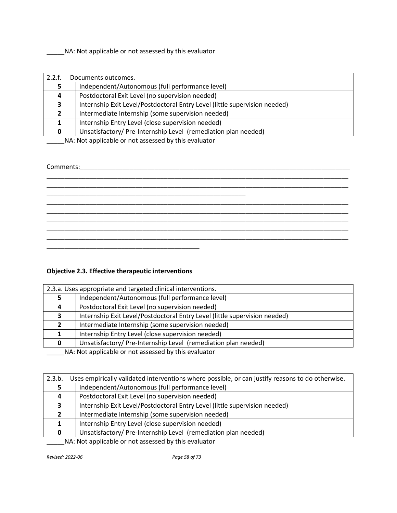\_\_\_\_\_\_\_\_\_\_\_\_\_\_\_\_\_\_\_\_\_\_\_\_\_\_\_\_\_\_\_\_\_\_\_\_\_\_\_\_\_\_\_\_\_\_\_\_\_\_\_\_\_\_\_\_

| 2.2.f.       | Documents outcomes.                                                        |  |
|--------------|----------------------------------------------------------------------------|--|
|              | Independent/Autonomous (full performance level)                            |  |
| 4            | Postdoctoral Exit Level (no supervision needed)                            |  |
| э.           | Internship Exit Level/Postdoctoral Entry Level (little supervision needed) |  |
|              | Intermediate Internship (some supervision needed)                          |  |
|              | Internship Entry Level (close supervision needed)                          |  |
| <sup>0</sup> | Unsatisfactory/Pre-Internship Level (remediation plan needed)              |  |
|              | NA: Not applicable or not assessed by this evaluator                       |  |

\_\_\_\_\_\_\_\_\_\_\_\_\_\_\_\_\_\_\_\_\_\_\_\_\_\_\_\_\_\_\_\_\_\_\_\_\_\_\_\_\_\_\_\_\_\_\_\_\_\_\_\_\_\_\_\_\_\_\_\_\_\_\_\_\_\_\_\_\_\_\_\_\_\_\_\_\_\_\_\_\_\_\_\_\_

\_\_\_\_\_\_\_\_\_\_\_\_\_\_\_\_\_\_\_\_\_\_\_\_\_\_\_\_\_\_\_\_\_\_\_\_\_\_\_\_\_\_\_\_\_\_\_\_\_\_\_\_\_\_\_\_\_\_\_\_\_\_\_\_\_\_\_\_\_\_\_\_\_\_\_\_\_\_\_\_\_\_\_\_\_ \_\_\_\_\_\_\_\_\_\_\_\_\_\_\_\_\_\_\_\_\_\_\_\_\_\_\_\_\_\_\_\_\_\_\_\_\_\_\_\_\_\_\_\_\_\_\_\_\_\_\_\_\_\_\_\_\_\_\_\_\_\_\_\_\_\_\_\_\_\_\_\_\_\_\_\_\_\_\_\_\_\_\_\_\_ \_\_\_\_\_\_\_\_\_\_\_\_\_\_\_\_\_\_\_\_\_\_\_\_\_\_\_\_\_\_\_\_\_\_\_\_\_\_\_\_\_\_\_\_\_\_\_\_\_\_\_\_\_\_\_\_\_\_\_\_\_\_\_\_\_\_\_\_\_\_\_\_\_\_\_\_\_\_\_\_\_\_\_\_\_ \_\_\_\_\_\_\_\_\_\_\_\_\_\_\_\_\_\_\_\_\_\_\_\_\_\_\_\_\_\_\_\_\_\_\_\_\_\_\_\_\_\_\_\_\_\_\_\_\_\_\_\_\_\_\_\_\_\_\_\_\_\_\_\_\_\_\_\_\_\_\_\_\_\_\_\_\_\_\_\_\_\_\_\_\_ \_\_\_\_\_\_\_\_\_\_\_\_\_\_\_\_\_\_\_\_\_\_\_\_\_\_\_\_\_\_\_\_\_\_\_\_\_\_\_\_\_\_\_\_\_\_\_\_\_\_\_\_\_\_\_\_\_\_\_\_\_\_\_\_\_\_\_\_\_\_\_\_\_\_\_\_\_\_\_\_\_\_\_\_\_

### Comments:\_\_\_\_\_\_\_\_\_\_\_\_\_\_\_\_\_\_\_\_\_\_\_\_\_\_\_\_\_\_\_\_\_\_\_\_\_\_\_\_\_\_\_\_\_\_\_\_\_\_\_\_\_\_\_\_\_\_\_\_\_\_\_\_\_\_\_\_\_\_\_\_\_\_\_\_

# **Objective 2.3. Effective therapeutic interventions**

\_\_\_\_\_\_\_\_\_\_\_\_\_\_\_\_\_\_\_\_\_\_\_\_\_\_\_\_\_\_\_\_\_\_\_\_\_\_\_\_\_\_\_

| 2.3.a. Uses appropriate and targeted clinical interventions.        |                                                                            |
|---------------------------------------------------------------------|----------------------------------------------------------------------------|
|                                                                     | Independent/Autonomous (full performance level)                            |
| 4                                                                   | Postdoctoral Exit Level (no supervision needed)                            |
| 3                                                                   | Internship Exit Level/Postdoctoral Entry Level (little supervision needed) |
|                                                                     | Intermediate Internship (some supervision needed)                          |
|                                                                     | Internship Entry Level (close supervision needed)                          |
|                                                                     | Unsatisfactory/Pre-Internship Level (remediation plan needed)              |
| <b>ALA</b> ALOR COMPONED CONTROL CONTROL AND INTERFERING THE CHANGE |                                                                            |

\_\_\_\_\_NA: Not applicable or not assessed by this evaluator

| 2.3.b.                                                | Uses empirically validated interventions where possible, or can justify reasons to do otherwise. |
|-------------------------------------------------------|--------------------------------------------------------------------------------------------------|
|                                                       | Independent/Autonomous (full performance level)                                                  |
|                                                       | Postdoctoral Exit Level (no supervision needed)                                                  |
|                                                       | Internship Exit Level/Postdoctoral Entry Level (little supervision needed)                       |
|                                                       | Intermediate Internship (some supervision needed)                                                |
|                                                       | Internship Entry Level (close supervision needed)                                                |
|                                                       | Unsatisfactory/Pre-Internship Level (remediation plan needed)                                    |
| NA . Not applicable as not assessed by this qualupter |                                                                                                  |

\_\_\_\_\_NA: Not applicable or not assessed by this evaluator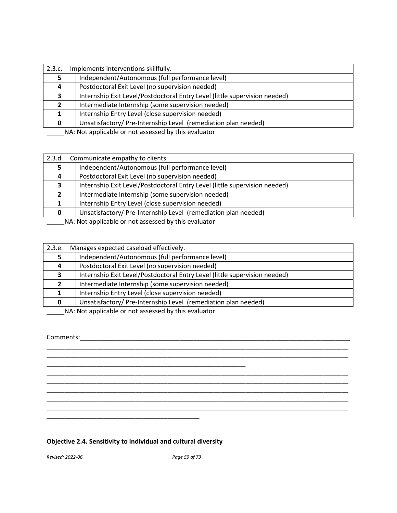| 2.3.c. | Implements interventions skillfully.                                       |
|--------|----------------------------------------------------------------------------|
|        | Independent/Autonomous (full performance level)                            |
| 4      | Postdoctoral Exit Level (no supervision needed)                            |
| 3.     | Internship Exit Level/Postdoctoral Entry Level (little supervision needed) |
|        | Intermediate Internship (some supervision needed)                          |
|        | Internship Entry Level (close supervision needed)                          |
|        | Unsatisfactory/Pre-Internship Level (remediation plan needed)              |
|        | NA . Net enable ble en net essessed butble suelusten                       |

| 2.3.d.                                               | Communicate empathy to clients.                                            |
|------------------------------------------------------|----------------------------------------------------------------------------|
|                                                      | Independent/Autonomous (full performance level)                            |
| 4                                                    | Postdoctoral Exit Level (no supervision needed)                            |
| 3                                                    | Internship Exit Level/Postdoctoral Entry Level (little supervision needed) |
| $\mathbf{2}$                                         | Intermediate Internship (some supervision needed)                          |
|                                                      | Internship Entry Level (close supervision needed)                          |
|                                                      | Unsatisfactory/Pre-Internship Level (remediation plan needed)              |
| NA: Not applicable or not assessed by this evaluator |                                                                            |

| 2.3.e.                                               | Manages expected caseload effectively.                                     |
|------------------------------------------------------|----------------------------------------------------------------------------|
|                                                      | Independent/Autonomous (full performance level)                            |
| 4                                                    | Postdoctoral Exit Level (no supervision needed)                            |
| 3                                                    | Internship Exit Level/Postdoctoral Entry Level (little supervision needed) |
| 2                                                    | Intermediate Internship (some supervision needed)                          |
|                                                      | Internship Entry Level (close supervision needed)                          |
| 0                                                    | Unsatisfactory/Pre-Internship Level (remediation plan needed)              |
| NA: Not applicable or not assessed by this evaluator |                                                                            |

\_\_\_\_\_\_\_\_\_\_\_\_\_\_\_\_\_\_\_\_\_\_\_\_\_\_\_\_\_\_\_\_\_\_\_\_\_\_\_\_\_\_\_\_\_\_\_\_\_\_\_\_\_\_\_\_\_\_\_\_\_\_\_\_\_\_\_\_\_\_\_\_\_\_\_\_\_\_\_\_\_\_\_\_\_ \_\_\_\_\_\_\_\_\_\_\_\_\_\_\_\_\_\_\_\_\_\_\_\_\_\_\_\_\_\_\_\_\_\_\_\_\_\_\_\_\_\_\_\_\_\_\_\_\_\_\_\_\_\_\_\_\_\_\_\_\_\_\_\_\_\_\_\_\_\_\_\_\_\_\_\_\_\_\_\_\_\_\_\_\_

\_\_\_\_\_\_\_\_\_\_\_\_\_\_\_\_\_\_\_\_\_\_\_\_\_\_\_\_\_\_\_\_\_\_\_\_\_\_\_\_\_\_\_\_\_\_\_\_\_\_\_\_\_\_\_\_\_\_\_\_\_\_\_\_\_\_\_\_\_\_\_\_\_\_\_\_\_\_\_\_\_\_\_\_\_ \_\_\_\_\_\_\_\_\_\_\_\_\_\_\_\_\_\_\_\_\_\_\_\_\_\_\_\_\_\_\_\_\_\_\_\_\_\_\_\_\_\_\_\_\_\_\_\_\_\_\_\_\_\_\_\_\_\_\_\_\_\_\_\_\_\_\_\_\_\_\_\_\_\_\_\_\_\_\_\_\_\_\_\_\_ \_\_\_\_\_\_\_\_\_\_\_\_\_\_\_\_\_\_\_\_\_\_\_\_\_\_\_\_\_\_\_\_\_\_\_\_\_\_\_\_\_\_\_\_\_\_\_\_\_\_\_\_\_\_\_\_\_\_\_\_\_\_\_\_\_\_\_\_\_\_\_\_\_\_\_\_\_\_\_\_\_\_\_\_\_ \_\_\_\_\_\_\_\_\_\_\_\_\_\_\_\_\_\_\_\_\_\_\_\_\_\_\_\_\_\_\_\_\_\_\_\_\_\_\_\_\_\_\_\_\_\_\_\_\_\_\_\_\_\_\_\_\_\_\_\_\_\_\_\_\_\_\_\_\_\_\_\_\_\_\_\_\_\_\_\_\_\_\_\_\_ \_\_\_\_\_\_\_\_\_\_\_\_\_\_\_\_\_\_\_\_\_\_\_\_\_\_\_\_\_\_\_\_\_\_\_\_\_\_\_\_\_\_\_\_\_\_\_\_\_\_\_\_\_\_\_\_\_\_\_\_\_\_\_\_\_\_\_\_\_\_\_\_\_\_\_\_\_\_\_\_\_\_\_\_\_

# Comments:\_\_\_\_\_\_\_\_\_\_\_\_\_\_\_\_\_\_\_\_\_\_\_\_\_\_\_\_\_\_\_\_\_\_\_\_\_\_\_\_\_\_\_\_\_\_\_\_\_\_\_\_\_\_\_\_\_\_\_\_\_\_\_\_\_\_\_\_\_\_\_\_\_\_\_\_

# **Objective 2.4. Sensitivity to individual and cultural diversity**

\_\_\_\_\_\_\_\_\_\_\_\_\_\_\_\_\_\_\_\_\_\_\_\_\_\_\_\_\_\_\_\_\_\_\_\_\_\_\_\_\_\_\_

\_\_\_\_\_\_\_\_\_\_\_\_\_\_\_\_\_\_\_\_\_\_\_\_\_\_\_\_\_\_\_\_\_\_\_\_\_\_\_\_\_\_\_\_\_\_\_\_\_\_\_\_\_\_\_\_

*Revised: 2022-06 Page 59 of 73*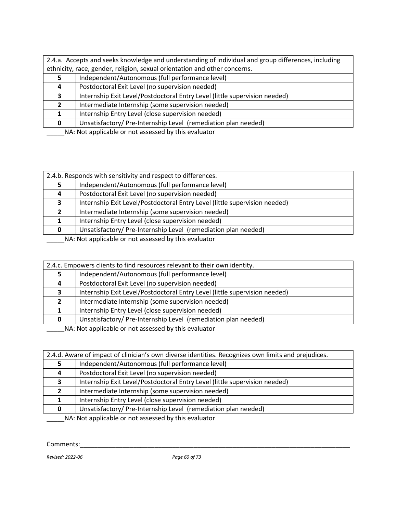|   | 2.4.b. Responds with sensitivity and respect to differences.               |
|---|----------------------------------------------------------------------------|
|   | Independent/Autonomous (full performance level)                            |
| 4 | Postdoctoral Exit Level (no supervision needed)                            |
| 3 | Internship Exit Level/Postdoctoral Entry Level (little supervision needed) |
|   | Intermediate Internship (some supervision needed)                          |
|   | Internship Entry Level (close supervision needed)                          |
| n | Unsatisfactory/Pre-Internship Level (remediation plan needed)              |
|   | NA: Not applicable or not assessed by this evaluator                       |

\_\_\_\_\_NA: Not applicable or not assessed by this evaluator

|                                                      | 2.4.c. Empowers clients to find resources relevant to their own identity.  |  |
|------------------------------------------------------|----------------------------------------------------------------------------|--|
|                                                      | Independent/Autonomous (full performance level)                            |  |
| 4                                                    | Postdoctoral Exit Level (no supervision needed)                            |  |
| 3                                                    | Internship Exit Level/Postdoctoral Entry Level (little supervision needed) |  |
| $\mathbf{2}$                                         | Intermediate Internship (some supervision needed)                          |  |
|                                                      | Internship Entry Level (close supervision needed)                          |  |
| 0                                                    | Unsatisfactory/Pre-Internship Level (remediation plan needed)              |  |
| NA: Not applicable or not assessed by this evaluator |                                                                            |  |

|              | 2.4.d. Aware of impact of clinician's own diverse identities. Recognizes own limits and prejudices. |  |
|--------------|-----------------------------------------------------------------------------------------------------|--|
|              | Independent/Autonomous (full performance level)                                                     |  |
| 4            | Postdoctoral Exit Level (no supervision needed)                                                     |  |
| 3            | Internship Exit Level/Postdoctoral Entry Level (little supervision needed)                          |  |
| $\mathbf{2}$ | Intermediate Internship (some supervision needed)                                                   |  |
|              | Internship Entry Level (close supervision needed)                                                   |  |
| 0            | Unsatisfactory/Pre-Internship Level (remediation plan needed)                                       |  |
|              | NA: Not applicable or not accossed by this ovaluator                                                |  |

\_\_\_\_\_NA: Not applicable or not assessed by this evaluator

Comments:\_\_\_\_\_\_\_\_\_\_\_\_\_\_\_\_\_\_\_\_\_\_\_\_\_\_\_\_\_\_\_\_\_\_\_\_\_\_\_\_\_\_\_\_\_\_\_\_\_\_\_\_\_\_\_\_\_\_\_\_\_\_\_\_\_\_\_\_\_\_\_\_\_\_\_\_

*Revised: 2022-06 Page 60 of 73*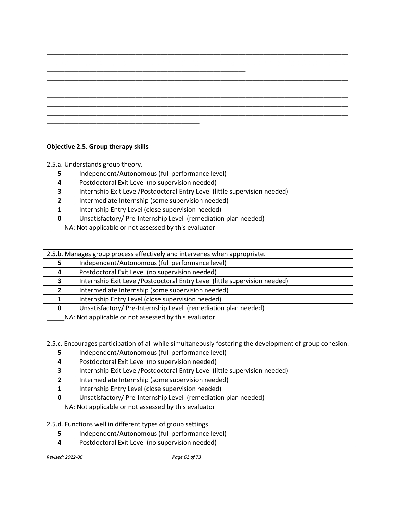\_\_\_\_\_\_\_\_\_\_\_\_\_\_\_\_\_\_\_\_\_\_\_\_\_\_\_\_\_\_\_\_\_\_\_\_\_\_\_\_\_\_\_\_\_\_\_\_\_\_\_\_\_\_\_\_\_\_\_\_\_\_\_\_\_\_\_\_\_\_\_\_\_\_\_\_\_\_\_\_\_\_\_\_\_

# **Objective 2.5. Group therapy skills**

|                                                      | 2.5.a. Understands group theory.                                           |  |
|------------------------------------------------------|----------------------------------------------------------------------------|--|
|                                                      | Independent/Autonomous (full performance level)                            |  |
| 4                                                    | Postdoctoral Exit Level (no supervision needed)                            |  |
| 3.                                                   | Internship Exit Level/Postdoctoral Entry Level (little supervision needed) |  |
|                                                      | Intermediate Internship (some supervision needed)                          |  |
|                                                      | Internship Entry Level (close supervision needed)                          |  |
|                                                      | Unsatisfactory/Pre-Internship Level (remediation plan needed)              |  |
| NA: Not applicable or not assessed by this evaluator |                                                                            |  |

|                                                                                               | 2.5.b. Manages group process effectively and intervenes when appropriate.  |
|-----------------------------------------------------------------------------------------------|----------------------------------------------------------------------------|
|                                                                                               | Independent/Autonomous (full performance level)                            |
| 4                                                                                             | Postdoctoral Exit Level (no supervision needed)                            |
|                                                                                               | Internship Exit Level/Postdoctoral Entry Level (little supervision needed) |
|                                                                                               | Intermediate Internship (some supervision needed)                          |
|                                                                                               | Internship Entry Level (close supervision needed)                          |
|                                                                                               | Unsatisfactory/Pre-Internship Level (remediation plan needed)              |
| <b>ALA</b> ALAB and <b>Problems</b> are a substantial different for a lattice of $\mathbf{r}$ |                                                                            |

\_\_\_\_\_NA: Not applicable or not assessed by this evaluator

| 2.5.c. Encourages participation of all while simultaneously fostering the development of group cohesion. |                                                                            |
|----------------------------------------------------------------------------------------------------------|----------------------------------------------------------------------------|
|                                                                                                          | Independent/Autonomous (full performance level)                            |
| 4                                                                                                        | Postdoctoral Exit Level (no supervision needed)                            |
| 3                                                                                                        | Internship Exit Level/Postdoctoral Entry Level (little supervision needed) |
|                                                                                                          | Intermediate Internship (some supervision needed)                          |
|                                                                                                          | Internship Entry Level (close supervision needed)                          |
| <sup>0</sup>                                                                                             | Unsatisfactory/Pre-Internship Level (remediation plan needed)              |
| NA: Not applicable or not assessed by this evaluator                                                     |                                                                            |

| 2.5.d. Functions well in different types of group settings. |                                                 |
|-------------------------------------------------------------|-------------------------------------------------|
|                                                             | Independent/Autonomous (full performance level) |
|                                                             | Postdoctoral Exit Level (no supervision needed) |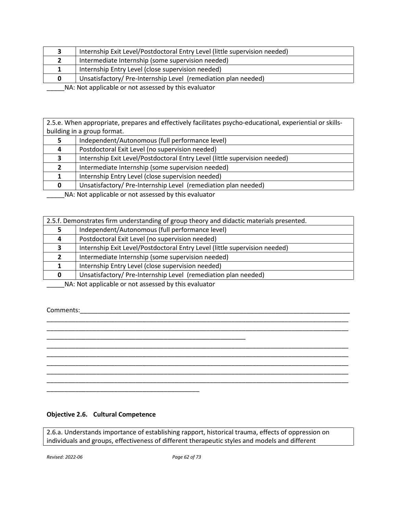|                                                      | Internship Exit Level/Postdoctoral Entry Level (little supervision needed) |
|------------------------------------------------------|----------------------------------------------------------------------------|
|                                                      | Intermediate Internship (some supervision needed)                          |
|                                                      | Internship Entry Level (close supervision needed)                          |
|                                                      | Unsatisfactory/Pre-Internship Level (remediation plan needed)              |
| NA: Not applicable or not assessed by this evaluator |                                                                            |

2.5.e. When appropriate, prepares and effectively facilitates psycho-educational, experiential or skillsbuilding in a group format.

|    | Independent/Autonomous (full performance level)                            |
|----|----------------------------------------------------------------------------|
| -4 | Postdoctoral Exit Level (no supervision needed)                            |
| 3  | Internship Exit Level/Postdoctoral Entry Level (little supervision needed) |
|    | Intermediate Internship (some supervision needed)                          |
|    | Internship Entry Level (close supervision needed)                          |
|    | Unsatisfactory/Pre-Internship Level (remediation plan needed)              |
|    | NA . Not applicable as not accorded by this ovaluator                      |

\_\_\_\_\_NA: Not applicable or not assessed by this evaluator

| 2.5.f. Demonstrates firm understanding of group theory and didactic materials presented. |                                                                                                                                                                                                                                                                                                                                                                                                                                                              |  |
|------------------------------------------------------------------------------------------|--------------------------------------------------------------------------------------------------------------------------------------------------------------------------------------------------------------------------------------------------------------------------------------------------------------------------------------------------------------------------------------------------------------------------------------------------------------|--|
|                                                                                          | Independent/Autonomous (full performance level)                                                                                                                                                                                                                                                                                                                                                                                                              |  |
|                                                                                          | Postdoctoral Exit Level (no supervision needed)                                                                                                                                                                                                                                                                                                                                                                                                              |  |
|                                                                                          | Internship Exit Level/Postdoctoral Entry Level (little supervision needed)                                                                                                                                                                                                                                                                                                                                                                                   |  |
|                                                                                          | Intermediate Internship (some supervision needed)                                                                                                                                                                                                                                                                                                                                                                                                            |  |
|                                                                                          | Internship Entry Level (close supervision needed)                                                                                                                                                                                                                                                                                                                                                                                                            |  |
|                                                                                          | Unsatisfactory/Pre-Internship Level (remediation plan needed)                                                                                                                                                                                                                                                                                                                                                                                                |  |
|                                                                                          | $\mathbf{a} \cdot \mathbf{b} = \mathbf{a} \cdot \mathbf{b} = \mathbf{a} \cdot \mathbf{b} = \mathbf{a} \cdot \mathbf{b} = \mathbf{a} \cdot \mathbf{b} = \mathbf{a} \cdot \mathbf{b} = \mathbf{a} \cdot \mathbf{b} = \mathbf{a} \cdot \mathbf{b} = \mathbf{a} \cdot \mathbf{b} = \mathbf{a} \cdot \mathbf{b} = \mathbf{a} \cdot \mathbf{b} = \mathbf{a} \cdot \mathbf{b} = \mathbf{a} \cdot \mathbf{b} = \mathbf{a} \cdot \mathbf{b} = \mathbf{a} \cdot \math$ |  |

\_\_\_\_\_\_\_\_\_\_\_\_\_\_\_\_\_\_\_\_\_\_\_\_\_\_\_\_\_\_\_\_\_\_\_\_\_\_\_\_\_\_\_\_\_\_\_\_\_\_\_\_\_\_\_\_\_\_\_\_\_\_\_\_\_\_\_\_\_\_\_\_\_\_\_\_\_\_\_\_\_\_\_\_\_ \_\_\_\_\_\_\_\_\_\_\_\_\_\_\_\_\_\_\_\_\_\_\_\_\_\_\_\_\_\_\_\_\_\_\_\_\_\_\_\_\_\_\_\_\_\_\_\_\_\_\_\_\_\_\_\_\_\_\_\_\_\_\_\_\_\_\_\_\_\_\_\_\_\_\_\_\_\_\_\_\_\_\_\_\_

\_\_\_\_\_\_\_\_\_\_\_\_\_\_\_\_\_\_\_\_\_\_\_\_\_\_\_\_\_\_\_\_\_\_\_\_\_\_\_\_\_\_\_\_\_\_\_\_\_\_\_\_\_\_\_\_\_\_\_\_\_\_\_\_\_\_\_\_\_\_\_\_\_\_\_\_\_\_\_\_\_\_\_\_\_ \_\_\_\_\_\_\_\_\_\_\_\_\_\_\_\_\_\_\_\_\_\_\_\_\_\_\_\_\_\_\_\_\_\_\_\_\_\_\_\_\_\_\_\_\_\_\_\_\_\_\_\_\_\_\_\_\_\_\_\_\_\_\_\_\_\_\_\_\_\_\_\_\_\_\_\_\_\_\_\_\_\_\_\_\_ \_\_\_\_\_\_\_\_\_\_\_\_\_\_\_\_\_\_\_\_\_\_\_\_\_\_\_\_\_\_\_\_\_\_\_\_\_\_\_\_\_\_\_\_\_\_\_\_\_\_\_\_\_\_\_\_\_\_\_\_\_\_\_\_\_\_\_\_\_\_\_\_\_\_\_\_\_\_\_\_\_\_\_\_\_ \_\_\_\_\_\_\_\_\_\_\_\_\_\_\_\_\_\_\_\_\_\_\_\_\_\_\_\_\_\_\_\_\_\_\_\_\_\_\_\_\_\_\_\_\_\_\_\_\_\_\_\_\_\_\_\_\_\_\_\_\_\_\_\_\_\_\_\_\_\_\_\_\_\_\_\_\_\_\_\_\_\_\_\_\_ \_\_\_\_\_\_\_\_\_\_\_\_\_\_\_\_\_\_\_\_\_\_\_\_\_\_\_\_\_\_\_\_\_\_\_\_\_\_\_\_\_\_\_\_\_\_\_\_\_\_\_\_\_\_\_\_\_\_\_\_\_\_\_\_\_\_\_\_\_\_\_\_\_\_\_\_\_\_\_\_\_\_\_\_\_

\_\_\_\_\_NA: Not applicable or not assessed by this evaluator

\_\_\_\_\_\_\_\_\_\_\_\_\_\_\_\_\_\_\_\_\_\_\_\_\_\_\_\_\_\_\_\_\_\_\_\_\_\_\_\_\_\_\_\_\_\_\_\_\_\_\_\_\_\_\_\_

Comments:\_\_\_\_\_\_\_\_\_\_\_\_\_\_\_\_\_\_\_\_\_\_\_\_\_\_\_\_\_\_\_\_\_\_\_\_\_\_\_\_\_\_\_\_\_\_\_\_\_\_\_\_\_\_\_\_\_\_\_\_\_\_\_\_\_\_\_\_\_\_\_\_\_\_\_\_

# **Objective 2.6. Cultural Competence**

\_\_\_\_\_\_\_\_\_\_\_\_\_\_\_\_\_\_\_\_\_\_\_\_\_\_\_\_\_\_\_\_\_\_\_\_\_\_\_\_\_\_\_

2.6.a. Understands importance of establishing rapport, historical trauma, effects of oppression on individuals and groups, effectiveness of different therapeutic styles and models and different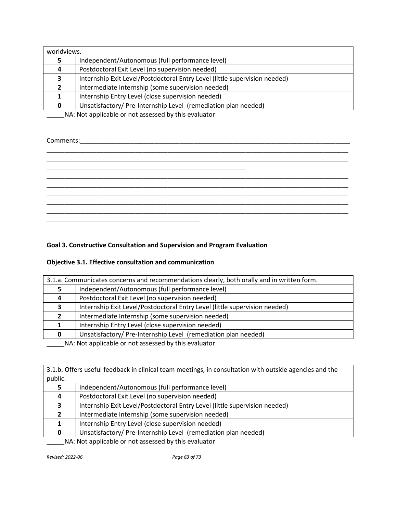| worldviews. |                                                                            |
|-------------|----------------------------------------------------------------------------|
|             | Independent/Autonomous (full performance level)                            |
| 4           | Postdoctoral Exit Level (no supervision needed)                            |
| 3.          | Internship Exit Level/Postdoctoral Entry Level (little supervision needed) |
|             | Intermediate Internship (some supervision needed)                          |
|             | Internship Entry Level (close supervision needed)                          |
|             | Unsatisfactory/Pre-Internship Level (remediation plan needed)              |

# Comments:\_\_\_\_\_\_\_\_\_\_\_\_\_\_\_\_\_\_\_\_\_\_\_\_\_\_\_\_\_\_\_\_\_\_\_\_\_\_\_\_\_\_\_\_\_\_\_\_\_\_\_\_\_\_\_\_\_\_\_\_\_\_\_\_\_\_\_\_\_\_\_\_\_\_\_\_

\_\_\_\_\_\_\_\_\_\_\_\_\_\_\_\_\_\_\_\_\_\_\_\_\_\_\_\_\_\_\_\_\_\_\_\_\_\_\_\_\_\_\_\_\_\_\_\_\_\_\_\_\_\_\_\_\_\_\_\_\_\_\_\_\_\_\_\_\_\_\_\_\_\_\_\_\_\_\_\_\_\_\_\_\_ \_\_\_\_\_\_\_\_\_\_\_\_\_\_\_\_\_\_\_\_\_\_\_\_\_\_\_\_\_\_\_\_\_\_\_\_\_\_\_\_\_\_\_\_\_\_\_\_\_\_\_\_\_\_\_\_\_\_\_\_\_\_\_\_\_\_\_\_\_\_\_\_\_\_\_\_\_\_\_\_\_\_\_\_\_ \_\_\_\_\_\_\_\_\_\_\_\_\_\_\_\_\_\_\_\_\_\_\_\_\_\_\_\_\_\_\_\_\_\_\_\_\_\_\_\_\_\_\_\_\_\_\_\_\_\_\_\_\_\_\_\_ \_\_\_\_\_\_\_\_\_\_\_\_\_\_\_\_\_\_\_\_\_\_\_\_\_\_\_\_\_\_\_\_\_\_\_\_\_\_\_\_\_\_\_\_\_\_\_\_\_\_\_\_\_\_\_\_\_\_\_\_\_\_\_\_\_\_\_\_\_\_\_\_\_\_\_\_\_\_\_\_\_\_\_\_\_ \_\_\_\_\_\_\_\_\_\_\_\_\_\_\_\_\_\_\_\_\_\_\_\_\_\_\_\_\_\_\_\_\_\_\_\_\_\_\_\_\_\_\_\_\_\_\_\_\_\_\_\_\_\_\_\_\_\_\_\_\_\_\_\_\_\_\_\_\_\_\_\_\_\_\_\_\_\_\_\_\_\_\_\_\_ \_\_\_\_\_\_\_\_\_\_\_\_\_\_\_\_\_\_\_\_\_\_\_\_\_\_\_\_\_\_\_\_\_\_\_\_\_\_\_\_\_\_\_\_\_\_\_\_\_\_\_\_\_\_\_\_\_\_\_\_\_\_\_\_\_\_\_\_\_\_\_\_\_\_\_\_\_\_\_\_\_\_\_\_\_ \_\_\_\_\_\_\_\_\_\_\_\_\_\_\_\_\_\_\_\_\_\_\_\_\_\_\_\_\_\_\_\_\_\_\_\_\_\_\_\_\_\_\_\_\_\_\_\_\_\_\_\_\_\_\_\_\_\_\_\_\_\_\_\_\_\_\_\_\_\_\_\_\_\_\_\_\_\_\_\_\_\_\_\_\_ \_\_\_\_\_\_\_\_\_\_\_\_\_\_\_\_\_\_\_\_\_\_\_\_\_\_\_\_\_\_\_\_\_\_\_\_\_\_\_\_\_\_\_\_\_\_\_\_\_\_\_\_\_\_\_\_\_\_\_\_\_\_\_\_\_\_\_\_\_\_\_\_\_\_\_\_\_\_\_\_\_\_\_\_\_ \_\_\_\_\_\_\_\_\_\_\_\_\_\_\_\_\_\_\_\_\_\_\_\_\_\_\_\_\_\_\_\_\_\_\_\_\_\_\_\_\_\_\_

# **Goal 3. Constructive Consultation and Supervision and Program Evaluation**

# **Objective 3.1. Effective consultation and communication**

| 3.1.a. Communicates concerns and recommendations clearly, both orally and in written form. |                                                                            |
|--------------------------------------------------------------------------------------------|----------------------------------------------------------------------------|
| 5                                                                                          | Independent/Autonomous (full performance level)                            |
| 4                                                                                          | Postdoctoral Exit Level (no supervision needed)                            |
|                                                                                            | Internship Exit Level/Postdoctoral Entry Level (little supervision needed) |
| $\mathbf{z}$                                                                               | Intermediate Internship (some supervision needed)                          |
|                                                                                            | Internship Entry Level (close supervision needed)                          |
|                                                                                            | Unsatisfactory/Pre-Internship Level (remediation plan needed)              |
| NA: Not applicable or not assessed by this evaluator                                       |                                                                            |

3.1.b. Offers useful feedback in clinical team meetings, in consultation with outside agencies and the public.

|   | Independent/Autonomous (full performance level)                            |
|---|----------------------------------------------------------------------------|
| 4 | Postdoctoral Exit Level (no supervision needed)                            |
|   | Internship Exit Level/Postdoctoral Entry Level (little supervision needed) |
|   | Intermediate Internship (some supervision needed)                          |
|   | Internship Entry Level (close supervision needed)                          |
|   | Unsatisfactory/ Pre-Internship Level (remediation plan needed)             |

\_\_\_\_\_NA: Not applicable or not assessed by this evaluator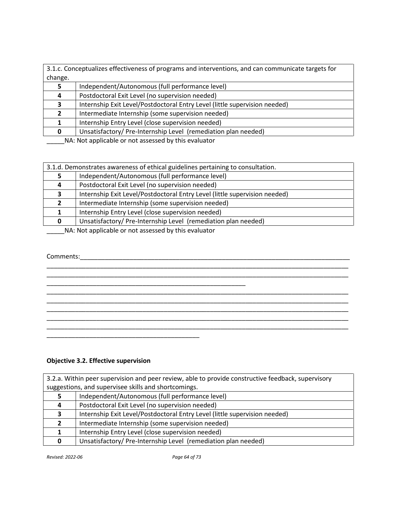| 3.1.c. Conceptualizes effectiveness of programs and interventions, and can communicate targets for |                                                                            |
|----------------------------------------------------------------------------------------------------|----------------------------------------------------------------------------|
| change.                                                                                            |                                                                            |
|                                                                                                    | Independent/Autonomous (full performance level)                            |
| 4                                                                                                  | Postdoctoral Exit Level (no supervision needed)                            |
|                                                                                                    | Internship Exit Level/Postdoctoral Entry Level (little supervision needed) |
|                                                                                                    | Intermediate Internship (some supervision needed)                          |
|                                                                                                    | Internship Entry Level (close supervision needed)                          |
|                                                                                                    | Unsatisfactory/Pre-Internship Level (remediation plan needed)              |
|                                                                                                    |                                                                            |

| 3.1.d. Demonstrates awareness of ethical guidelines pertaining to consultation. |                                                                            |
|---------------------------------------------------------------------------------|----------------------------------------------------------------------------|
| 5                                                                               | Independent/Autonomous (full performance level)                            |
| 4                                                                               | Postdoctoral Exit Level (no supervision needed)                            |
| 3                                                                               | Internship Exit Level/Postdoctoral Entry Level (little supervision needed) |
| $2^{\circ}$                                                                     | Intermediate Internship (some supervision needed)                          |
|                                                                                 | Internship Entry Level (close supervision needed)                          |
| <sup>0</sup>                                                                    | Unsatisfactory/Pre-Internship Level (remediation plan needed)              |
| $N_A$ . Not applicable or not assessed by this evaluator                        |                                                                            |

\_\_\_\_\_NA: Not applicable or not assessed by this evaluator

## Comments:\_\_\_\_\_\_\_\_\_\_\_\_\_\_\_\_\_\_\_\_\_\_\_\_\_\_\_\_\_\_\_\_\_\_\_\_\_\_\_\_\_\_\_\_\_\_\_\_\_\_\_\_\_\_\_\_\_\_\_\_\_\_\_\_\_\_\_\_\_\_\_\_\_\_\_\_

\_\_\_\_\_\_\_\_\_\_\_\_\_\_\_\_\_\_\_\_\_\_\_\_\_\_\_\_\_\_\_\_\_\_\_\_\_\_\_\_\_\_\_\_\_\_\_\_\_\_\_\_\_\_\_\_\_\_\_\_\_\_\_\_\_\_\_\_\_\_\_\_\_\_\_\_\_\_\_\_\_\_\_\_\_ \_\_\_\_\_\_\_\_\_\_\_\_\_\_\_\_\_\_\_\_\_\_\_\_\_\_\_\_\_\_\_\_\_\_\_\_\_\_\_\_\_\_\_\_\_\_\_\_\_\_\_\_\_\_\_\_\_\_\_\_\_\_\_\_\_\_\_\_\_\_\_\_\_\_\_\_\_\_\_\_\_\_\_\_\_ \_\_\_\_\_\_\_\_\_\_\_\_\_\_\_\_\_\_\_\_\_\_\_\_\_\_\_\_\_\_\_\_\_\_\_\_\_\_\_\_\_\_\_\_\_\_\_\_\_\_\_\_\_\_\_\_ \_\_\_\_\_\_\_\_\_\_\_\_\_\_\_\_\_\_\_\_\_\_\_\_\_\_\_\_\_\_\_\_\_\_\_\_\_\_\_\_\_\_\_\_\_\_\_\_\_\_\_\_\_\_\_\_\_\_\_\_\_\_\_\_\_\_\_\_\_\_\_\_\_\_\_\_\_\_\_\_\_\_\_\_\_ \_\_\_\_\_\_\_\_\_\_\_\_\_\_\_\_\_\_\_\_\_\_\_\_\_\_\_\_\_\_\_\_\_\_\_\_\_\_\_\_\_\_\_\_\_\_\_\_\_\_\_\_\_\_\_\_\_\_\_\_\_\_\_\_\_\_\_\_\_\_\_\_\_\_\_\_\_\_\_\_\_\_\_\_\_ \_\_\_\_\_\_\_\_\_\_\_\_\_\_\_\_\_\_\_\_\_\_\_\_\_\_\_\_\_\_\_\_\_\_\_\_\_\_\_\_\_\_\_\_\_\_\_\_\_\_\_\_\_\_\_\_\_\_\_\_\_\_\_\_\_\_\_\_\_\_\_\_\_\_\_\_\_\_\_\_\_\_\_\_\_ \_\_\_\_\_\_\_\_\_\_\_\_\_\_\_\_\_\_\_\_\_\_\_\_\_\_\_\_\_\_\_\_\_\_\_\_\_\_\_\_\_\_\_\_\_\_\_\_\_\_\_\_\_\_\_\_\_\_\_\_\_\_\_\_\_\_\_\_\_\_\_\_\_\_\_\_\_\_\_\_\_\_\_\_\_

# **Objective 3.2. Effective supervision**

\_\_\_\_\_\_\_\_\_\_\_\_\_\_\_\_\_\_\_\_\_\_\_\_\_\_\_\_\_\_\_\_\_\_\_\_\_\_\_\_\_\_\_

| 3.2.a. Within peer supervision and peer review, able to provide constructive feedback, supervisory |                                                                            |
|----------------------------------------------------------------------------------------------------|----------------------------------------------------------------------------|
| suggestions, and supervisee skills and shortcomings.                                               |                                                                            |
|                                                                                                    | Independent/Autonomous (full performance level)                            |
| 4                                                                                                  | Postdoctoral Exit Level (no supervision needed)                            |
|                                                                                                    | Internship Exit Level/Postdoctoral Entry Level (little supervision needed) |
|                                                                                                    | Intermediate Internship (some supervision needed)                          |
|                                                                                                    | Internship Entry Level (close supervision needed)                          |
| <sup>0</sup>                                                                                       | Unsatisfactory/Pre-Internship Level (remediation plan needed)              |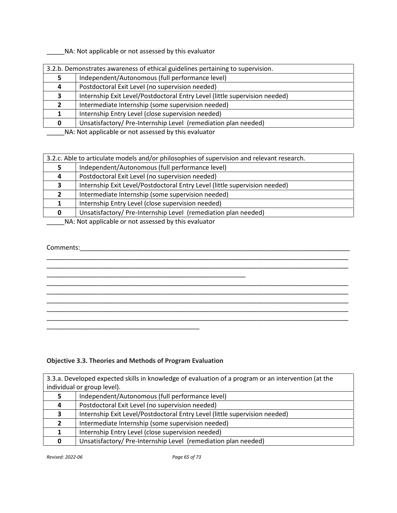|   | 3.2.b. Demonstrates awareness of ethical guidelines pertaining to supervision. |  |
|---|--------------------------------------------------------------------------------|--|
|   | Independent/Autonomous (full performance level)                                |  |
| 4 | Postdoctoral Exit Level (no supervision needed)                                |  |
|   | Internship Exit Level/Postdoctoral Entry Level (little supervision needed)     |  |
|   | Intermediate Internship (some supervision needed)                              |  |
|   | Internship Entry Level (close supervision needed)                              |  |
|   | Unsatisfactory/Pre-Internship Level (remediation plan needed)                  |  |
|   |                                                                                |  |

NA: Not applicable or not assessed by this evaluator

| 3.2.c. Able to articulate models and/or philosophies of supervision and relevant research. |                                                                            |
|--------------------------------------------------------------------------------------------|----------------------------------------------------------------------------|
|                                                                                            | Independent/Autonomous (full performance level)                            |
| 4                                                                                          | Postdoctoral Exit Level (no supervision needed)                            |
|                                                                                            | Internship Exit Level/Postdoctoral Entry Level (little supervision needed) |
|                                                                                            | Intermediate Internship (some supervision needed)                          |
|                                                                                            | Internship Entry Level (close supervision needed)                          |
|                                                                                            | Unsatisfactory/Pre-Internship Level (remediation plan needed)              |
| NA . Net enable ble en net essessed buthis suppreten                                       |                                                                            |

\_\_\_\_\_NA: Not applicable or not assessed by this evaluator

# Comments:\_\_\_\_\_\_\_\_\_\_\_\_\_\_\_\_\_\_\_\_\_\_\_\_\_\_\_\_\_\_\_\_\_\_\_\_\_\_\_\_\_\_\_\_\_\_\_\_\_\_\_\_\_\_\_\_\_\_\_\_\_\_\_\_\_\_\_\_\_\_\_\_\_\_\_\_

# \_\_\_\_\_\_\_\_\_\_\_\_\_\_\_\_\_\_\_\_\_\_\_\_\_\_\_\_\_\_\_\_\_\_\_\_\_\_\_\_\_\_\_\_\_\_\_\_\_\_\_\_\_\_\_\_\_\_\_\_\_\_\_\_\_\_\_\_\_\_\_\_\_\_\_\_\_\_\_\_\_\_\_\_\_ \_\_\_\_\_\_\_\_\_\_\_\_\_\_\_\_\_\_\_\_\_\_\_\_\_\_\_\_\_\_\_\_\_\_\_\_\_\_\_\_\_\_\_\_\_\_\_\_\_\_\_\_\_\_\_\_\_\_\_\_\_\_\_\_\_\_\_\_\_\_\_\_\_\_\_\_\_\_\_\_\_\_\_\_\_ \_\_\_\_\_\_\_\_\_\_\_\_\_\_\_\_\_\_\_\_\_\_\_\_\_\_\_\_\_\_\_\_\_\_\_\_\_\_\_\_\_\_\_\_\_\_\_\_\_\_\_\_\_\_\_\_\_\_\_\_\_\_\_\_\_\_\_\_\_\_\_\_\_\_\_\_\_\_\_\_\_\_\_\_\_ \_\_\_\_\_\_\_\_\_\_\_\_\_\_\_\_\_\_\_\_\_\_\_\_\_\_\_\_\_\_\_\_\_\_\_\_\_\_\_\_\_\_\_\_\_\_\_\_\_\_\_\_\_\_\_\_\_\_\_\_\_\_\_\_\_\_\_\_\_\_\_\_\_\_\_\_\_\_\_\_\_\_\_\_\_ \_\_\_\_\_\_\_\_\_\_\_\_\_\_\_\_\_\_\_\_\_\_\_\_\_\_\_\_\_\_\_\_\_\_\_\_\_\_\_\_\_\_\_\_\_\_\_\_\_\_\_\_\_\_\_\_\_\_\_\_\_\_\_\_\_\_\_\_\_\_\_\_\_\_\_\_\_\_\_\_\_\_\_\_\_ \_\_\_\_\_\_\_\_\_\_\_\_\_\_\_\_\_\_\_\_\_\_\_\_\_\_\_\_\_\_\_\_\_\_\_\_\_\_\_\_\_\_\_\_\_\_\_\_\_\_\_\_\_\_\_\_\_\_\_\_\_\_\_\_\_\_\_\_\_\_\_\_\_\_\_\_\_\_\_\_\_\_\_\_\_ \_\_\_\_\_\_\_\_\_\_\_\_\_\_\_\_\_\_\_\_\_\_\_\_\_\_\_\_\_\_\_\_\_\_\_\_\_\_\_\_\_\_\_

# **Objective 3.3. Theories and Methods of Program Evaluation**

| 3.3.a. Developed expected skills in knowledge of evaluation of a program or an intervention (at the |                                                                            |
|-----------------------------------------------------------------------------------------------------|----------------------------------------------------------------------------|
| individual or group level).                                                                         |                                                                            |
| 5.                                                                                                  | Independent/Autonomous (full performance level)                            |
| 4                                                                                                   | Postdoctoral Exit Level (no supervision needed)                            |
| 3                                                                                                   | Internship Exit Level/Postdoctoral Entry Level (little supervision needed) |
|                                                                                                     | Intermediate Internship (some supervision needed)                          |
|                                                                                                     | Internship Entry Level (close supervision needed)                          |
| 0                                                                                                   | Unsatisfactory/Pre-Internship Level (remediation plan needed)              |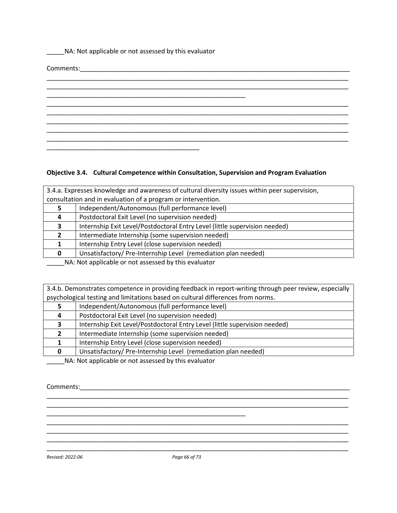| NA: Not applicable or not assessed by this evaluator      |  |  |  |
|-----------------------------------------------------------|--|--|--|
|                                                           |  |  |  |
| <u> 1989 - John Stone, Amerikaansk politiker (* 1989)</u> |  |  |  |
|                                                           |  |  |  |
|                                                           |  |  |  |
|                                                           |  |  |  |
|                                                           |  |  |  |
|                                                           |  |  |  |
|                                                           |  |  |  |
|                                                           |  |  |  |

# **Objective 3.4. Cultural Competence within Consultation, Supervision and Program Evaluation**

| 3.4.a. Expresses knowledge and awareness of cultural diversity issues within peer supervision, |                                                                            |
|------------------------------------------------------------------------------------------------|----------------------------------------------------------------------------|
| consultation and in evaluation of a program or intervention.                                   |                                                                            |
|                                                                                                | Independent/Autonomous (full performance level)                            |
|                                                                                                | Postdoctoral Exit Level (no supervision needed)                            |
|                                                                                                | Internship Exit Level/Postdoctoral Entry Level (little supervision needed) |
|                                                                                                | Intermediate Internship (some supervision needed)                          |
|                                                                                                | Internship Entry Level (close supervision needed)                          |
|                                                                                                | Unsatisfactory/Pre-Internship Level (remediation plan needed)              |
| NA: Not applicable or not assessed by this evaluator                                           |                                                                            |

3.4.b. Demonstrates competence in providing feedback in report-writing through peer review, especially psychological testing and limitations based on cultural differences from norms.

|   | Independent/Autonomous (full performance level)                            |
|---|----------------------------------------------------------------------------|
| 4 | Postdoctoral Exit Level (no supervision needed)                            |
|   | Internship Exit Level/Postdoctoral Entry Level (little supervision needed) |
|   | Intermediate Internship (some supervision needed)                          |
|   | Internship Entry Level (close supervision needed)                          |
|   | Unsatisfactory/ Pre-Internship Level (remediation plan needed)             |

\_\_\_\_\_\_\_\_\_\_\_\_\_\_\_\_\_\_\_\_\_\_\_\_\_\_\_\_\_\_\_\_\_\_\_\_\_\_\_\_\_\_\_\_\_\_\_\_\_\_\_\_\_\_\_\_\_\_\_\_\_\_\_\_\_\_\_\_\_\_\_\_\_\_\_\_\_\_\_\_\_\_\_\_\_ \_\_\_\_\_\_\_\_\_\_\_\_\_\_\_\_\_\_\_\_\_\_\_\_\_\_\_\_\_\_\_\_\_\_\_\_\_\_\_\_\_\_\_\_\_\_\_\_\_\_\_\_\_\_\_\_\_\_\_\_\_\_\_\_\_\_\_\_\_\_\_\_\_\_\_\_\_\_\_\_\_\_\_\_\_

\_\_\_\_\_\_\_\_\_\_\_\_\_\_\_\_\_\_\_\_\_\_\_\_\_\_\_\_\_\_\_\_\_\_\_\_\_\_\_\_\_\_\_\_\_\_\_\_\_\_\_\_\_\_\_\_\_\_\_\_\_\_\_\_\_\_\_\_\_\_\_\_\_\_\_\_\_\_\_\_\_\_\_\_\_

\_\_\_\_\_\_\_\_\_\_\_\_\_\_\_\_\_\_\_\_\_\_\_\_\_\_\_\_\_\_\_\_\_\_\_\_\_\_\_\_\_\_\_\_\_\_\_\_\_\_\_\_\_\_\_\_\_\_\_\_\_\_\_\_\_\_\_\_\_\_\_\_\_\_\_\_\_\_\_\_\_\_\_\_\_ \_\_\_\_\_\_\_\_\_\_\_\_\_\_\_\_\_\_\_\_\_\_\_\_\_\_\_\_\_\_\_\_\_\_\_\_\_\_\_\_\_\_\_\_\_\_\_\_\_\_\_\_\_\_\_\_\_\_\_\_\_\_\_\_\_\_\_\_\_\_\_\_\_\_\_\_\_\_\_\_\_\_\_\_\_

\_\_\_\_\_NA: Not applicable or not assessed by this evaluator

\_\_\_\_\_\_\_\_\_\_\_\_\_\_\_\_\_\_\_\_\_\_\_\_\_\_\_\_\_\_\_\_\_\_\_\_\_\_\_\_\_\_\_

Comments:\_\_\_\_\_\_\_\_\_\_\_\_\_\_\_\_\_\_\_\_\_\_\_\_\_\_\_\_\_\_\_\_\_\_\_\_\_\_\_\_\_\_\_\_\_\_\_\_\_\_\_\_\_\_\_\_\_\_\_\_\_\_\_\_\_\_\_\_\_\_\_\_\_\_\_\_

*Revised: 2022-06 Page 66 of 73*

\_\_\_\_\_\_\_\_\_\_\_\_\_\_\_\_\_\_\_\_\_\_\_\_\_\_\_\_\_\_\_\_\_\_\_\_\_\_\_\_\_\_\_\_\_\_\_\_\_\_\_\_\_\_\_\_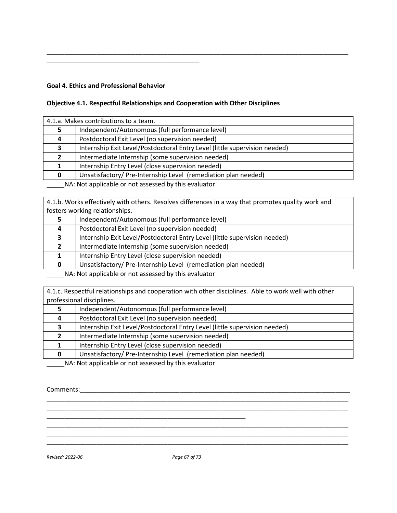# **Goal 4. Ethics and Professional Behavior**

\_\_\_\_\_\_\_\_\_\_\_\_\_\_\_\_\_\_\_\_\_\_\_\_\_\_\_\_\_\_\_\_\_\_\_\_\_\_\_\_\_\_\_

# **Objective 4.1. Respectful Relationships and Cooperation with Other Disciplines**

| 4.1.a. Makes contributions to a team. |                                                                            |
|---------------------------------------|----------------------------------------------------------------------------|
|                                       | Independent/Autonomous (full performance level)                            |
| 4                                     | Postdoctoral Exit Level (no supervision needed)                            |
| 3                                     | Internship Exit Level/Postdoctoral Entry Level (little supervision needed) |
| $\mathbf{2}$                          | Intermediate Internship (some supervision needed)                          |
|                                       | Internship Entry Level (close supervision needed)                          |
| 0                                     | Unsatisfactory/Pre-Internship Level (remediation plan needed)              |
|                                       | NA: Not applicable or not accossed by this ovaluator                       |

\_\_\_\_\_\_\_\_\_\_\_\_\_\_\_\_\_\_\_\_\_\_\_\_\_\_\_\_\_\_\_\_\_\_\_\_\_\_\_\_\_\_\_\_\_\_\_\_\_\_\_\_\_\_\_\_\_\_\_\_\_\_\_\_\_\_\_\_\_\_\_\_\_\_\_\_\_\_\_\_\_\_\_\_\_

\_\_\_\_\_NA: Not applicable or not assessed by this evaluator

4.1.b. Works effectively with others. Resolves differences in a way that promotes quality work and fosters working relationships.

|   | Independent/Autonomous (full performance level)                            |
|---|----------------------------------------------------------------------------|
| 4 | Postdoctoral Exit Level (no supervision needed)                            |
| 3 | Internship Exit Level/Postdoctoral Entry Level (little supervision needed) |
|   | Intermediate Internship (some supervision needed)                          |
|   | Internship Entry Level (close supervision needed)                          |
|   | Unsatisfactory/Pre-Internship Level (remediation plan needed)              |

\_\_\_\_\_NA: Not applicable or not assessed by this evaluator

4.1.c. Respectful relationships and cooperation with other disciplines. Able to work well with other professional disciplines.

|   | Independent/Autonomous (full performance level)                            |
|---|----------------------------------------------------------------------------|
| 4 | Postdoctoral Exit Level (no supervision needed)                            |
|   | Internship Exit Level/Postdoctoral Entry Level (little supervision needed) |
|   | Intermediate Internship (some supervision needed)                          |
|   | Internship Entry Level (close supervision needed)                          |
|   | Unsatisfactory/ Pre-Internship Level (remediation plan needed)             |

\_\_\_\_\_\_\_\_\_\_\_\_\_\_\_\_\_\_\_\_\_\_\_\_\_\_\_\_\_\_\_\_\_\_\_\_\_\_\_\_\_\_\_\_\_\_\_\_\_\_\_\_\_\_\_\_\_\_\_\_\_\_\_\_\_\_\_\_\_\_\_\_\_\_\_\_\_\_\_\_\_\_\_\_\_ \_\_\_\_\_\_\_\_\_\_\_\_\_\_\_\_\_\_\_\_\_\_\_\_\_\_\_\_\_\_\_\_\_\_\_\_\_\_\_\_\_\_\_\_\_\_\_\_\_\_\_\_\_\_\_\_\_\_\_\_\_\_\_\_\_\_\_\_\_\_\_\_\_\_\_\_\_\_\_\_\_\_\_\_\_

\_\_\_\_\_\_\_\_\_\_\_\_\_\_\_\_\_\_\_\_\_\_\_\_\_\_\_\_\_\_\_\_\_\_\_\_\_\_\_\_\_\_\_\_\_\_\_\_\_\_\_\_\_\_\_\_\_\_\_\_\_\_\_\_\_\_\_\_\_\_\_\_\_\_\_\_\_\_\_\_\_\_\_\_\_ \_\_\_\_\_\_\_\_\_\_\_\_\_\_\_\_\_\_\_\_\_\_\_\_\_\_\_\_\_\_\_\_\_\_\_\_\_\_\_\_\_\_\_\_\_\_\_\_\_\_\_\_\_\_\_\_\_\_\_\_\_\_\_\_\_\_\_\_\_\_\_\_\_\_\_\_\_\_\_\_\_\_\_\_\_ \_\_\_\_\_\_\_\_\_\_\_\_\_\_\_\_\_\_\_\_\_\_\_\_\_\_\_\_\_\_\_\_\_\_\_\_\_\_\_\_\_\_\_\_\_\_\_\_\_\_\_\_\_\_\_\_\_\_\_\_\_\_\_\_\_\_\_\_\_\_\_\_\_\_\_\_\_\_\_\_\_\_\_\_\_

\_\_\_\_\_NA: Not applicable or not assessed by this evaluator

\_\_\_\_\_\_\_\_\_\_\_\_\_\_\_\_\_\_\_\_\_\_\_\_\_\_\_\_\_\_\_\_\_\_\_\_\_\_\_\_\_\_\_\_\_\_\_\_\_\_\_\_\_\_\_\_

Comments:

*Revised: 2022-06 Page 67 of 73*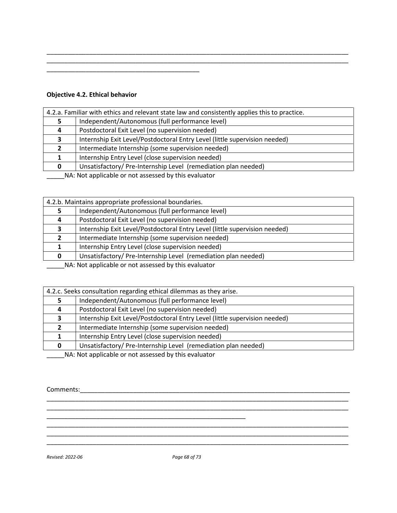# **Objective 4.2. Ethical behavior**

| 4.2.a. Familiar with ethics and relevant state law and consistently applies this to practice. |                                                                            |
|-----------------------------------------------------------------------------------------------|----------------------------------------------------------------------------|
|                                                                                               | Independent/Autonomous (full performance level)                            |
| 4                                                                                             | Postdoctoral Exit Level (no supervision needed)                            |
| 3                                                                                             | Internship Exit Level/Postdoctoral Entry Level (little supervision needed) |
| $\mathbf{2}$                                                                                  | Intermediate Internship (some supervision needed)                          |
|                                                                                               | Internship Entry Level (close supervision needed)                          |
|                                                                                               | Unsatisfactory/Pre-Internship Level (remediation plan needed)              |
| NA: Not applicable expet assessed by this ovaluator                                           |                                                                            |

\_\_\_\_\_\_\_\_\_\_\_\_\_\_\_\_\_\_\_\_\_\_\_\_\_\_\_\_\_\_\_\_\_\_\_\_\_\_\_\_\_\_\_\_\_\_\_\_\_\_\_\_\_\_\_\_\_\_\_\_\_\_\_\_\_\_\_\_\_\_\_\_\_\_\_\_\_\_\_\_\_\_\_\_\_

\_\_\_\_\_\_\_\_\_\_\_\_\_\_\_\_\_\_\_\_\_\_\_\_\_\_\_\_\_\_\_\_\_\_\_\_\_\_\_\_\_\_\_\_\_\_\_\_\_\_\_\_\_\_\_\_\_\_\_\_\_\_\_\_\_\_\_\_\_\_\_\_\_\_\_\_\_\_\_\_\_\_\_\_\_

\_\_\_\_\_NA: Not applicable or not assessed by this evaluator

\_\_\_\_\_\_\_\_\_\_\_\_\_\_\_\_\_\_\_\_\_\_\_\_\_\_\_\_\_\_\_\_\_\_\_\_\_\_\_\_\_\_\_

| 4.2.b. Maintains appropriate professional boundaries. |                                                                            |
|-------------------------------------------------------|----------------------------------------------------------------------------|
|                                                       | Independent/Autonomous (full performance level)                            |
| 4                                                     | Postdoctoral Exit Level (no supervision needed)                            |
| 3                                                     | Internship Exit Level/Postdoctoral Entry Level (little supervision needed) |
|                                                       | Intermediate Internship (some supervision needed)                          |
|                                                       | Internship Entry Level (close supervision needed)                          |
|                                                       | Unsatisfactory/Pre-Internship Level (remediation plan needed)              |
|                                                       | NA blot applicable or not accorsed by this ovaluator                       |

\_\_\_\_\_NA: Not applicable or not assessed by this evaluator

| 4.2.c. Seeks consultation regarding ethical dilemmas as they arise. |                                                                            |
|---------------------------------------------------------------------|----------------------------------------------------------------------------|
|                                                                     | Independent/Autonomous (full performance level)                            |
| 4                                                                   | Postdoctoral Exit Level (no supervision needed)                            |
|                                                                     | Internship Exit Level/Postdoctoral Entry Level (little supervision needed) |
|                                                                     | Intermediate Internship (some supervision needed)                          |
|                                                                     | Internship Entry Level (close supervision needed)                          |
| <sup>0</sup>                                                        | Unsatisfactory/Pre-Internship Level (remediation plan needed)              |
|                                                                     | NA . Net enable ble en net essessed butble suelusten                       |

\_\_\_\_\_\_\_\_\_\_\_\_\_\_\_\_\_\_\_\_\_\_\_\_\_\_\_\_\_\_\_\_\_\_\_\_\_\_\_\_\_\_\_\_\_\_\_\_\_\_\_\_\_\_\_\_\_\_\_\_\_\_\_\_\_\_\_\_\_\_\_\_\_\_\_\_\_\_\_\_\_\_\_\_\_ \_\_\_\_\_\_\_\_\_\_\_\_\_\_\_\_\_\_\_\_\_\_\_\_\_\_\_\_\_\_\_\_\_\_\_\_\_\_\_\_\_\_\_\_\_\_\_\_\_\_\_\_\_\_\_\_\_\_\_\_\_\_\_\_\_\_\_\_\_\_\_\_\_\_\_\_\_\_\_\_\_\_\_\_\_

\_\_\_\_\_\_\_\_\_\_\_\_\_\_\_\_\_\_\_\_\_\_\_\_\_\_\_\_\_\_\_\_\_\_\_\_\_\_\_\_\_\_\_\_\_\_\_\_\_\_\_\_\_\_\_\_\_\_\_\_\_\_\_\_\_\_\_\_\_\_\_\_\_\_\_\_\_\_\_\_\_\_\_\_\_ \_\_\_\_\_\_\_\_\_\_\_\_\_\_\_\_\_\_\_\_\_\_\_\_\_\_\_\_\_\_\_\_\_\_\_\_\_\_\_\_\_\_\_\_\_\_\_\_\_\_\_\_\_\_\_\_\_\_\_\_\_\_\_\_\_\_\_\_\_\_\_\_\_\_\_\_\_\_\_\_\_\_\_\_\_ \_\_\_\_\_\_\_\_\_\_\_\_\_\_\_\_\_\_\_\_\_\_\_\_\_\_\_\_\_\_\_\_\_\_\_\_\_\_\_\_\_\_\_\_\_\_\_\_\_\_\_\_\_\_\_\_\_\_\_\_\_\_\_\_\_\_\_\_\_\_\_\_\_\_\_\_\_\_\_\_\_\_\_\_\_

\_\_\_\_\_NA: Not applicable or not assessed by this evaluator

\_\_\_\_\_\_\_\_\_\_\_\_\_\_\_\_\_\_\_\_\_\_\_\_\_\_\_\_\_\_\_\_\_\_\_\_\_\_\_\_\_\_\_\_\_\_\_\_\_\_\_\_\_\_\_\_

Comments:\_\_\_\_\_\_\_\_\_\_\_\_\_\_\_\_\_\_\_\_\_\_\_\_\_\_\_\_\_\_\_\_\_\_\_\_\_\_\_\_\_\_\_\_\_\_\_\_\_\_\_\_\_\_\_\_\_\_\_\_\_\_\_\_\_\_\_\_\_\_\_\_\_\_\_\_

*Revised: 2022-06 Page 68 of 73*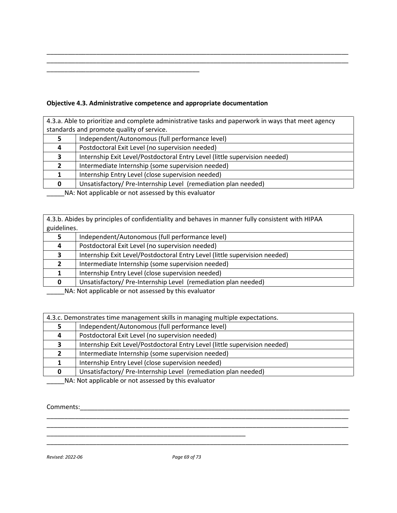# **Objective 4.3. Administrative competence and appropriate documentation**

\_\_\_\_\_\_\_\_\_\_\_\_\_\_\_\_\_\_\_\_\_\_\_\_\_\_\_\_\_\_\_\_\_\_\_\_\_\_\_\_\_\_\_

| 4.3.a. Able to prioritize and complete administrative tasks and paperwork in ways that meet agency |                                                                            |  |
|----------------------------------------------------------------------------------------------------|----------------------------------------------------------------------------|--|
|                                                                                                    | standards and promote quality of service.                                  |  |
|                                                                                                    | Independent/Autonomous (full performance level)                            |  |
| 4                                                                                                  | Postdoctoral Exit Level (no supervision needed)                            |  |
| 3                                                                                                  | Internship Exit Level/Postdoctoral Entry Level (little supervision needed) |  |
| $\mathbf{2}$                                                                                       | Intermediate Internship (some supervision needed)                          |  |
|                                                                                                    | Internship Entry Level (close supervision needed)                          |  |
| n                                                                                                  | Unsatisfactory/Pre-Internship Level (remediation plan needed)              |  |
| NA: Not applicable or not assessed by this evaluator                                               |                                                                            |  |

\_\_\_\_\_\_\_\_\_\_\_\_\_\_\_\_\_\_\_\_\_\_\_\_\_\_\_\_\_\_\_\_\_\_\_\_\_\_\_\_\_\_\_\_\_\_\_\_\_\_\_\_\_\_\_\_\_\_\_\_\_\_\_\_\_\_\_\_\_\_\_\_\_\_\_\_\_\_\_\_\_\_\_\_\_ \_\_\_\_\_\_\_\_\_\_\_\_\_\_\_\_\_\_\_\_\_\_\_\_\_\_\_\_\_\_\_\_\_\_\_\_\_\_\_\_\_\_\_\_\_\_\_\_\_\_\_\_\_\_\_\_\_\_\_\_\_\_\_\_\_\_\_\_\_\_\_\_\_\_\_\_\_\_\_\_\_\_\_\_\_

4.3.b. Abides by principles of confidentiality and behaves in manner fully consistent with HIPAA guidelines.

| <b>RAIGCILLES.</b> |                                                                                                                                                                                                                                 |
|--------------------|---------------------------------------------------------------------------------------------------------------------------------------------------------------------------------------------------------------------------------|
|                    | Independent/Autonomous (full performance level)                                                                                                                                                                                 |
| 4                  | Postdoctoral Exit Level (no supervision needed)                                                                                                                                                                                 |
| З.                 | Internship Exit Level/Postdoctoral Entry Level (little supervision needed)                                                                                                                                                      |
|                    | Intermediate Internship (some supervision needed)                                                                                                                                                                               |
|                    | Internship Entry Level (close supervision needed)                                                                                                                                                                               |
|                    | Unsatisfactory/ Pre-Internship Level (remediation plan needed)                                                                                                                                                                  |
|                    | $\sim$ . The contract of the contract of the contract of the contract of the contract of the contract of the contract of the contract of the contract of the contract of the contract of the contract of the contract of the co |

\_\_\_\_\_NA: Not applicable or not assessed by this evaluator

| 4.3.c. Demonstrates time management skills in managing multiple expectations.                                                                                                                                                        |                                                                            |
|--------------------------------------------------------------------------------------------------------------------------------------------------------------------------------------------------------------------------------------|----------------------------------------------------------------------------|
|                                                                                                                                                                                                                                      | Independent/Autonomous (full performance level)                            |
| 4                                                                                                                                                                                                                                    | Postdoctoral Exit Level (no supervision needed)                            |
| З.                                                                                                                                                                                                                                   | Internship Exit Level/Postdoctoral Entry Level (little supervision needed) |
|                                                                                                                                                                                                                                      | Intermediate Internship (some supervision needed)                          |
|                                                                                                                                                                                                                                      | Internship Entry Level (close supervision needed)                          |
| 0                                                                                                                                                                                                                                    | Unsatisfactory/Pre-Internship Level (remediation plan needed)              |
| $\mathbf{A}$ and $\mathbf{A}$ are the set of the set of the set of the set of the set of the set of the set of the set of the set of the set of the set of the set of the set of the set of the set of the set of the set of the set |                                                                            |

\_\_\_\_\_\_\_\_\_\_\_\_\_\_\_\_\_\_\_\_\_\_\_\_\_\_\_\_\_\_\_\_\_\_\_\_\_\_\_\_\_\_\_\_\_\_\_\_\_\_\_\_\_\_\_\_\_\_\_\_\_\_\_\_\_\_\_\_\_\_\_\_\_\_\_\_\_\_\_\_\_\_\_\_\_

\_\_\_\_\_\_\_\_\_\_\_\_\_\_\_\_\_\_\_\_\_\_\_\_\_\_\_\_\_\_\_\_\_\_\_\_\_\_\_\_\_\_\_\_\_\_\_\_\_\_\_\_\_\_\_\_\_\_\_\_\_\_\_\_\_\_\_\_\_\_\_\_\_\_\_\_\_\_\_\_\_\_\_\_\_

\_\_\_\_\_\_\_\_\_\_\_\_\_\_\_\_\_\_\_\_\_\_\_\_\_\_\_\_\_\_\_\_\_\_\_\_\_\_\_\_\_\_\_\_\_\_\_\_\_\_\_\_\_\_\_\_\_\_\_\_\_\_\_\_\_\_\_\_\_\_\_\_\_\_\_\_\_\_\_\_\_\_\_\_\_

\_\_\_\_\_NA: Not applicable or not assessed by this evaluator

\_\_\_\_\_\_\_\_\_\_\_\_\_\_\_\_\_\_\_\_\_\_\_\_\_\_\_\_\_\_\_\_\_\_\_\_\_\_\_\_\_\_\_\_\_\_\_\_\_\_\_\_\_\_\_\_

# Comments:\_\_\_\_\_\_\_\_\_\_\_\_\_\_\_\_\_\_\_\_\_\_\_\_\_\_\_\_\_\_\_\_\_\_\_\_\_\_\_\_\_\_\_\_\_\_\_\_\_\_\_\_\_\_\_\_\_\_\_\_\_\_\_\_\_\_\_\_\_\_\_\_\_\_\_\_

*Revised: 2022-06 Page 69 of 73*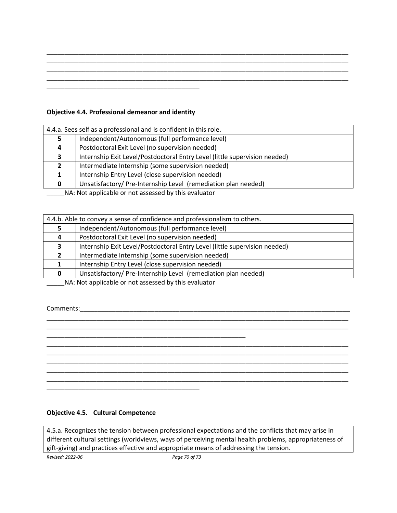|  | ________ |
|--|----------|
|  |          |
|  |          |

\_\_\_\_\_\_\_\_\_\_\_\_\_\_\_\_\_\_\_\_\_\_\_\_\_\_\_\_\_\_\_\_\_\_\_\_\_\_\_\_\_\_\_\_\_\_\_\_\_\_\_\_\_\_\_\_\_\_\_\_\_\_\_\_\_\_\_\_\_\_\_\_\_\_\_\_\_\_\_\_\_\_\_\_\_

## **Objective 4.4. Professional demeanor and identity**

| 4.4.a. Sees self as a professional and is confident in this role. |                                                                            |  |
|-------------------------------------------------------------------|----------------------------------------------------------------------------|--|
|                                                                   | Independent/Autonomous (full performance level)                            |  |
| 4                                                                 | Postdoctoral Exit Level (no supervision needed)                            |  |
| 3                                                                 | Internship Exit Level/Postdoctoral Entry Level (little supervision needed) |  |
|                                                                   | Intermediate Internship (some supervision needed)                          |  |
|                                                                   | Internship Entry Level (close supervision needed)                          |  |
| 0                                                                 | Unsatisfactory/Pre-Internship Level (remediation plan needed)              |  |
| NA: Not applicable or not assessed by this ovaluator              |                                                                            |  |

\_\_\_\_\_NA: Not applicable or not assessed by this evaluator

| 4.4.b. Able to convey a sense of confidence and professionalism to others. |                                                                                                                                                                                                                                           |  |
|----------------------------------------------------------------------------|-------------------------------------------------------------------------------------------------------------------------------------------------------------------------------------------------------------------------------------------|--|
|                                                                            | Independent/Autonomous (full performance level)                                                                                                                                                                                           |  |
|                                                                            | Postdoctoral Exit Level (no supervision needed)                                                                                                                                                                                           |  |
|                                                                            | Internship Exit Level/Postdoctoral Entry Level (little supervision needed)                                                                                                                                                                |  |
|                                                                            | Intermediate Internship (some supervision needed)                                                                                                                                                                                         |  |
|                                                                            | Internship Entry Level (close supervision needed)                                                                                                                                                                                         |  |
|                                                                            | Unsatisfactory/Pre-Internship Level (remediation plan needed)                                                                                                                                                                             |  |
|                                                                            | <b>All A</b> and All and $\alpha$ and $\beta$ are the second of the second that the second of the second second second second second second second second second second second second second second second second second second second se |  |

\_\_\_\_\_\_\_\_\_\_\_\_\_\_\_\_\_\_\_\_\_\_\_\_\_\_\_\_\_\_\_\_\_\_\_\_\_\_\_\_\_\_\_\_\_\_\_\_\_\_\_\_\_\_\_\_\_\_\_\_\_\_\_\_\_\_\_\_\_\_\_\_\_\_\_\_\_\_\_\_\_\_\_\_\_ \_\_\_\_\_\_\_\_\_\_\_\_\_\_\_\_\_\_\_\_\_\_\_\_\_\_\_\_\_\_\_\_\_\_\_\_\_\_\_\_\_\_\_\_\_\_\_\_\_\_\_\_\_\_\_\_\_\_\_\_\_\_\_\_\_\_\_\_\_\_\_\_\_\_\_\_\_\_\_\_\_\_\_\_\_

\_\_\_\_\_\_\_\_\_\_\_\_\_\_\_\_\_\_\_\_\_\_\_\_\_\_\_\_\_\_\_\_\_\_\_\_\_\_\_\_\_\_\_\_\_\_\_\_\_\_\_\_\_\_\_\_\_\_\_\_\_\_\_\_\_\_\_\_\_\_\_\_\_\_\_\_\_\_\_\_\_\_\_\_\_ \_\_\_\_\_\_\_\_\_\_\_\_\_\_\_\_\_\_\_\_\_\_\_\_\_\_\_\_\_\_\_\_\_\_\_\_\_\_\_\_\_\_\_\_\_\_\_\_\_\_\_\_\_\_\_\_\_\_\_\_\_\_\_\_\_\_\_\_\_\_\_\_\_\_\_\_\_\_\_\_\_\_\_\_\_ \_\_\_\_\_\_\_\_\_\_\_\_\_\_\_\_\_\_\_\_\_\_\_\_\_\_\_\_\_\_\_\_\_\_\_\_\_\_\_\_\_\_\_\_\_\_\_\_\_\_\_\_\_\_\_\_\_\_\_\_\_\_\_\_\_\_\_\_\_\_\_\_\_\_\_\_\_\_\_\_\_\_\_\_\_ \_\_\_\_\_\_\_\_\_\_\_\_\_\_\_\_\_\_\_\_\_\_\_\_\_\_\_\_\_\_\_\_\_\_\_\_\_\_\_\_\_\_\_\_\_\_\_\_\_\_\_\_\_\_\_\_\_\_\_\_\_\_\_\_\_\_\_\_\_\_\_\_\_\_\_\_\_\_\_\_\_\_\_\_\_ \_\_\_\_\_\_\_\_\_\_\_\_\_\_\_\_\_\_\_\_\_\_\_\_\_\_\_\_\_\_\_\_\_\_\_\_\_\_\_\_\_\_\_\_\_\_\_\_\_\_\_\_\_\_\_\_\_\_\_\_\_\_\_\_\_\_\_\_\_\_\_\_\_\_\_\_\_\_\_\_\_\_\_\_\_

\_\_\_\_\_NA: Not applicable or not assessed by this evaluator

\_\_\_\_\_\_\_\_\_\_\_\_\_\_\_\_\_\_\_\_\_\_\_\_\_\_\_\_\_\_\_\_\_\_\_\_\_\_\_\_\_\_\_\_\_\_\_\_\_\_\_\_\_\_\_\_

Comments:\_\_\_\_\_\_\_\_\_\_\_\_\_\_\_\_\_\_\_\_\_\_\_\_\_\_\_\_\_\_\_\_\_\_\_\_\_\_\_\_\_\_\_\_\_\_\_\_\_\_\_\_\_\_\_\_\_\_\_\_\_\_\_\_\_\_\_\_\_\_\_\_\_\_\_\_

#### **Objective 4.5. Cultural Competence**

\_\_\_\_\_\_\_\_\_\_\_\_\_\_\_\_\_\_\_\_\_\_\_\_\_\_\_\_\_\_\_\_\_\_\_\_\_\_\_\_\_\_\_

4.5.a. Recognizes the tension between professional expectations and the conflicts that may arise in different cultural settings (worldviews, ways of perceiving mental health problems, appropriateness of gift-giving) and practices effective and appropriate means of addressing the tension.

*Revised: 2022-06 Page 70 of 73*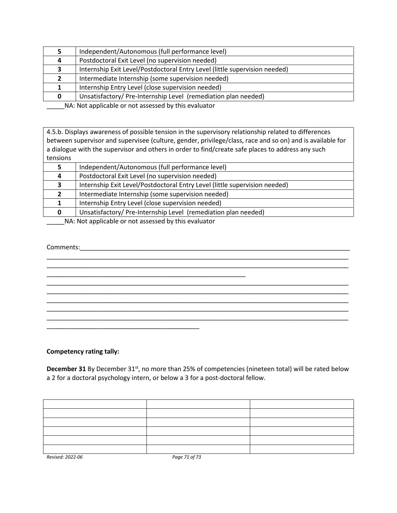|   | Independent/Autonomous (full performance level)                            |
|---|----------------------------------------------------------------------------|
| 4 | Postdoctoral Exit Level (no supervision needed)                            |
|   | Internship Exit Level/Postdoctoral Entry Level (little supervision needed) |
|   | Intermediate Internship (some supervision needed)                          |
|   | Internship Entry Level (close supervision needed)                          |
|   | Unsatisfactory/ Pre-Internship Level (remediation plan needed)             |
|   | NA . Not applicable or not accorded by this ovaluator                      |

4.5.b. Displays awareness of possible tension in the supervisory relationship related to differences between supervisor and supervisee (culture, gender, privilege/class, race and so on) and is available for a dialogue with the supervisor and others in order to find/create safe places to address any such tensions

|    | Independent/Autonomous (full performance level)                            |
|----|----------------------------------------------------------------------------|
| 4  | Postdoctoral Exit Level (no supervision needed)                            |
| З. | Internship Exit Level/Postdoctoral Entry Level (little supervision needed) |
|    | Intermediate Internship (some supervision needed)                          |
|    | Internship Entry Level (close supervision needed)                          |
| 0  | Unsatisfactory/Pre-Internship Level (remediation plan needed)              |

\_\_\_\_\_\_\_\_\_\_\_\_\_\_\_\_\_\_\_\_\_\_\_\_\_\_\_\_\_\_\_\_\_\_\_\_\_\_\_\_\_\_\_\_\_\_\_\_\_\_\_\_\_\_\_\_\_\_\_\_\_\_\_\_\_\_\_\_\_\_\_\_\_\_\_\_\_\_\_\_\_\_\_\_\_ \_\_\_\_\_\_\_\_\_\_\_\_\_\_\_\_\_\_\_\_\_\_\_\_\_\_\_\_\_\_\_\_\_\_\_\_\_\_\_\_\_\_\_\_\_\_\_\_\_\_\_\_\_\_\_\_\_\_\_\_\_\_\_\_\_\_\_\_\_\_\_\_\_\_\_\_\_\_\_\_\_\_\_\_\_

\_\_\_\_\_\_\_\_\_\_\_\_\_\_\_\_\_\_\_\_\_\_\_\_\_\_\_\_\_\_\_\_\_\_\_\_\_\_\_\_\_\_\_\_\_\_\_\_\_\_\_\_\_\_\_\_\_\_\_\_\_\_\_\_\_\_\_\_\_\_\_\_\_\_\_\_\_\_\_\_\_\_\_\_\_ \_\_\_\_\_\_\_\_\_\_\_\_\_\_\_\_\_\_\_\_\_\_\_\_\_\_\_\_\_\_\_\_\_\_\_\_\_\_\_\_\_\_\_\_\_\_\_\_\_\_\_\_\_\_\_\_\_\_\_\_\_\_\_\_\_\_\_\_\_\_\_\_\_\_\_\_\_\_\_\_\_\_\_\_\_ \_\_\_\_\_\_\_\_\_\_\_\_\_\_\_\_\_\_\_\_\_\_\_\_\_\_\_\_\_\_\_\_\_\_\_\_\_\_\_\_\_\_\_\_\_\_\_\_\_\_\_\_\_\_\_\_\_\_\_\_\_\_\_\_\_\_\_\_\_\_\_\_\_\_\_\_\_\_\_\_\_\_\_\_\_ \_\_\_\_\_\_\_\_\_\_\_\_\_\_\_\_\_\_\_\_\_\_\_\_\_\_\_\_\_\_\_\_\_\_\_\_\_\_\_\_\_\_\_\_\_\_\_\_\_\_\_\_\_\_\_\_\_\_\_\_\_\_\_\_\_\_\_\_\_\_\_\_\_\_\_\_\_\_\_\_\_\_\_\_\_ \_\_\_\_\_\_\_\_\_\_\_\_\_\_\_\_\_\_\_\_\_\_\_\_\_\_\_\_\_\_\_\_\_\_\_\_\_\_\_\_\_\_\_\_\_\_\_\_\_\_\_\_\_\_\_\_\_\_\_\_\_\_\_\_\_\_\_\_\_\_\_\_\_\_\_\_\_\_\_\_\_\_\_\_\_

\_\_\_\_\_NA: Not applicable or not assessed by this evaluator

\_\_\_\_\_\_\_\_\_\_\_\_\_\_\_\_\_\_\_\_\_\_\_\_\_\_\_\_\_\_\_\_\_\_\_\_\_\_\_\_\_\_\_\_\_\_\_\_\_\_\_\_\_\_\_\_

# Comments:\_\_\_\_\_\_\_\_\_\_\_\_\_\_\_\_\_\_\_\_\_\_\_\_\_\_\_\_\_\_\_\_\_\_\_\_\_\_\_\_\_\_\_\_\_\_\_\_\_\_\_\_\_\_\_\_\_\_\_\_\_\_\_\_\_\_\_\_\_\_\_\_\_\_\_\_

\_\_\_\_\_\_\_\_\_\_\_\_\_\_\_\_\_\_\_\_\_\_\_\_\_\_\_\_\_\_\_\_\_\_\_\_\_\_\_\_\_\_\_

#### **Competency rating tally:**

**December 31** By December 31<sup>st</sup>, no more than 25% of competencies (nineteen total) will be rated below a 2 for a doctoral psychology intern, or below a 3 for a post-doctoral fellow.

| Revised: 2022-06 | Page 71 of 73 |  |
|------------------|---------------|--|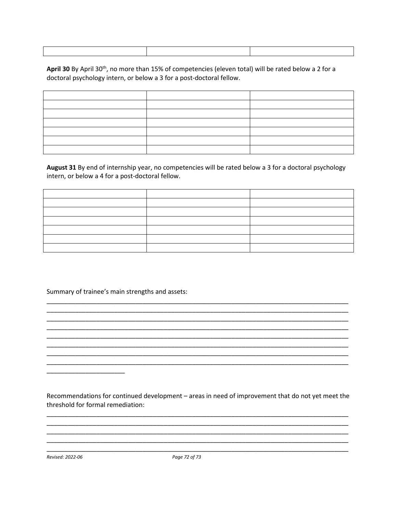April 30 By April 30<sup>th</sup>, no more than 15% of competencies (eleven total) will be rated below a 2 for a doctoral psychology intern, or below a 3 for a post-doctoral fellow.

August 31 By end of internship year, no competencies will be rated below a 3 for a doctoral psychology intern, or below a 4 for a post-doctoral fellow.

Summary of trainee's main strengths and assets:

Recommendations for continued development - areas in need of improvement that do not yet meet the threshold for formal remediation:

Revised: 2022-06